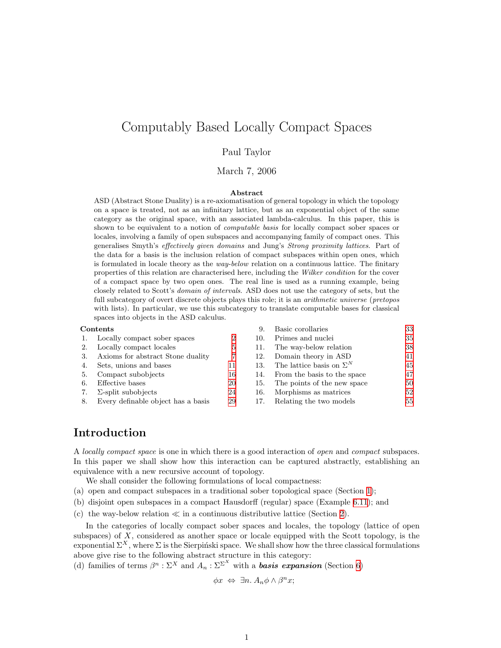# Computably Based Locally Compact Spaces

#### Paul Taylor

#### March 7, 2006

#### Abstract

ASD (Abstract Stone Duality) is a re-axiomatisation of general topology in which the topology on a space is treated, not as an infinitary lattice, but as an exponential object of the same category as the original space, with an associated lambda-calculus. In this paper, this is shown to be equivalent to a notion of computable basis for locally compact sober spaces or locales, involving a family of open subspaces and accompanying family of compact ones. This generalises Smyth's effectively given domains and Jung's Strong proximity lattices. Part of the data for a basis is the inclusion relation of compact subspaces within open ones, which is formulated in locale theory as the way-below relation on a continuous lattice. The finitary properties of this relation are characterised here, including the Wilker condition for the cover of a compact space by two open ones. The real line is used as a running example, being closely related to Scott's domain of intervals. ASD does not use the category of sets, but the full subcategory of overt discrete objects plays this role; it is an *arithmetic universe (pretopos* with lists). In particular, we use this subcategory to translate computable bases for classical spaces into objects in the ASD calculus.

#### Contents 9. Basic corollaries [33](#page-32-0)

|    | 1. Locally compact sober spaces       | 2  | 10. | Primes and nuclei               | 35 |
|----|---------------------------------------|----|-----|---------------------------------|----|
| 2. | Locally compact locales               | 5  | 11. | The way-below relation          | 38 |
| 3. | Axioms for abstract Stone duality     |    | 12. | Domain theory in ASD            | 41 |
| 4. | Sets, unions and bases                | 11 | 13. | The lattice basis on $\Sigma^N$ | 45 |
| 5. | Compact subobjects                    | 16 | 14. | From the basis to the space     | 47 |
| 6. | Effective bases                       | 20 | 15. | The points of the new space     | 50 |
| 7. | $\Sigma$ -split subobjects            | 24 | 16. | Morphisms as matrices           | 52 |
|    | 8. Every definable object has a basis | 29 |     | Relating the two models         | 55 |

## Introduction

A locally compact space is one in which there is a good interaction of open and compact subspaces. In this paper we shall show how this interaction can be captured abstractly, establishing an equivalence with a new recursive account of topology.

- We shall consider the following formulations of local compactness:
- (a) open and compact subspaces in a traditional sober topological space (Section [1](#page-1-1));
- (b) disjoint open subspaces in a compact Hausdorff (regular) space (Example [6.11](#page-22-0)); and
- (c) the way-below relation  $\ll$  in a continuous distributive lattice (Section [2\)](#page-5-0).

In the categories of locally compact sober spaces and locales, the topology (lattice of open subspaces) of  $X$ , considered as another space or locale equipped with the Scott topology, is the exponential  $\Sigma^X$ , where  $\Sigma$  is the Sierpinski space. We shall show how the three classical formulations above give rise to the following abstract structure in this category:

(d) families of terms  $\beta^n : \Sigma^X$  and  $A_n : \Sigma^{\Sigma^X}$  with a **basis expansion** (Section [6](#page-19-1))

 $\phi x \Leftrightarrow \exists n. A_n \phi \wedge \beta^n x;$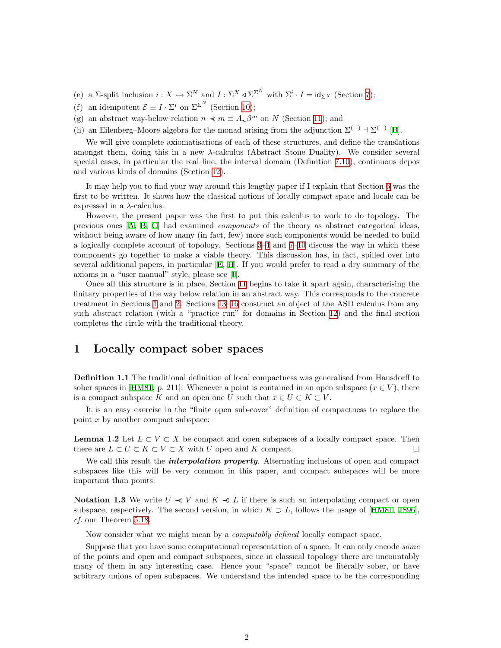- <span id="page-1-0"></span>(e) a  $\Sigma$ -split inclusion  $i: X \rightarrow \Sigma^N$  and  $I: \Sigma^X \triangleleft \Sigma^{\Sigma^N}$  with  $\Sigma^i \cdot I = id_{\Sigma^X}$  (Section [7](#page-23-1));
- (f) an idempotent  $\mathcal{E} \equiv I \cdot \Sigma^i$  on  $\Sigma^{\Sigma^N}$  (Section [10\)](#page-34-1);
- (g) an abstract way-below relation  $n \ll m \equiv A_n \beta^m$  on N (Section [11](#page-37-1)); and
- (h) an Eilenberg–Moore algebra for the monad arising from the adjunction  $\Sigma^{(-)} \dashv \Sigma^{(-)}$  [\[B](#page-60-0)].

We will give complete axiomatisations of each of these structures, and define the translations amongst them, doing this in a new  $\lambda$ -calculus (Abstract Stone Duality). We consider several special cases, in particular the real line, the interval domain (Definition [7.10\)](#page-26-0), continuous dcpos and various kinds of domains (Section [12](#page-40-1)).

It may help you to find your way around this lengthy paper if I explain that Section [6](#page-19-1) was the first to be written. It shows how the classical notions of locally compact space and locale can be expressed in a  $\lambda$ -calculus.

However, the present paper was the first to put this calculus to work to do topology. The previous ones[[A](#page-60-1), [B](#page-60-0), [C\]](#page-60-2) had examined components of the theory as abstract categorical ideas, without being aware of how many (in fact, few) more such components would be needed to build a logically complete account of topology. Sections [3–](#page-7-0)[4](#page-10-1) and [7–](#page-23-1)[10](#page-34-1) discuss the way in which these components go together to make a viable theory. This discussion has, in fact, spilled over into several additional papers, in particular [\[E](#page-60-3), [H\]](#page-60-4). If you would prefer to read a dry summary of the axioms in a "user manual" style, please see [\[I\]](#page-60-5).

Once all this structure is in place, Section [11](#page-37-1) begins to take it apart again, characterising the finitary properties of the way below relation in an abstract way. This corresponds to the concrete treatment in Sections [1](#page-1-1) and [2](#page-5-0). Sections [13–](#page-44-1)[16](#page-51-1) construct an object of the ASD calculus from any such abstract relation (with a "practice run" for domains in Section [12\)](#page-40-1) and the final section completes the circle with the traditional theory.

### <span id="page-1-1"></span>1 Locally compact sober spaces

<span id="page-1-3"></span>**Definition 1.1** The traditional definition of local compactness was generalised from Hausdorff to soberspaces in [[HM81,](#page-59-0) p. 211]: Whenever a point is contained in an open subspace  $(x \in V)$ , there is a compact subspace K and an open one U such that  $x \in U \subset K \subset V$ .

It is an easy exercise in the "finite open sub-cover" definition of compactness to replace the point  $x$  by another compact subspace:

<span id="page-1-2"></span>**Lemma 1.2** Let  $L \subset V \subset X$  be compact and open subspaces of a locally compact space. Then there are  $L \subset U \subset K \subset V \subset X$  with U open and K compact.

We call this result the *interpolation property*. Alternating inclusions of open and compact subspaces like this will be very common in this paper, and compact subspaces will be more important than points.

<span id="page-1-4"></span>Notation 1.3 We write  $U \ll V$  and  $K \ll L$  if there is such an interpolating compact or open subspace,respectively. The second version, in which  $K \supset L$ , follows the usage of [[HM81](#page-59-0), [JS96](#page-59-1)]. cf. our Theorem [5.18.](#page-19-2)

Now consider what we might mean by a computably defined locally compact space.

Suppose that you have some computational representation of a space. It can only encode some of the points and open and compact subspaces, since in classical topology there are uncountably many of them in any interesting case. Hence your "space" cannot be literally sober, or have arbitrary unions of open subspaces. We understand the intended space to be the corresponding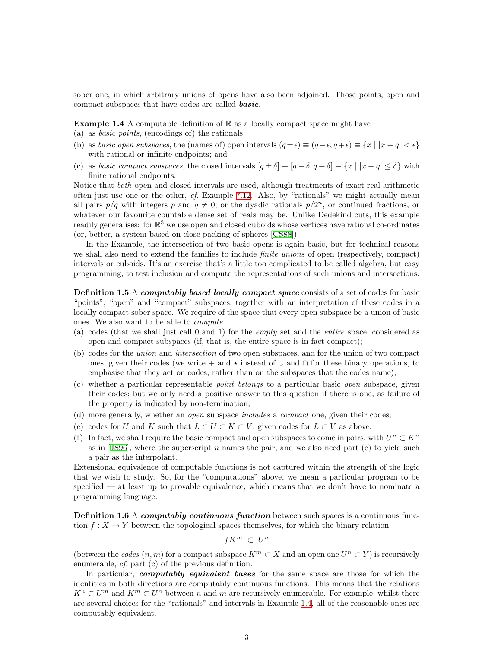sober one, in which arbitrary unions of opens have also been adjoined. Those points, open and compact subspaces that have codes are called **basic**.

<span id="page-2-0"></span>**Example 1.4** A computable definition of  $\mathbb{R}$  as a locally compact space might have

- (a) as basic points, (encodings of) the rationals;
- (b) as basic open subspaces, the (names of) open intervals  $(q \pm \epsilon) \equiv (q \epsilon, q + \epsilon) \equiv \{x \mid |x q| < \epsilon\}$ with rational or infinite endpoints; and
- (c) as basic compact subspaces, the closed intervals  $[q \pm \delta] \equiv [q \delta, q + \delta] \equiv \{x \mid |x q| \leq \delta\}$  with finite rational endpoints.

Notice that both open and closed intervals are used, although treatments of exact real arithmetic often just use one or the other,  $cf.$  Example [7.12.](#page-26-1) Also, by "rationals" we might actually mean all pairs  $p/q$  with integers p and  $q \neq 0$ , or the dyadic rationals  $p/2^n$ , or continued fractions, or whatever our favourite countable dense set of reals may be. Unlike Dedekind cuts, this example readily generalises: for  $\mathbb{R}^3$  we use open and closed cuboids whose vertices have rational co-ordinates (or, better, a system based on close packing of spheres[[CS88](#page-58-0)]).

In the Example, the intersection of two basic opens is again basic, but for technical reasons we shall also need to extend the families to include *finite unions* of open (respectively, compact) intervals or cuboids. It's an exercise that's a little too complicated to be called algebra, but easy programming, to test inclusion and compute the representations of such unions and intersections.

<span id="page-2-1"></span>Definition 1.5 A computably based locally compact space consists of a set of codes for basic "points", "open" and "compact" subspaces, together with an interpretation of these codes in a locally compact sober space. We require of the space that every open subspace be a union of basic ones. We also want to be able to compute

- (a) codes (that we shall just call 0 and 1) for the empty set and the entire space, considered as open and compact subspaces (if, that is, the entire space is in fact compact);
- (b) codes for the union and intersection of two open subspaces, and for the union of two compact ones, given their codes (we write + and  $\star$  instead of  $\cup$  and  $\cap$  for these binary operations, to emphasise that they act on codes, rather than on the subspaces that the codes name);
- (c) whether a particular representable point belongs to a particular basic open subspace, given their codes; but we only need a positive answer to this question if there is one, as failure of the property is indicated by non-termination;
- (d) more generally, whether an open subspace includes a compact one, given their codes;
- (e) codes for U and K such that  $L \subset U \subset K \subset V$ , given codes for  $L \subset V$  as above.
- <span id="page-2-3"></span>(f) In fact, we shall require the basic compact and open subspaces to come in pairs, with  $U^n \subset K^n$ asin  $[JS96]$  $[JS96]$  $[JS96]$ , where the superscript n names the pair, and we also need part (e) to yield such a pair as the interpolant.

Extensional equivalence of computable functions is not captured within the strength of the logic that we wish to study. So, for the "computations" above, we mean a particular program to be specified — at least up to provable equivalence, which means that we don't have to nominate a programming language.

<span id="page-2-2"></span>**Definition 1.6 A computably continuous function** between such spaces is a continuous function  $f: X \to Y$  between the topological spaces themselves, for which the binary relation

$$
fK^m \ \subset \ U^n
$$

(between the codes  $(n, m)$  for a compact subspace  $K^m \subset X$  and an open one  $U^n \subset Y$ ) is recursively enumerable, cf. part (c) of the previous definition.

In particular, *computably equivalent bases* for the same space are those for which the identities in both directions are computably continuous functions. This means that the relations  $K^n \subset U^m$  and  $K^m \subset U^n$  between n and m are recursively enumerable. For example, whilst there are several choices for the "rationals" and intervals in Example [1.4,](#page-2-0) all of the reasonable ones are computably equivalent.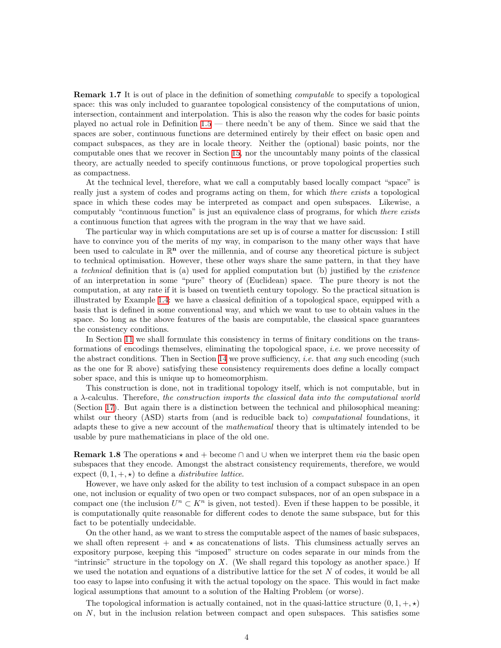<span id="page-3-1"></span>**Remark 1.7** It is out of place in the definition of something *computable* to specify a topological space: this was only included to guarantee topological consistency of the computations of union, intersection, containment and interpolation. This is also the reason why the codes for basic points played no actual role in Definition [1.5](#page-2-1) — there needn't be any of them. Since we said that the spaces are sober, continuous functions are determined entirely by their effect on basic open and compact subspaces, as they are in locale theory. Neither the (optional) basic points, nor the computable ones that we recover in Section [15](#page-49-1), nor the uncountably many points of the classical theory, are actually needed to specify continuous functions, or prove topological properties such as compactness.

At the technical level, therefore, what we call a computably based locally compact "space" is really just a system of codes and programs acting on them, for which *there exists* a topological space in which these codes may be interpreted as compact and open subspaces. Likewise, a computably "continuous function" is just an equivalence class of programs, for which there exists a continuous function that agrees with the program in the way that we have said.

The particular way in which computations are set up is of course a matter for discussion: I still have to convince you of the merits of my way, in comparison to the many other ways that have been used to calculate in  $\mathbb{R}^n$  over the millennia, and of course any theoretical picture is subject to technical optimisation. However, these other ways share the same pattern, in that they have a technical definition that is (a) used for applied computation but (b) justified by the existence of an interpretation in some "pure" theory of (Euclidean) space. The pure theory is not the computation, at any rate if it is based on twentieth century topology. So the practical situation is illustrated by Example [1.4:](#page-2-0) we have a classical definition of a topological space, equipped with a basis that is defined in some conventional way, and which we want to use to obtain values in the space. So long as the above features of the basis are computable, the classical space guarantees the consistency conditions.

In Section [11](#page-37-1) we shall formulate this consistency in terms of finitary conditions on the transformations of encodings themselves, eliminating the topological space, i.e. we prove necessity of the abstract conditions. Then in Section [14](#page-46-1) we prove sufficiency, *i.e.* that *any* such encoding (such as the one for R above) satisfying these consistency requirements does define a locally compact sober space, and this is unique up to homeomorphism.

This construction is done, not in traditional topology itself, which is not computable, but in a  $\lambda$ -calculus. Therefore, the construction imports the classical data into the computational world (Section [17](#page-54-1)). But again there is a distinction between the technical and philosophical meaning: whilst our theory (ASD) starts from (and is reducible back to) *computational* foundations, it adapts these to give a new account of the mathematical theory that is ultimately intended to be usable by pure mathematicians in place of the old one.

<span id="page-3-0"></span>**Remark 1.8** The operations  $\star$  and + become ∩ and ∪ when we interpret them *via* the basic open subspaces that they encode. Amongst the abstract consistency requirements, therefore, we would expect  $(0, 1, +, \star)$  to define a *distributive lattice*.

However, we have only asked for the ability to test inclusion of a compact subspace in an open one, not inclusion or equality of two open or two compact subspaces, nor of an open subspace in a compact one (the inclusion  $U^n \subset K^n$  is given, not tested). Even if these happen to be possible, it is computationally quite reasonable for different codes to denote the same subspace, but for this fact to be potentially undecidable.

On the other hand, as we want to stress the computable aspect of the names of basic subspaces, we shall often represent  $+$  and  $\star$  as concatenations of lists. This clumsiness actually serves an expository purpose, keeping this "imposed" structure on codes separate in our minds from the "intrinsic" structure in the topology on  $X$ . (We shall regard this topology as another space.) If we used the notation and equations of a distributive lattice for the set  $N$  of codes, it would be all too easy to lapse into confusing it with the actual topology on the space. This would in fact make logical assumptions that amount to a solution of the Halting Problem (or worse).

The topological information is actually contained, not in the quasi-lattice structure  $(0, 1, +, \star)$ on N, but in the inclusion relation between compact and open subspaces. This satisfies some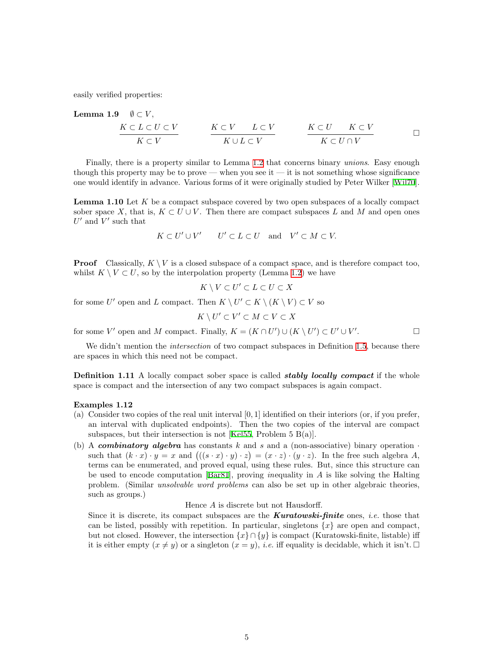<span id="page-4-1"></span><span id="page-4-0"></span>easily verified properties:

**Lemma 1.9** 
$$
\emptyset \subset V
$$
,  
\n $\begin{array}{c|c|c|c} \nK \subset L \subset U \subset V & K \subset V & L \subset V & K \subset U & K \subset V \\ \hline\nK \subset V & K \cup L \subset V & K \subset U \cap V & K \subset U \cap V & \end{array}$ 

Finally, there is a property similar to Lemma [1.2](#page-1-2) that concerns binary unions. Easy enough though this property may be to prove — when you see it — it is not something whose significance one would identify in advance. Various forms of it were originally studied by Peter Wilker[[Wil70](#page-59-2)].

<span id="page-4-2"></span>**Lemma 1.10** Let  $K$  be a compact subspace covered by two open subspaces of a locally compact sober space X, that is,  $K \subset U \cup V$ . Then there are compact subspaces L and M and open ones  $U'$  and  $V'$  such that

$$
K\subset U'\cup V' \qquad U'\subset L\subset U \quad \text{and} \quad V'\subset M\subset V.
$$

**Proof** Classically,  $K \setminus V$  is a closed subspace of a compact space, and is therefore compact too, whilst  $K \setminus V \subset U$ , so by the interpolation property (Lemma [1.2\)](#page-1-2) we have

$$
K \setminus V \subset U' \subset L \subset U \subset X
$$

for some U' open and L compact. Then  $K \setminus U' \subset K \setminus (K \setminus V) \subset V$  so

$$
K \setminus U' \subset V' \subset M \subset V \subset X
$$

for some V' open and M compact. Finally,  $K = (K \cap U') \cup (K \setminus U') \subset U' \cup V'$ . — Первый проста в сервести проста в сервести проста в сервести проста в сервести проста в сервести проста в<br>В сервести проста в сервести проста в сервести проста в сервести проста в сервести проста в сервести проста в<br>П

We didn't mention the *intersection* of two compact subspaces in Definition [1.5,](#page-2-1) because there are spaces in which this need not be compact.

**Definition 1.11** A locally compact sober space is called *stably locally compact* if the whole space is compact and the intersection of any two compact subspaces is again compact.

#### <span id="page-4-3"></span>Examples 1.12

- (a) Consider two copies of the real unit interval  $[0, 1]$  identified on their interiors (or, if you prefer, an interval with duplicated endpoints). Then the two copies of the interval are compact subspaces, but their intersection is not [\[Kel55](#page-59-3), Problem 5 B(a)].
- <span id="page-4-4"></span>(b) A combinatory algebra has constants k and s and a (non-associative) binary operation  $\cdot$ such that  $(k \cdot x) \cdot y = x$  and  $((s \cdot x) \cdot y) \cdot z = (x \cdot z) \cdot (y \cdot z)$ . In the free such algebra A, terms can be enumerated, and proved equal, using these rules. But, since this structure can be used to encode computation [\[Bar81\]](#page-58-1), proving *inequality* in  $\vec{A}$  is like solving the Halting problem. (Similar unsolvable word problems can also be set up in other algebraic theories, such as groups.)

#### Hence A is discrete but not Hausdorff.

Since it is discrete, its compact subspaces are the **Kuratowski-finite** ones, *i.e.* those that can be listed, possibly with repetition. In particular, singletons  $\{x\}$  are open and compact, but not closed. However, the intersection  $\{x\} \cap \{y\}$  is compact (Kuratowski-finite, listable) iff it is either empty  $(x \neq y)$  or a singleton  $(x = y)$ , *i.e.* iff equality is decidable, which it isn't.  $\Box$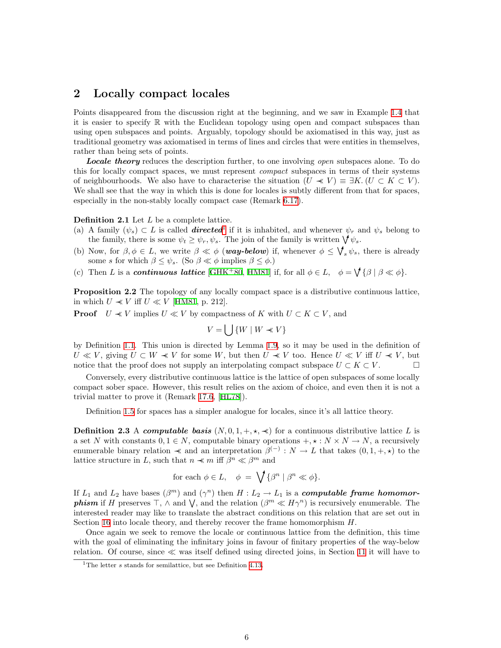### <span id="page-5-0"></span>2 Locally compact locales

Points disappeared from the discussion right at the beginning, and we saw in Example [1.4](#page-2-0) that it is easier to specify R with the Euclidean topology using open and compact subspaces than using open subspaces and points. Arguably, topology should be axiomatised in this way, just as traditional geometry was axiomatised in terms of lines and circles that were entities in themselves, rather than being sets of points.

**Locale theory** reduces the description further, to one involving *open* subspaces alone. To do this for locally compact spaces, we must represent *compact* subspaces in terms of their systems of neighbourhoods. We also have to characterise the situation  $(U \ll V) \equiv \exists K \, (U \subset K \subset V)$ . We shall see that the way in which this is done for locales is subtly different from that for spaces, especially in the non-stably locally compact case (Remark [6.17](#page-23-2)).

#### Definition 2.1 Let L be a complete lattice.

- <span id="page-5-5"></span>(a) A family  $(\psi_s) \subset L$  is called **directed**<sup>[1](#page-5-1)</sup> if it is inhabited, and whenever  $\psi_r$  and  $\psi_s$  belong to the family, there is some  $\psi_t \geq \psi_r, \psi_s$ . The join of the family is written  $\bigvee \psi_s$ .
- <span id="page-5-4"></span>(b) Now, for  $\beta, \phi \in L$ , we write  $\beta \ll \phi$  (**way-below**) if, whenever  $\phi \leq \bigvee_s \psi_s$ , there is already some s for which  $\beta \leq \psi_s$ . (So  $\beta \ll \phi$  implies  $\beta \leq \phi$ .)
- <span id="page-5-6"></span><span id="page-5-3"></span>(c) Then L is a **continuous lattice** [[GHK](#page-58-2)<sup>+</sup>80, [HM81\]](#page-59-0) if, for all  $\phi \in L$ ,  $\phi = \mathcal{V} {\{\beta | \beta \ll \phi\}}$ .

Proposition 2.2 The topology of any locally compact space is a distributive continuous lattice, in which  $U \ll V$  iff  $U \ll V$  [[HM81](#page-59-0), p. 212].

**Proof**  $U \ll V$  implies  $U \ll V$  by compactness of K with  $U \subset K \subset V$ , and

$$
V = \bigcup \{ W \mid W \prec V \}
$$

by Definition [1.1](#page-1-3). This union is directed by Lemma [1.9,](#page-4-1) so it may be used in the definition of  $U \ll V$ , giving  $U \subset W \ll V$  for some W, but then  $U \ll V$  too. Hence  $U \ll V$  iff  $U \ll V$ , but notice that the proof does not supply an interpolating compact subspace  $U \subset K \subset V$ .

Conversely, every distributive continuous lattice is the lattice of open subspaces of some locally compact sober space. However, this result relies on the axiom of choice, and even then it is not a trivial matter to prove it (Remark [17.6](#page-56-0), [\[HL78\]](#page-59-4)).

Definition [1.5](#page-2-1) for spaces has a simpler analogue for locales, since it's all lattice theory.

<span id="page-5-2"></span>**Definition 2.3** A computable basis  $(N, 0, 1, +, \star, \star)$  for a continuous distributive lattice L is a set N with constants  $0, 1 \in N$ , computable binary operations  $+, * : N \times N \to N$ , a recursively enumerable binary relation  $\prec$  and an interpretation  $\beta^{(-)}$ :  $N \to L$  that takes  $(0,1, +, \star)$  to the lattice structure in L, such that  $n \ll m$  iff  $\beta^n \ll \beta^m$  and

for each 
$$
\phi \in L
$$
,  $\phi = \bigvee \{ \beta^n \mid \beta^n \ll \phi \}.$ 

If  $L_1$  and  $L_2$  have bases  $(\beta^m)$  and  $(\gamma^n)$  then  $H: L_2 \to L_1$  is a **computable frame homomorphism** if H preserves  $\top$ ,  $\wedge$  and  $\bigvee$ , and the relation  $(\beta^m \ll H\gamma^n)$  is recursively enumerable. The interested reader may like to translate the abstract conditions on this relation that are set out in Section [16](#page-51-1) into locale theory, and thereby recover the frame homomorphism  $H$ .

Once again we seek to remove the locale or continuous lattice from the definition, this time with the goal of eliminating the infinitary joins in favour of finitary properties of the way-below relation. Of course, since  $\ll$  was itself defined using directed joins, in Section [11](#page-37-1) it will have to

<span id="page-5-1"></span><sup>&</sup>lt;sup>1</sup>The letter  $s$  stands for semilattice, but see Definition [4.13.](#page-13-0)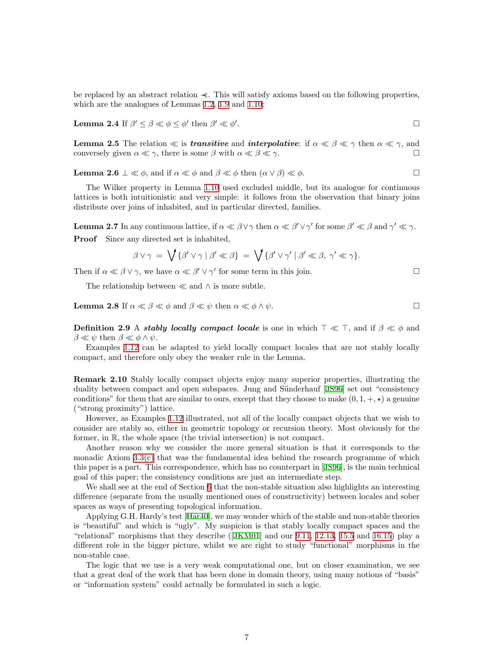<span id="page-6-0"></span>be replaced by an abstract relation ≺≺. This will satisfy axioms based on the following properties, which are the analogues of Lemmas [1.2](#page-1-2), [1.9](#page-4-1) and [1.10:](#page-4-2)

**Lemma 2.4** If  $\beta' \leq \beta \ll \phi \leq \phi'$  then  $\beta' \ll \phi'$ .

**Lemma 2.5** The relation  $\ll$  is *transitive* and *interpolative*: if  $\alpha \ll \beta \ll \gamma$  then  $\alpha \ll \gamma$ , and conversely given  $\alpha \ll \gamma$ , there is some  $\beta$  with  $\alpha \ll \beta \ll \gamma$ .

<span id="page-6-3"></span>**Lemma 2.6**  $\perp \ll \phi$ , and if  $\alpha \ll \phi$  and  $\beta \ll \phi$  then  $(\alpha \lor \beta) \ll \phi$ .

The Wilker property in Lemma [1.10](#page-4-2) used excluded middle, but its analogue for continuous lattices is both intuitionistic and very simple: it follows from the observation that binary joins distribute over joins of inhabited, and in particular directed, families.

<span id="page-6-1"></span>**Lemma 2.7** In any continuous lattice, if  $\alpha \ll \beta \lor \gamma$  then  $\alpha \ll \beta' \lor \gamma'$  for some  $\beta' \ll \beta$  and  $\gamma' \ll \gamma$ . Proof Since any directed set is inhabited,

$$
\beta \vee \gamma = \bigvee \{ \beta' \vee \gamma \mid \beta' \ll \beta \} = \bigvee \{ \beta' \vee \gamma' \mid \beta' \ll \beta, \gamma' \ll \gamma \}.
$$

Then if  $\alpha \ll \beta \lor \gamma$ , we have  $\alpha \ll \beta' \lor \gamma'$  for some term in this join.

The relationship between  $\ll$  and  $\land$  is more subtle.

<span id="page-6-4"></span><span id="page-6-2"></span>**Lemma 2.8** If  $\alpha \ll \beta \ll \phi$  and  $\beta \ll \psi$  then  $\alpha \ll \phi \land \psi$ .

**Definition 2.9** A *stably locally compact locale* is one in which  $\top \ll \top$ , and if  $\beta \ll \phi$  and  $\beta \ll \psi$  then  $\beta \ll \phi \wedge \psi$ .

Examples [1.12](#page-4-3) can be adapted to yield locally compact locales that are not stably locally compact, and therefore only obey the weaker rule in the Lemma.

Remark 2.10 Stably locally compact objects enjoy many superior properties, illustrating the dualitybetween compact and open subspaces. Jung and Sünderhauf [[JS96\]](#page-59-1) set out "consistency conditions" for them that are similar to ours, except that they choose to make  $(0, 1, +, \star)$  a genuine ("strong proximity") lattice.

However, as Examples [1.12](#page-4-3) illustrated, not all of the locally compact objects that we wish to consider are stably so, either in geometric topology or recursion theory. Most obviously for the former, in R, the whole space (the trivial intersection) is not compact.

Another reason why we consider the more general situation is that it corresponds to the monadic Axiom [3.3\(c\)](#page-8-0) that was the fundamental idea behind the research programme of which this paper is a part. This correspondence, which has no counterpart in[[JS96\]](#page-59-1), is the main technical goal of this paper; the consistency conditions are just an intermediate step.

We shall see at the end of Section [6](#page-19-1) that the non-stable situation also highlights an interesting difference (separate from the usually mentioned ones of constructivity) between locales and sober spaces as ways of presenting topological information.

Applying G.H. Hardy's test [\[Har40](#page-58-3)], we may wonder which of the stable and non-stable theories is "beautiful" and which is "ugly". My suspicion is that stably locally compact spaces and the "relational" morphisms that they describe([\[JKM01](#page-59-5)] and our [9.11](#page-34-2), [12.13](#page-43-0), [15.5](#page-50-0) and [16.15\)](#page-54-2) play a different role in the bigger picture, whilst we are right to study "functional" morphisms in the non-stable case.

The logic that we use is a very weak computational one, but on closer examination, we see that a great deal of the work that has been done in domain theory, using many notions of "basis" or "information system" could actually be formulated in such a logic.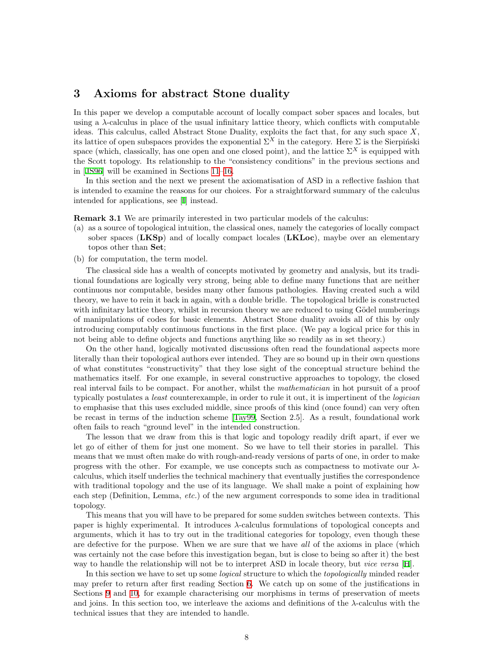### <span id="page-7-0"></span>3 Axioms for abstract Stone duality

In this paper we develop a computable account of locally compact sober spaces and locales, but using a  $\lambda$ -calculus in place of the usual infinitary lattice theory, which conflicts with computable ideas. This calculus, called Abstract Stone Duality, exploits the fact that, for any such space  $X$ , its lattice of open subspaces provides the exponential  $\Sigma^X$  in the category. Here  $\Sigma$  is the Sierpiński space (which, classically, has one open and one closed point), and the lattice  $\Sigma^X$  is equipped with the Scott topology. Its relationship to the "consistency conditions" in the previous sections and in [\[JS96](#page-59-1)] will be examined in Sections [11](#page-37-1)[–16](#page-51-1).

In this section and the next we present the axiomatisation of ASD in a reflective fashion that is intended to examine the reasons for our choices. For a straightforward summary of the calculus intended for applications, see[[I\]](#page-60-5) instead.

<span id="page-7-1"></span>Remark 3.1 We are primarily interested in two particular models of the calculus:

- (a) as a source of topological intuition, the classical ones, namely the categories of locally compact sober spaces (LKSp) and of locally compact locales (LKLoc), maybe over an elementary topos other than Set;
- (b) for computation, the term model.

The classical side has a wealth of concepts motivated by geometry and analysis, but its traditional foundations are logically very strong, being able to define many functions that are neither continuous nor computable, besides many other famous pathologies. Having created such a wild theory, we have to rein it back in again, with a double bridle. The topological bridle is constructed with infinitary lattice theory, whilst in recursion theory we are reduced to using Gödel numberings of manipulations of codes for basic elements. Abstract Stone duality avoids all of this by only introducing computably continuous functions in the first place. (We pay a logical price for this in not being able to define objects and functions anything like so readily as in set theory.)

On the other hand, logically motivated discussions often read the foundational aspects more literally than their topological authors ever intended. They are so bound up in their own questions of what constitutes "constructivity" that they lose sight of the conceptual structure behind the mathematics itself. For one example, in several constructive approaches to topology, the closed real interval fails to be compact. For another, whilst the *mathematician* in hot pursuit of a proof typically postulates a *least* counterexample, in order to rule it out, it is impertinent of the *logician* to emphasise that this uses excluded middle, since proofs of this kind (once found) can very often be recast in terms of the induction scheme[[Tay99,](#page-59-6) Section 2.5]. As a result, foundational work often fails to reach "ground level" in the intended construction.

The lesson that we draw from this is that logic and topology readily drift apart, if ever we let go of either of them for just one moment. So we have to tell their stories in parallel. This means that we must often make do with rough-and-ready versions of parts of one, in order to make progress with the other. For example, we use concepts such as compactness to motivate our  $\lambda$ calculus, which itself underlies the technical machinery that eventually justifies the correspondence with traditional topology and the use of its language. We shall make a point of explaining how each step (Definition, Lemma, etc.) of the new argument corresponds to some idea in traditional topology.

This means that you will have to be prepared for some sudden switches between contexts. This paper is highly experimental. It introduces  $\lambda$ -calculus formulations of topological concepts and arguments, which it has to try out in the traditional categories for topology, even though these are defective for the purpose. When we are sure that we have all of the axioms in place (which was certainly not the case before this investigation began, but is close to being so after it) the best way to handle the relationship will not be to interpret ASD in locale theory, but vice versa [[H](#page-60-4)].

In this section we have to set up some *logical* structure to which the *topologically* minded reader may prefer to return after first reading Section [6](#page-19-1). We catch up on some of the justifications in Sections [9](#page-32-1) and [10,](#page-34-1) for example characterising our morphisms in terms of preservation of meets and joins. In this section too, we interleave the axioms and definitions of the  $\lambda$ -calculus with the technical issues that they are intended to handle.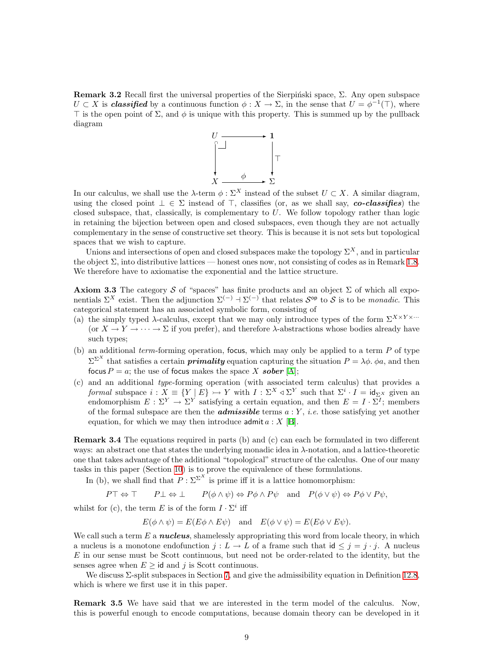<span id="page-8-1"></span>Remark 3.2 Recall first the universal properties of the Sierpinski space,  $\Sigma$ . Any open subspace  $U \subset X$  is *classified* by a continuous function  $\phi: X \to \Sigma$ , in the sense that  $U = \phi^{-1}(\top)$ , where  $\top$  is the open point of  $\Sigma$ , and  $\phi$  is unique with this property. This is summed up by the pullback diagram



In our calculus, we shall use the  $\lambda$ -term  $\phi : \Sigma^X$  instead of the subset  $U \subset X$ . A similar diagram, using the closed point  $\bot \in \Sigma$  instead of  $\top$ , classifies (or, as we shall say, co-classifies) the closed subspace, that, classically, is complementary to  $U$ . We follow topology rather than logic in retaining the bijection between open and closed subspaces, even though they are not actually complementary in the sense of constructive set theory. This is because it is not sets but topological spaces that we wish to capture.

Unions and intersections of open and closed subspaces make the topology  $\Sigma^X$ , and in particular the object Σ, into distributive lattices — honest ones now, not consisting of codes as in Remark [1.8](#page-3-0). We therefore have to axiomatise the exponential and the lattice structure.

<span id="page-8-3"></span>Axiom 3.3 The category S of "spaces" has finite products and an object  $\Sigma$  of which all exponentials  $\Sigma^X$  exist. Then the adjunction  $\Sigma^{(-)}$  +  $\Sigma^{(-)}$  that relates  $S^{\text{op}}$  to  $S$  is to be *monadic*. This categorical statement has an associated symbolic form, consisting of

- (a) the simply typed  $\lambda$ -calculus, except that we may only introduce types of the form  $\Sigma^{X \times Y \times \cdots}$ (or  $X \to Y \to \cdots \to \Sigma$  if you prefer), and therefore  $\lambda$ -abstractions whose bodies already have such types;
- <span id="page-8-2"></span>(b) an additional term-forming operation, focus, which may only be applied to a term  $P$  of type  $\Sigma^{\Sigma^{X}}$  that satisfies a certain **primality** equation capturing the situation  $P = \lambda \phi$ .  $\phi a$ , and then focus  $P = a$ ; the use of focus makes the space X sober [\[A\]](#page-60-1);
- <span id="page-8-0"></span>(c) and an additional type-forming operation (with associated term calculus) that provides a formal subspace  $i: X \equiv \{Y \mid E\} \rightarrow Y$  with  $I: \Sigma^X \triangleleft \Sigma^Y$  such that  $\Sigma^i \cdot I = id_{\Sigma^X}$  given an endomorphism  $E: \Sigma^Y \to \Sigma^Y$  satisfying a certain equation, and then  $E = I \cdot \Sigma^I$ ; members of the formal subspace are then the **admissible** terms  $a:Y, i.e.$  those satisfying yet another equation, for which we may then introduce  $\text{admit } a : X [B].$  $\text{admit } a : X [B].$  $\text{admit } a : X [B].$

<span id="page-8-4"></span>Remark 3.4 The equations required in parts (b) and (c) can each be formulated in two different ways: an abstract one that states the underlying monadic idea in λ-notation, and a lattice-theoretic one that takes advantage of the additional "topological" structure of the calculus. One of our many tasks in this paper (Section [10](#page-34-1)) is to prove the equivalence of these formulations.

In (b), we shall find that  $P : \Sigma^{\Sigma^X}$  is prime iff it is a lattice homomorphism:

 $P\top \Leftrightarrow \top$   $P\bot \Leftrightarrow \bot$   $P(\phi \wedge \psi) \Leftrightarrow P\phi \wedge P\psi$  and  $P(\phi \vee \psi) \Leftrightarrow P\phi \vee P\psi$ ,

whilst for (c), the term E is of the form  $I \cdot \Sigma^i$  iff

 $E(\phi \wedge \psi) = E(E\phi \wedge E\psi)$  and  $E(\phi \vee \psi) = E(E\phi \vee E\psi)$ .

We call such a term  $E$  a **nucleus**, shamelessly appropriating this word from locale theory, in which a nucleus is a monotone endofunction  $j : L \to L$  of a frame such that  $id \leq j = j \cdot j$ . A nucleus E in our sense must be Scott continuous, but need not be order-related to the identity, but the senses agree when  $E \geq id$  and j is Scott continuous.

We discuss Σ-split subspaces in Section [7,](#page-23-1) and give the admissibility equation in Definition [12.8](#page-42-0), which is where we first use it in this paper.

<span id="page-8-5"></span>Remark 3.5 We have said that we are interested in the term model of the calculus. Now, this is powerful enough to encode computations, because domain theory can be developed in it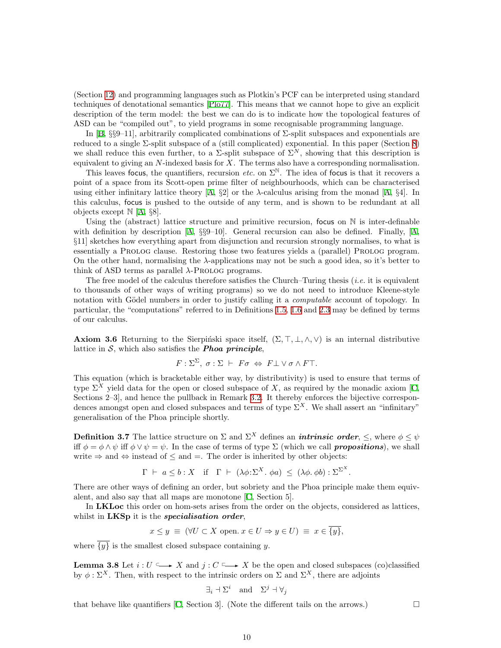(Section [12](#page-40-1)) and programming languages such as Plotkin's PCF can be interpreted using standard techniques of denotational semantics [\[Plo77\]](#page-59-7). This means that we cannot hope to give an explicit description of the term model: the best we can do is to indicate how the topological features of ASD can be "compiled out", to yield programs in some recognisable programming language.

In [\[B](#page-60-0),  $\S\$ –11], arbitrarily complicated combinations of  $\Sigma$ -split subspaces and exponentials are reduced to a single Σ-split subspace of a (still complicated) exponential. In this paper (Section [8](#page-28-1)) we shall reduce this even further, to a  $\Sigma$ -split subspace of  $\Sigma^N$ , showing that this description is equivalent to giving an  $N$ -indexed basis for  $X$ . The terms also have a corresponding normalisation.

This leaves focus, the quantifiers, recursion etc. on  $\Sigma^{\mathbb{N}}$ . The idea of focus is that it recovers a point of a space from its Scott-open prime filter of neighbourhoods, which can be characterised usingeither infinitary lattice theory  $[A, \S 2]$  $[A, \S 2]$  $[A, \S 2]$  or the  $\lambda$ -calculus arising from the monad  $[A, \S 4]$ . In this calculus, focus is pushed to the outside of any term, and is shown to be redundant at all objects except  $\mathbb{N}$  [[A](#page-60-1), §8].

Using the (abstract) lattice structure and primitive recursion, focus on  $\mathbb N$  is inter-definable withdefinition by description  $[A, \S \S 9-10]$  $[A, \S \S 9-10]$  $[A, \S \S 9-10]$ . General recursion can also be defined. Finally,  $[A, \S 1]$ §11] sketches how everything apart from disjunction and recursion strongly normalises, to what is essentially a PROLOG clause. Restoring those two features yields a (parallel) PROLOG program. On the other hand, normalising the λ-applications may not be such a good idea, so it's better to think of ASD terms as parallel  $\lambda$ -Prolog programs.

The free model of the calculus therefore satisfies the Church–Turing thesis  $(i.e.$  it is equivalent to thousands of other ways of writing programs) so we do not need to introduce Kleene-style notation with Gödel numbers in order to justify calling it a *computable* account of topology. In particular, the "computations" referred to in Definitions [1.5,](#page-2-1) [1.6](#page-2-2) and [2.3](#page-5-2) may be defined by terms of our calculus.

<span id="page-9-1"></span>**Axiom 3.6** Returning to the Sierpiński space itself,  $(\Sigma, \top, \bot, \wedge, \vee)$  is an internal distributive lattice in  $S$ , which also satisfies the **Phoa principle**,

$$
F: \Sigma^{\Sigma}, \sigma: \Sigma \vdash F\sigma \Leftrightarrow F\bot \vee \sigma \wedge F\top.
$$

This equation (which is bracketable either way, by distributivity) is used to ensure that terms of type  $\Sigma^X$  yield data for the open or closed subspace of X, as required by the monadic axiom [\[C](#page-60-2), Sections 2–3, and hence the pullback in Remark [3.2.](#page-8-1) It thereby enforces the bijective correspondences amongst open and closed subspaces and terms of type  $\Sigma^X$ . We shall assert an "infinitary" generalisation of the Phoa principle shortly.

<span id="page-9-0"></span>**Definition 3.7** The lattice structure on  $\Sigma$  and  $\Sigma^X$  defines an *intrinsic order*,  $\leq$ , where  $\phi \leq \psi$ iff  $\phi = \phi \wedge \psi$  iff  $\phi \vee \psi = \psi$ . In the case of terms of type  $\Sigma$  (which we call **propositions**), we shall write  $\Rightarrow$  and  $\Leftrightarrow$  instead of  $\leq$  and  $=$ . The order is inherited by other objects:

$$
\Gamma \vdash a \leq b : X \quad \text{if} \quad \Gamma \vdash (\lambda \phi : \Sigma^X \cdot \phi a) \leq (\lambda \phi, \phi b) : \Sigma^{\Sigma^X}.
$$

There are other ways of defining an order, but sobriety and the Phoa principle make them equivalent, and also say that all maps are monotone[[C,](#page-60-2) Section 5].

In LKLoc this order on hom-sets arises from the order on the objects, considered as lattices, whilst in LKSp it is the *specialisation order*,

$$
x \leq y \equiv (\forall U \subset X \text{ open. } x \in U \Rightarrow y \in U) \equiv x \in \overline{\{y\}},
$$

where  $\overline{\{y\}}$  is the smallest closed subspace containing y.

<span id="page-9-2"></span>**Lemma 3.8** Let  $i: U \longrightarrow X$  and  $j: C \longrightarrow X$  be the open and closed subspaces (co)classified by  $\phi : \Sigma^X$ . Then, with respect to the intrinsic orders on  $\Sigma$  and  $\Sigma^X$ , there are adjoints

$$
\exists_i \exists \Sigma^i \text{ and } \Sigma^j \exists \forall_j
$$

thatbehave like quantifiers [[C,](#page-60-2) Section 3]. (Note the different tails on the arrows.)  $\Box$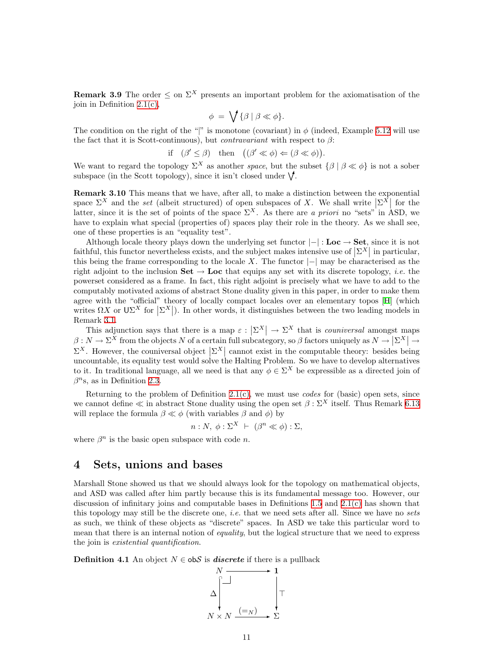<span id="page-10-2"></span><span id="page-10-0"></span>**Remark 3.9** The order  $\leq$  on  $\Sigma^X$  presents an important problem for the axiomatisation of the join in Definition [2.1\(c\),](#page-5-3)

$$
\phi = \bigvee \{ \beta \mid \beta \ll \phi \}.
$$

The condition on the right of the "|" is monotone (covariant) in  $\phi$  (indeed, Example [5.12](#page-18-0) will use the fact that it is Scott-continuous), but *contravariant* with respect to  $\beta$ :

if 
$$
(\beta' \le \beta)
$$
 then  $((\beta' \ll \phi) \Leftarrow (\beta \ll \phi))$ .

We want to regard the topology  $\Sigma^X$  as another space, but the subset  $\{\beta \mid \beta \ll \phi\}$  is not a sober subspace (in the Scott topology), since it isn't closed under  $\mathcal{V}$ .

<span id="page-10-3"></span>Remark 3.10 This means that we have, after all, to make a distinction between the exponential space  $\Sigma^X$  and the set (albeit structured) of open subspaces of X. We shall write  $\left[\Sigma^X\right]$  for the space  $\mathbb{Z}^n$  and the set (about structured) of open subspaces of  $\mathbb{Z}$ . We shall write  $|\mathbb{Z}^n|$  for the latter, since it is the set of points of the space  $\Sigma^X$ . As there are a priori no "sets" in ASD, we have to explain what special (properties of) spaces play their role in the theory. As we shall see, one of these properties is an "equality test".

Although locale theory plays down the underlying set functor  $|-|:$  Loc  $\rightarrow$  Set, since it is not faithful, this functor nevertheless exists, and the subject makes intensive use of  $|\Sigma^X|$  in particular, this being the frame corresponding to the locale X. The functor  $|-|$  may be characterised as the right adjoint to the inclusion  $\mathbf{Set} \to \mathbf{Loc}$  that equips any set with its discrete topology, *i.e.* the powerset considered as a frame. In fact, this right adjoint is precisely what we have to add to the computably motivated axioms of abstract Stone duality given in this paper, in order to make them agree with the "official" theory of locally compact locales over an elementary topos[[H](#page-60-4)] (which writes  $\Omega X$  or  $\left|\Sigma^X\right|$ ). In other words, it distinguishes between the two leading models in Remark [3.1](#page-7-1).

This adjunction says that there is a map  $\varepsilon : |\Sigma^X| \to \Sigma^X$  that is couniversal amongst maps  $\beta: N \to \Sigma^X$  from the objects N of a certain full subcategory, so  $\beta$  factors uniquely as  $N \to |\Sigma^X| \to \Sigma^X$  $\Sigma^X$ . However, the couniversal object  $\Sigma^X$  cannot exist in the computable theory: besides being uncountable, its equality test would solve the Halting Problem. So we have to develop alternatives to it. In traditional language, all we need is that any  $\phi \in \Sigma^X$  be expressible as a directed join of  $\beta^{n}$ s, as in Definition [2.3.](#page-5-2)

Returning to the problem of Definition  $2.1(c)$ , we must use *codes* for (basic) open sets, since we cannot define  $\ll$  in abstract Stone duality using the open set  $\beta : \Sigma^X$  itself. Thus Remark [6.13](#page-22-1) will replace the formula  $\beta \ll \phi$  (with variables  $\beta$  and  $\phi$ ) by

$$
n: N, \ \phi: \Sigma^{X} \ \vdash \ (\beta^{n} \ll \phi) : \Sigma,
$$

where  $\beta^n$  is the basic open subspace with code *n*.

### <span id="page-10-1"></span>4 Sets, unions and bases

Marshall Stone showed us that we should always look for the topology on mathematical objects, and ASD was called after him partly because this is its fundamental message too. However, our discussion of infinitary joins and computable bases in Definitions [1.5](#page-2-1) and [2.1\(c\)](#page-5-3) has shown that this topology may still be the discrete one, *i.e.* that we need sets after all. Since we have no sets as such, we think of these objects as "discrete" spaces. In ASD we take this particular word to mean that there is an internal notion of *equality*, but the logical structure that we need to express the join is existential quantification.

**Definition 4.1** An object  $N \in \text{obS}$  is *discrete* if there is a pullback

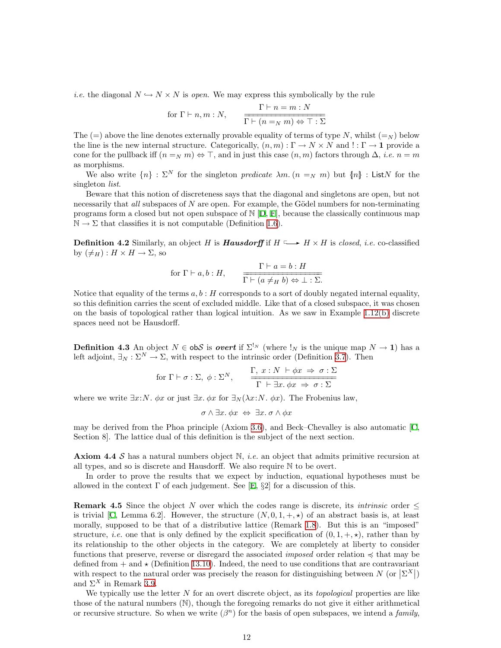*i.e.* the diagonal  $N \hookrightarrow N \times N$  is open. We may express this symbolically by the rule

for 
$$
\Gamma \vdash n, m : N
$$
,  $\frac{\Gamma \vdash n = m : N}{\Gamma \vdash (n =_N m) \Leftrightarrow \top : \Sigma}$ 

The  $(=)$  above the line denotes externally provable equality of terms of type N, whilst  $(=_N)$  below the line is the new internal structure. Categorically,  $(n, m) : \Gamma \to N \times N$  and  $! : \Gamma \to \mathbf{1}$  provide a cone for the pullback iff  $(n =_N m) \Leftrightarrow \top$ , and in just this case  $(n, m)$  factors through  $\Delta$ , *i.e.*  $n = m$ as morphisms.

We also write  ${n \in \Sigma^N}$  for the singleton predicate  $\lambda m$ .  $(n =_N m)$  but  $\{n\}$ : ListN for the singleton *list*.

Beware that this notion of discreteness says that the diagonal and singletons are open, but not necessarily that all subspaces of  $N$  are open. For example, the Gödel numbers for non-terminating programs form a closed but not open subspace of  $N$  [\[D,](#page-60-6) [F](#page-60-7)], because the classically continuous map  $\mathbb{N} \to \Sigma$  that classifies it is not computable (Definition [1.6](#page-2-2)).

<span id="page-11-1"></span>**Definition 4.2** Similarly, an object H is **Hausdorff** if  $H \longrightarrow H \times H$  is closed, i.e. co-classified by  $(\neq_H): H \times H \to \Sigma$ , so

for 
$$
\Gamma \vdash a, b : H
$$
,  $\frac{\Gamma \vdash a = b : H}{\Gamma \vdash (a \neq_H b) \Leftrightarrow \bot : \Sigma}$ .

Notice that equality of the terms  $a, b : H$  corresponds to a sort of doubly negated internal equality, so this definition carries the scent of excluded middle. Like that of a closed subspace, it was chosen on the basis of topological rather than logical intuition. As we saw in Example [1.12\(b\)](#page-4-4) discrete spaces need not be Hausdorff.

<span id="page-11-0"></span>**Definition 4.3** An object  $N \in obS$  is *overt* if  $\Sigma^{!_N}$  (where  $!_N$  is the unique map  $N \to \mathbf{1}$ ) has a left adjoint,  $\exists_N : \Sigma^N \to \Sigma$ , with respect to the intrinsic order (Definition [3.7\)](#page-9-0). Then

for 
$$
\Gamma \vdash \sigma : \Sigma
$$
,  $\phi : \Sigma^N$ ,  $\frac{\Gamma, x : N \vdash \phi x \Rightarrow \sigma : \Sigma}{\Gamma \vdash \exists x. \phi x \Rightarrow \sigma : \Sigma}$ 

where we write  $\exists x: N$ .  $\phi x$  or just  $\exists x. \phi x$  for  $\exists_N (\lambda x: N \cdot \phi x)$ . The Frobenius law,

$$
\sigma \wedge \exists x. \phi x \Leftrightarrow \exists x. \sigma \wedge \phi x
$$

may be derived from the Phoa principle (Axiom [3.6\)](#page-9-1), and Beck–Chevalley is also automatic [\[C](#page-60-2), Section 8]. The lattice dual of this definition is the subject of the next section.

<span id="page-11-2"></span>**Axiom 4.4 S** has a natural numbers object  $\mathbb{N}$ , *i.e.* an object that admits primitive recursion at all types, and so is discrete and Hausdorff. We also require  $\mathbb N$  to be overt.

In order to prove the results that we expect by induction, equational hypotheses must be allowedin the context  $\Gamma$  of each judgement. See [[E,](#page-60-3)  $\S2$ ] for a discussion of this.

<span id="page-11-3"></span>**Remark 4.5** Since the object N over which the codes range is discrete, its *intrinsic* order  $\leq$ istrivial [[C](#page-60-2), Lemma 6.2]. However, the structure  $(N, 0, 1, +, \star)$  of an abstract basis is, at least morally, supposed to be that of a distributive lattice (Remark [1.8](#page-3-0)). But this is an "imposed" structure, *i.e.* one that is only defined by the explicit specification of  $(0, 1, +, \star)$ , rather than by its relationship to the other objects in the category. We are completely at liberty to consider functions that preserve, reverse or disregard the associated *imposed* order relation  $\preccurlyeq$  that may be defined from  $+$  and  $\star$  (Definition [13.10\)](#page-45-0). Indeed, the need to use conditions that are contravariant with respect to the natural order was precisely the reason for distinguishing between  $N$  (or  $\left|\sum_{i=1}^{N} X_i\right|$ ) and  $\Sigma^X$  in Remark [3.9](#page-10-2).

We typically use the letter  $N$  for an overt discrete object, as its *topological* properties are like those of the natural numbers (N), though the foregoing remarks do not give it either arithmetical or recursive structure. So when we write  $(\beta^n)$  for the basis of open subspaces, we intend a *family*,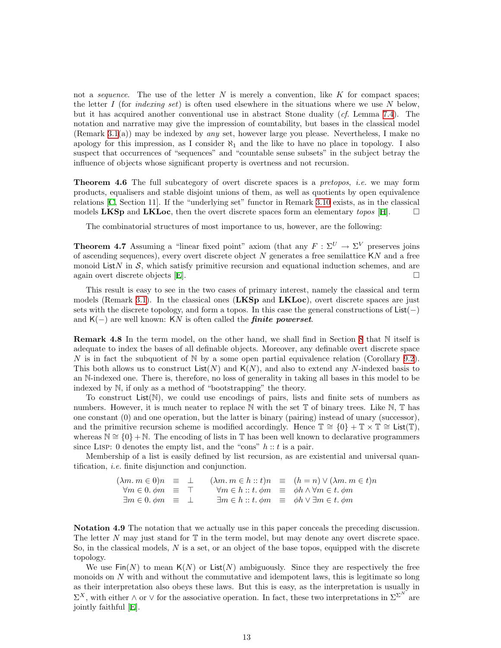not a *sequence*. The use of the letter  $N$  is merely a convention, like  $K$  for compact spaces; the letter I (for *indexing set*) is often used elsewhere in the situations where we use N below, but it has acquired another conventional use in abstract Stone duality (cf. Lemma [7.4](#page-24-0)). The notation and narrative may give the impression of countability, but bases in the classical model (Remark [3.1\(](#page-7-1)a)) may be indexed by any set, however large you please. Nevertheless, I make no apology for this impression, as I consider  $\aleph_1$  and the like to have no place in topology. I also suspect that occurrences of "sequences" and "countable sense subsets" in the subject betray the influence of objects whose significant property is overtness and not recursion.

**Theorem 4.6** The full subcategory of overt discrete spaces is a *pretopos, i.e.* we may form products, equalisers and stable disjoint unions of them, as well as quotients by open equivalence relations [\[C](#page-60-2), Section 11]. If the "underlying set" functor in Remark [3.10](#page-10-3) exists, as in the classical models LKSp and LKLoc, then the overt discrete spaces form an elementary topos [\[H\]](#page-60-4).  $\Box$ 

The combinatorial structures of most importance to us, however, are the following:

<span id="page-12-0"></span>**Theorem 4.7** Assuming a "linear fixed point" axiom (that any  $F : \Sigma^U \to \Sigma^V$  preserves joins of ascending sequences), every overt discrete object  $N$  generates a free semilattice  $KN$  and a free monoid ListN in  $S$ , which satisfy primitive recursion and equational induction schemes, and are again overt discrete objects [\[E](#page-60-3)].

This result is easy to see in the two cases of primary interest, namely the classical and term models (Remark [3.1\)](#page-7-1). In the classical ones  $(LKSp)$  and  $LKLoc$ ), overt discrete spaces are just sets with the discrete topology, and form a topos. In this case the general constructions of List(−) and  $K(-)$  are well known: KN is often called the *finite powerset*.

<span id="page-12-1"></span>Remark 4.8 In the term model, on the other hand, we shall find in Section [8](#page-28-1) that N itself is adequate to index the bases of all definable objects. Moreover, any definable overt discrete space N is in fact the subquotient of  $\mathbb N$  by a some open partial equivalence relation (Corollary [9.2](#page-32-2)). This both allows us to construct  $List(N)$  and  $K(N)$ , and also to extend any N-indexed basis to an N-indexed one. There is, therefore, no loss of generality in taking all bases in this model to be indexed by N, if only as a method of "bootstrapping" the theory.

To construct  $List(N)$ , we could use encodings of pairs, lists and finite sets of numbers as numbers. However, it is much neater to replace  $\mathbb N$  with the set  $\mathbb T$  of binary trees. Like  $\mathbb N$ ,  $\mathbb T$  has one constant (0) and one operation, but the latter is binary (pairing) instead of unary (successor), and the primitive recursion scheme is modified accordingly. Hence  $\mathbb{T} \cong \{0\} + \mathbb{T} \times \mathbb{T} \cong \mathsf{List}(\mathbb{T}),$ whereas  $\mathbb{N} \cong \{0\} + \mathbb{N}$ . The encoding of lists in T has been well known to declarative programmers since LISP: 0 denotes the empty list, and the "cons"  $h :: t$  is a pair.

Membership of a list is easily defined by list recursion, as are existential and universal quantification, i.e. finite disjunction and conjunction.

> $(\lambda m. m \in 0)n \equiv \perp \quad (\lambda m. m \in h :: t)n \equiv (h = n) \vee (\lambda m. m \in t)n$  $\forall m \in 0. \phi m \equiv \top$   $\forall m \in h :: t. \phi m \equiv \phi h \wedge \forall m \in t. \phi m$  $\exists m \in 0. \phi m \equiv \perp \qquad \exists m \in h :: t. \phi m \equiv \phi h \vee \exists m \in t. \phi m$

<span id="page-12-2"></span>Notation 4.9 The notation that we actually use in this paper conceals the preceding discussion. The letter N may just stand for  $\mathbb T$  in the term model, but may denote any overt discrete space. So, in the classical models, N is a set, or an object of the base topos, equipped with the discrete topology.

We use  $\text{Fin}(N)$  to mean  $\text{K}(N)$  or  $\text{List}(N)$  ambiguously. Since they are respectively the free monoids on  $N$  with and without the commutative and idempotent laws, this is legitimate so long as their interpretation also obeys these laws. But this is easy, as the interpretation is usually in  $\Sigma^X$ , with either  $\wedge$  or  $\vee$  for the associative operation. In fact, these two interpretations in  $\Sigma^{\Sigma^N}$  are jointly faithful[[E\]](#page-60-3).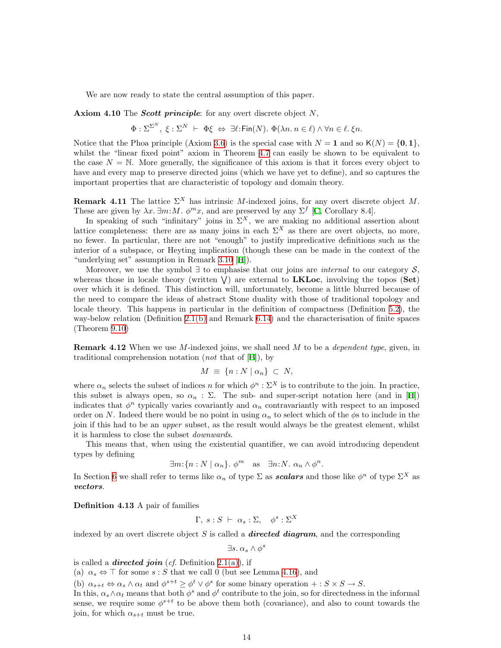We are now ready to state the central assumption of this paper.

<span id="page-13-1"></span>Axiom 4.10 The *Scott principle*: for any overt discrete object  $N$ ,

$$
\Phi: \Sigma^{\Sigma^N}, \ \xi: \Sigma^N \ \vdash \ \Phi \xi \ \Leftrightarrow \ \exists \ell : \text{Fin}(N). \ \Phi(\lambda n. \ n \in \ell) \ \land \ \forall n \in \ell. \ \xi n.
$$

Notice that the Phoa principle (Axiom [3.6\)](#page-9-1) is the special case with  $N = 1$  and so  $K(N) = \{0, 1\}$ , whilst the "linear fixed point" axiom in Theorem [4.7](#page-12-0) can easily be shown to be equivalent to the case  $N = N$ . More generally, the significance of this axiom is that it forces every object to have and every map to preserve directed joins (which we have yet to define), and so captures the important properties that are characteristic of topology and domain theory.

<span id="page-13-2"></span>**Remark 4.11** The lattice  $\Sigma^X$  has intrinsic M-indexed joins, for any overt discrete object M. These are given by  $\lambda x. \exists m: M. \phi^m x$ , and are preserved by any  $\Sigma^f$  [[C](#page-60-2), Corollary 8.4].

In speaking of such "infinitary" joins in  $\Sigma^X$ , we are making no additional assertion about lattice completeness: there are as many joins in each  $\Sigma^X$  as there are overt objects, no more, no fewer. In particular, there are not "enough" to justify impredicative definitions such as the interior of a subspace, or Heyting implication (though these can be made in the context of the "underlying set" assumption in Remark [3.10](#page-10-3)[[H](#page-60-4)]).

Moreover, we use the symbol  $\exists$  to emphasise that our joins are *internal* to our category S, whereas those in locale theory (written  $V$ ) are external to LKLoc, involving the topos (Set) over which it is defined. This distinction will, unfortunately, become a little blurred because of the need to compare the ideas of abstract Stone duality with those of traditional topology and locale theory. This happens in particular in the definition of compactness (Definition [5.2](#page-15-1)), the way-below relation (Definition [2.1\(b\)](#page-5-4) and Remark [6.14](#page-23-3)) and the characterisation of finite spaces (Theorem [9.10\)](#page-33-0)

<span id="page-13-3"></span>**Remark 4.12** When we use M-indexed joins, we shall need M to be a *dependent type*, given, in traditionalcomprehension notation (*not* that of  $[B]$  $[B]$ ), by

$$
M \equiv \{ n : N \mid \alpha_n \} \subset N,
$$

where  $\alpha_n$  selects the subset of indices n for which  $\phi^n : \Sigma^X$  is to contribute to the join. In practice, thissubset is always open, so  $\alpha_n : \Sigma$ . The sub- and super-script notation here (and in [[H](#page-60-4)]) indicates that  $\phi^n$  typically varies covariantly and  $\alpha_n$  contravariantly with respect to an imposed order on N. Indeed there would be no point in using  $\alpha_n$  to select which of the  $\phi$ s to include in the join if this had to be an upper subset, as the result would always be the greatest element, whilst it is harmless to close the subset downwards.

This means that, when using the existential quantifier, we can avoid introducing dependent types by defining

$$
\exists m: \{n: N \mid \alpha_n\}. \phi^m \quad \text{as} \quad \exists n: N. \ \alpha_n \wedge \phi^n.
$$

In Section [6](#page-19-1) we shall refer to terms like  $\alpha_n$  of type  $\Sigma$  as **scalars** and those like  $\phi^n$  of type  $\Sigma^X$  as vectors.

<span id="page-13-0"></span>Definition 4.13 A pair of families

$$
\Gamma, s : S \vdash \alpha_s : \Sigma, \quad \phi^s : \Sigma^X
$$

indexed by an overt discrete object  $S$  is called a **directed diagram**, and the corresponding

 $\exists s.\ \alpha_s \wedge \phi^s$ 

is called a **directed join** (cf. Definition [2.1\(a\)](#page-5-5)), if

(a)  $\alpha_s \Leftrightarrow \top$  for some  $s : S$  that we call 0 (but see Lemma [4.16\)](#page-14-0), and

(b)  $\alpha_{s+t} \Leftrightarrow \alpha_s \wedge \alpha_t$  and  $\phi^{s+t} \geq \phi^t \vee \phi^s$  for some binary operation  $+: S \times S \to S$ .

In this,  $\alpha_s \wedge \alpha_t$  means that both  $\phi^s$  and  $\phi^t$  contribute to the join, so for directedness in the informal sense, we require some  $\phi^{s+t}$  to be above them both (covariance), and also to count towards the join, for which  $\alpha_{s+t}$  must be true.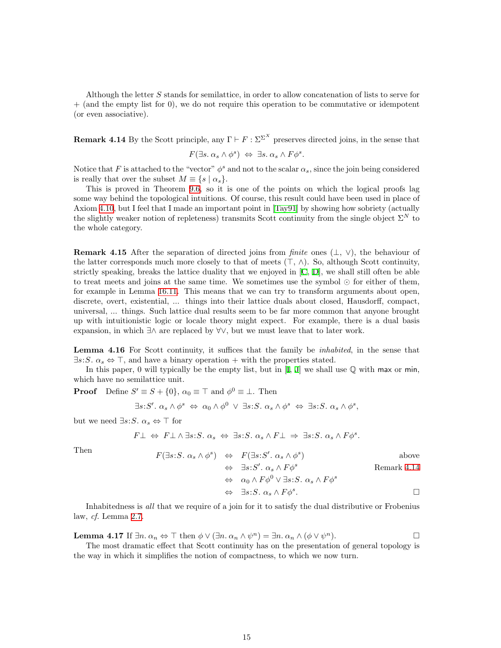Although the letter S stands for semilattice, in order to allow concatenation of lists to serve for + (and the empty list for 0), we do not require this operation to be commutative or idempotent (or even associative).

<span id="page-14-1"></span>**Remark 4.14** By the Scott principle, any  $\Gamma \vdash F : \Sigma^{\Sigma^X}$  preserves directed joins, in the sense that  $F(\exists s. \alpha_s \land \phi^s) \Leftrightarrow \exists s. \alpha_s \land F\phi^s.$ 

Notice that F is attached to the "vector"  $\phi^s$  and not to the scalar  $\alpha_s$ , since the join being considered is really that over the subset  $M \equiv \{s \mid \alpha_s\}.$ 

This is proved in Theorem [9.6](#page-33-1), so it is one of the points on which the logical proofs lag some way behind the topological intuitions. Of course, this result could have been used in place of Axiom [4.10](#page-13-1), but I feel that I made an important point in[[Tay91](#page-59-8)] by showing how sobriety (actually the slightly weaker notion of repleteness) transmits Scott continuity from the single object  $\Sigma^N$  to the whole category.

<span id="page-14-3"></span>**Remark 4.15** After the separation of directed joins from *finite* ones  $(\perp, \vee)$ , the behaviour of the latter corresponds much more closely to that of meets  $(\top, \wedge)$ . So, although Scott continuity, strictly speaking, breaks the lattice duality that we enjoyed in[[C,](#page-60-2) [D\]](#page-60-6), we shall still often be able to treat meets and joins at the same time. We sometimes use the symbol  $\odot$  for either of them, for example in Lemma [16.11](#page-53-0). This means that we can try to transform arguments about open, discrete, overt, existential, ... things into their lattice duals about closed, Hausdorff, compact, universal, ... things. Such lattice dual results seem to be far more common that anyone brought up with intuitionistic logic or locale theory might expect. For example, there is a dual basis expansion, in which ∃∧ are replaced by ∀∨, but we must leave that to later work.

<span id="page-14-0"></span>Lemma 4.16 For Scott continuity, it suffices that the family be *inhabited*, in the sense that  $\exists s: S. \alpha_s \Leftrightarrow \top$ , and have a binary operation + with the properties stated.

In this paper, 0 will typically be the empty list, but in[[I](#page-60-5), [J\]](#page-60-8) we shall use Q with max or min, which have no semilattice unit.

**Proof** Define  $S' \equiv S + \{0\}$ ,  $\alpha_0 \equiv \top$  and  $\phi^0 \equiv \bot$ . Then

$$
\exists s: S'. \ \alpha_s \wedge \phi^s \Leftrightarrow \ \alpha_0 \wedge \phi^0 \ \vee \ \exists s: S. \ \alpha_s \wedge \phi^s \Leftrightarrow \ \exists s: S. \ \alpha_s \wedge \phi^s,
$$

but we need  $\exists s: S. \alpha_s \Leftrightarrow \top$  for

$$
F \perp \Leftrightarrow F \perp \wedge \exists s: S. \ \alpha_s \Leftrightarrow \exists s: S. \ \alpha_s \wedge F \perp \Rightarrow \exists s: S. \ \alpha_s \wedge F \phi^s.
$$

Then  
\n
$$
F(\exists s: S. \alpha_s \land \phi^s) \Leftrightarrow F(\exists s: S'. \alpha_s \land \phi^s)
$$
\n
$$
\Leftrightarrow \exists s: S'. \alpha_s \land F\phi^s
$$
\n
$$
\Leftrightarrow \alpha_0 \land F\phi^0 \lor \exists s: S. \alpha_s \land F\phi^s
$$
\nRemark 4.14\n
$$
\Leftrightarrow \exists s: S. \alpha_s \land F\phi^s.
$$

Inhabitedness is all that we require of a join for it to satisfy the dual distributive or Frobenius law, cf. Lemma [2.7](#page-6-1).

<span id="page-14-2"></span>**Lemma 4.17** If  $\exists n \ldots \alpha_n \Leftrightarrow \top$  then  $\phi \lor (\exists n \ldots \alpha_n \land \psi^n) = \exists n \ldots \alpha_n \land (\phi \lor \psi)$  $\Box$ 

The most dramatic effect that Scott continuity has on the presentation of general topology is the way in which it simplifies the notion of compactness, to which we now turn.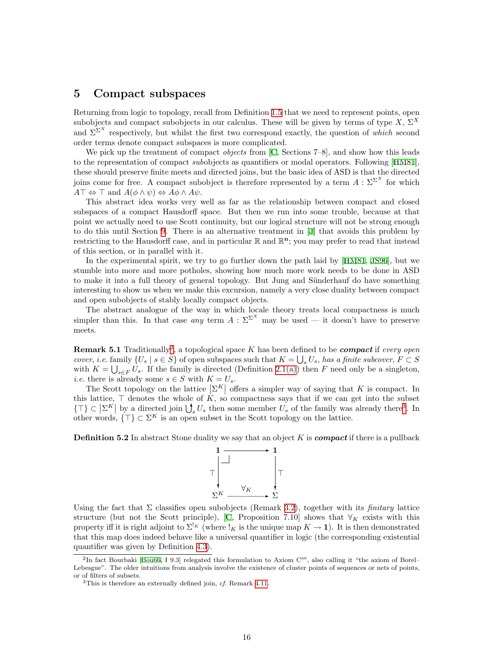#### <span id="page-15-4"></span><span id="page-15-0"></span>5 Compact subspaces

Returning from logic to topology, recall from Definition [1.5](#page-2-1) that we need to represent points, open subobjects and compact subobjects in our calculus. These will be given by terms of type  $X, \Sigma^X$ and  $\Sigma^{\Sigma^{X}}$  respectively, but whilst the first two correspond exactly, the question of which second order terms denote compact subspaces is more complicated.

We pick up the treatment of compact *objects* from [\[C](#page-60-2), Sections 7–8], and show how this leads tothe representation of compact subobjects as quantifiers or modal operators. Following [[HM81](#page-59-0)], these should preserve finite meets and directed joins, but the basic idea of ASD is that the directed joins come for free. A compact subobject is therefore represented by a term  $A: \Sigma^{\Sigma^{X}}$  for which  $A\top \Leftrightarrow \top$  and  $A(\phi \wedge \psi) \Leftrightarrow A\phi \wedge A\psi$ .

This abstract idea works very well as far as the relationship between compact and closed subspaces of a compact Hausdorff space. But then we run into some trouble, because at that point we actually need to use Scott continuity, but our logical structure will not be strong enough to do this until Section [9](#page-32-1). There is an alternative treatment in [\[J](#page-60-8)] that avoids this problem by restricting to the Hausdorff case, and in particular  $\mathbb{R}$  and  $\mathbb{R}^n$ ; you may prefer to read that instead of this section, or in parallel with it.

In the experimental spirit, we try to go further down the path laid by [\[HM81,](#page-59-0) [JS96\]](#page-59-1), but we stumble into more and more potholes, showing how much more work needs to be done in ASD to make it into a full theory of general topology. But Jung and Sünderhauf do have something interesting to show us when we make this excursion, namely a very close duality between compact and open subobjects of stably locally compact objects.

The abstract analogue of the way in which locale theory treats local compactness is much simpler than this. In that case any term  $A : \Sigma^{\Sigma^{X}}$  may be used — it doesn't have to preserve meets.

**Remark 5.1** Traditionally<sup>[2](#page-15-2)</sup>, a topological space K has been defined to be *compact* if every open cover, i.e. family  $\{U_s \mid s \in S\}$  of open subspaces such that  $K = \bigcup_s U_s$ , has a finite subcover,  $F \subset S$ with  $K = \bigcup_{s \in F} U_s$ . If the family is directed (Definition [2.1\(a\)](#page-5-5)) then F need only be a singleton, *i.e.* there is already some  $s \in S$  with  $K = U_s$ .

The Scott topology on the lattice  $|\Sigma^K|$  offers a simpler way of saying that K is compact. In this lattice,  $\top$  denotes the whole of  $\overline{K}$ , so compactness says that if we can get into the subset  $\{\top\} \subset \left|\Sigma^K\right|$  by a directed join  $\bigcup_s U_s$  then some member  $U_s$  of the family was already there<sup>[3](#page-15-3)</sup>. In other words,  $\{\top\} \subset \Sigma^K$  is an open subset in the Scott topology on the lattice.

<span id="page-15-1"></span>**Definition 5.2** In abstract Stone duality we say that an object K is *compact* if there is a pullback



Using the fact that  $\Sigma$  classifies open subobjects (Remark [3.2\)](#page-8-1), together with its *finitary* lattice structure (but not the Scott principle), [\[C](#page-60-2), Proposition 7.10] shows that  $\forall_K$  exists with this property iff it is right adjoint to  $\Sigma^{k}$  (where  $\chi$  is the unique map  $K \to 1$ ). It is then demonstrated that this map does indeed behave like a universal quantifier in logic (the corresponding existential quantifier was given by Definition [4.3\)](#page-11-0).

<span id="page-15-2"></span><sup>&</sup>lt;sup>2</sup>Infact Bourbaki [[Bou66](#page-58-4), I 9.3] relegated this formulation to Axiom C<sup>'''</sup>, also calling it "the axiom of Borel– Lebesgue". The older intuitions from analysis involve the existence of cluster points of sequences or nets of points, or of filters of subsets.

<span id="page-15-3"></span> $3$ This is therefore an externally defined join, cf. Remark [4.11](#page-13-2).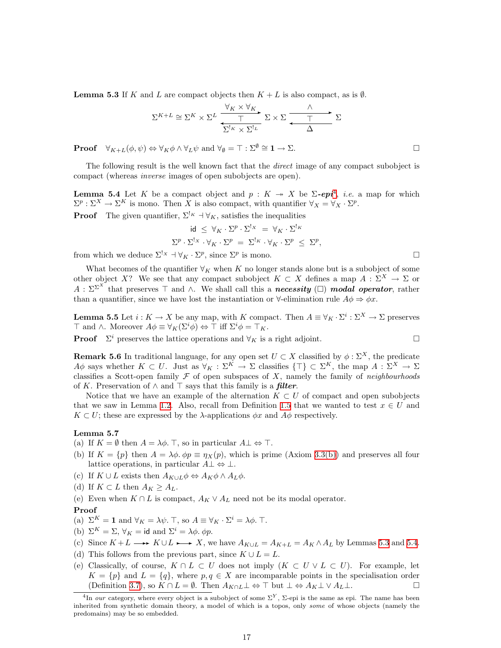<span id="page-16-1"></span>**Lemma 5.3** If K and L are compact objects then  $K + L$  is also compact, as is  $\emptyset$ .

$$
\Sigma^{K+L} \cong \Sigma^{K} \times \Sigma^{L} \xrightarrow{\forall K \times \forall K} \Sigma \times \Sigma \xrightarrow{\wedge} \Sigma
$$

**Proof**  $\forall_{K+L}(\phi, \psi) \Leftrightarrow \forall_{K} \phi \wedge \forall_{L} \psi \text{ and } \forall_{\emptyset} = \top : \Sigma^{\emptyset} \cong \mathbf{1} \to \Sigma.$ 

The following result is the well known fact that the direct image of any compact subobject is compact (whereas inverse images of open subobjects are open).

<span id="page-16-2"></span>**Lemma 5.[4](#page-16-0)** Let K be a compact object and  $p: K \rightarrow X$  be  $\Sigma$ -epi<sup>4</sup>, *i.e.* a map for which  $\Sigma^p : \Sigma^X \to \Sigma^K$  is mono. Then X is also compact, with quantifier  $\forall_X = \forall_X \cdot \Sigma^p$ .

**Proof** The given quantifier,  $\Sigma^{k} \dashv \forall K$ , satisfies the inequalities

$$
\begin{array}{rcl} \mbox{id} &\leq \ \forall_K \cdot \Sigma^p \cdot \Sigma^{!_X} \ = \ \forall_K \cdot \Sigma^{!_K} \\ \Sigma^p \cdot \Sigma^{!_X} \cdot \forall_K \cdot \Sigma^p \ = \ \Sigma^{!_K} \cdot \forall_K \cdot \Sigma^p \ \leq \ \Sigma^p \end{array}
$$

,

from which we deduce  $\Sigma^! x \dashv \forall_K \cdot \Sigma^p$ , since  $\Sigma^p$  is mono.

What becomes of the quantifier  $\forall_K$  when K no longer stands alone but is a subobject of some other object X? We see that any compact subobject  $K \subset X$  defines a map  $A: \Sigma^X \to \Sigma$  or  $A: \Sigma^{\Sigma^{X}}$  that preserves  $\top$  and  $\wedge$ . We shall call this a **necessity** ( $\square$ ) **modal operator**, rather than a quantifier, since we have lost the instantiation or  $\forall$ -elimination rule  $A\phi \Rightarrow \phi x$ .

<span id="page-16-3"></span>**Lemma 5.5** Let  $i: K \to X$  be any map, with K compact. Then  $A \equiv \forall_K \cdot \Sigma^i : \Sigma^X \to \Sigma$  preserves  $\top$  and  $\wedge$ . Moreover  $A\phi \equiv \forall_K(\Sigma^i\phi) \Leftrightarrow \top$  iff  $\Sigma^i\phi = \top_K$ .

<span id="page-16-4"></span>**Proof**  $\Sigma^i$  preserves the lattice operations and  $\forall_K$  is a right adjoint.

**Remark 5.6** In traditional language, for any open set 
$$
U \subset X
$$
 classified by  $\phi : \Sigma^X$ , the predicate  $A\phi$  says whether  $K \subset U$ . Just as  $\forall_K : \Sigma^K \to \Sigma$  classifies  $\{\top\} \subset \Sigma^K$ , the map  $A : \Sigma^X \to \Sigma$  classifies a Scott-open family  $\mathcal F$  of open subspaces of X, namely the family of *neighborhoods* of K. Preservation of  $\wedge$  and  $\top$  says that this family is a *filter*.

Notice that we have an example of the alternation  $K \subset U$  of compact and open subobjects that we saw in Lemma [1.2.](#page-1-2) Also, recall from Definition [1.5](#page-2-1) that we wanted to test  $x \in U$  and  $K \subset U$ ; these are expressed by the  $\lambda$ -applications  $\phi x$  and  $A\phi$  respectively.

#### Lemma 5.7

(a) If  $K = \emptyset$  then  $A = \lambda \phi$ . T, so in particular  $A \perp \Leftrightarrow \top$ .

- (b) If  $K = \{p\}$  then  $A = \lambda \phi$ .  $\phi p \equiv \eta_X(p)$ , which is prime (Axiom [3.3\(b\)\)](#page-8-2) and preserves all four lattice operations, in particular  $A \perp \Leftrightarrow \perp$ .
- <span id="page-16-5"></span>(c) If  $K \cup L$  exists then  $A_{K \cup L} \phi \Leftrightarrow A_K \phi \wedge A_L \phi$ .
- (d) If  $K \subset L$  then  $A_K \geq A_L$ .
- <span id="page-16-6"></span>(e) Even when  $K \cap L$  is compact,  $A_K \vee A_L$  need not be its modal operator.

#### Proof

- (a)  $\Sigma^K = \mathbf{1}$  and  $\forall_K = \lambda \psi$ . T, so  $A \equiv \forall_K \cdot \Sigma^i = \lambda \phi$ . T.
- (b)  $\Sigma^K = \Sigma$ ,  $\forall_K = id$  and  $\Sigma^i = \lambda \phi$ .  $\phi p$ .
- (c) Since  $K + L \longrightarrow K \cup L \longrightarrow X$ , we have  $A_{K \cup L} = A_{K+L} = A_{K} \wedge A_{L}$  by Lemmas [5.3](#page-16-1) and [5.4](#page-16-2).
- (d) This follows from the previous part, since  $K \cup L = L$ .
- (e) Classically, of course,  $K \cap L \subset U$  does not imply  $(K \subset U \vee L \subset U)$ . For example, let  $K = \{p\}$  and  $L = \{q\}$ , where  $p, q \in X$  are incomparable points in the specialisation order (Definition [3.7\)](#page-9-0), so  $K \cap L = \emptyset$ . Then  $A_{K \cap L} \perp \Leftrightarrow \top$  but  $\perp \Leftrightarrow A_K \perp \vee A_L \perp$ .

<span id="page-16-0"></span><sup>&</sup>lt;sup>4</sup>In our category, where every object is a subobject of some  $\Sigma^Y$ ,  $\Sigma$ -epi is the same as epi. The name has been inherited from synthetic domain theory, a model of which is a topos, only some of whose objects (namely the predomains) may be so embedded.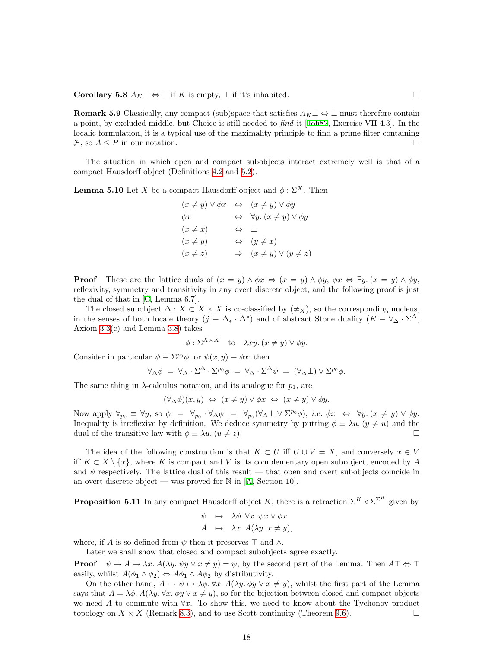<span id="page-17-1"></span>Corollary 5.8  $A_K \perp \Leftrightarrow \top$  if K is empty,  $\perp$  if it's inhabited.  $□$ 

**Remark 5.9** Classically, any compact (sub)space that satisfies  $A_K \perp \Leftrightarrow \perp$  must therefore contain a point, by excluded middle, but Choice is still needed to find it [\[Joh82,](#page-59-9) Exercise VII 4.3]. In the localic formulation, it is a typical use of the maximality principle to find a prime filter containing  $\mathcal{F},$  so  $A \leq P$  in our notation.

The situation in which open and compact subobjects interact extremely well is that of a compact Hausdorff object (Definitions [4.2](#page-11-1) and [5.2\)](#page-15-1).

**Lemma 5.10** Let X be a compact Hausdorff object and  $\phi : \Sigma^X$ . Then

$$
(x \neq y) \lor \phi x \iff (x \neq y) \lor \phi y
$$
  
\n
$$
\phi x \iff \forall y. (x \neq y) \lor \phi y
$$
  
\n
$$
(x \neq x) \iff \bot
$$
  
\n
$$
(x \neq y) \iff (y \neq x)
$$
  
\n
$$
(x \neq z) \Rightarrow (x \neq y) \lor (y \neq z)
$$

**Proof** These are the lattice duals of  $(x = y) \land \phi x \Leftrightarrow (x = y) \land \phi y$ ,  $\phi x \Leftrightarrow \exists y \ldots (x = y) \land \phi y$ , reflexivity, symmetry and transitivity in any overt discrete object, and the following proof is just the dual of that in[[C,](#page-60-2) Lemma 6.7].

The closed subobject  $\Delta: X \subset X \times X$  is co-classified by  $(\neq_X)$ , so the corresponding nucleus, in the senses of both locale theory  $(j \equiv \Delta_* \cdot \Delta^*)$  and of abstract Stone duality  $(E \equiv \forall_{\Delta} \cdot \Sigma^{\Delta})$ Axiom [3.3\(](#page-8-3)c) and Lemma [3.8\)](#page-9-2) takes

$$
\phi : \Sigma^{X \times X}
$$
 to  $\lambda xy. (x \neq y) \vee \phi y$ .

Consider in particular  $\psi \equiv \Sigma^{p_0} \phi$ , or  $\psi(x, y) \equiv \phi x$ ; then

$$
\forall_{\Delta}\phi = \forall_{\Delta}\cdot\Sigma^{\Delta}\cdot\Sigma^{p_0}\phi = \forall_{\Delta}\cdot\Sigma^{\Delta}\psi = (\forall_{\Delta}\bot)\vee\Sigma^{p_0}\phi.
$$

The same thing in  $\lambda$ -calculus notation, and its analogue for  $p_1$ , are

$$
(\forall_{\Delta}\phi)(x,y) \Leftrightarrow (x \neq y) \lor \phi x \Leftrightarrow (x \neq y) \lor \phi y.
$$

Now apply  $\forall_{p_0} \equiv \forall y$ , so  $\phi = \forall_{p_0} \cdot \forall_{\Delta} \phi = \forall_{p_0} (\forall_{\Delta} \bot \vee \Sigma^{p_0} \phi)$ , *i.e.*  $\phi x \Leftrightarrow \forall y \cdot (x \neq y) \vee \phi y$ . Inequality is irreflexive by definition. We deduce symmetry by putting  $\phi \equiv \lambda u$ .  $(y \neq u)$  and the dual of the transitive law with  $\phi \equiv \lambda u$ .  $(u \neq z)$ .

The idea of the following construction is that  $K \subset U$  iff  $U \cup V = X$ , and conversely  $x \in V$ iff  $K \subset X \setminus \{x\}$ , where K is compact and V is its complementary open subobject, encoded by A and  $\psi$  respectively. The lattice dual of this result — that open and overt subobjects coincide in anovert discrete object — was proved for  $\mathbb N$  in [[A](#page-60-1), Section 10].

<span id="page-17-0"></span>**Proposition 5.11** In any compact Hausdorff object K, there is a retraction  $\Sigma^K \triangleleft \Sigma^K$  given by

$$
\psi \mapsto \lambda \phi. \forall x. \psi x \lor \phi x \nA \mapsto \lambda x. A(\lambda y. x \neq y),
$$

where, if A is so defined from  $\psi$  then it preserves  $\top$  and  $\wedge$ .

Later we shall show that closed and compact subobjects agree exactly.

**Proof**  $\psi \mapsto A \mapsto \lambda x$ .  $A(\lambda y \cdot \psi y \vee x \neq y) = \psi$ , by the second part of the Lemma. Then  $A\top \Leftrightarrow \top$ easily, whilst  $A(\phi_1 \wedge \phi_2) \Leftrightarrow A\phi_1 \wedge A\phi_2$  by distributivity.

On the other hand,  $A \mapsto \psi \mapsto \lambda \phi$ .  $\forall x$ .  $A(\lambda y \phi y \lor x \neq y)$ , whilst the first part of the Lemma says that  $A = \lambda \phi$ .  $A(\lambda y \cdot \forall x \cdot \phi y \vee x \neq y)$ , so for the bijection between closed and compact objects we need A to commute with  $\forall x$ . To show this, we need to know about the Tychonov product topology on  $X \times X$  (Remark [8.3](#page-29-0)), and to use Scott continuity (Theorem [9.6\)](#page-33-1).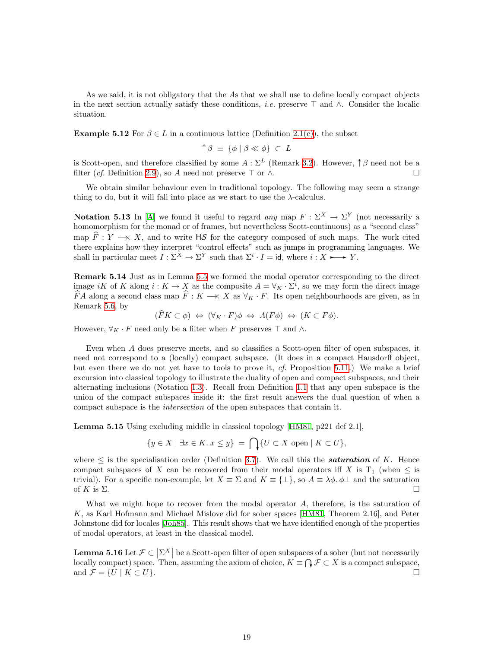As we said, it is not obligatory that the As that we shall use to define locally compact objects in the next section actually satisfy these conditions, *i.e.* preserve  $\top$  and  $\wedge$ . Consider the localic situation.

<span id="page-18-0"></span>**Example 5.12** For  $\beta \in L$  in a continuous lattice (Definition [2.1\(c\)](#page-5-3)), the subset

$$
\uparrow \beta \equiv \{\phi \mid \beta \ll \phi\} \subset L
$$

is Scott-open, and therefore classified by some  $A : \Sigma^L$  (Remark [3.2](#page-8-1)). However,  $\uparrow \beta$  need not be a filter (*cf.* Definition [2.9\)](#page-6-2), so A need not preserve  $\top$  or  $\wedge$ .

We obtain similar behaviour even in traditional topology. The following may seem a strange thing to do, but it will fall into place as we start to use the  $\lambda$ -calculus.

<span id="page-18-2"></span>**Notation 5.13** In [\[A](#page-60-1)] we found it useful to regard any map  $F : \Sigma^X \to \Sigma^Y$  (not necessarily a homomorphism for the monad or of frames, but nevertheless Scott-continuous) as a "second class" map  $\widehat{F}: Y \longrightarrow X$ , and to write  $H\mathcal{S}$  for the category composed of such maps. The work cited there explains how they interpret "control effects" such as jumps in programming languages. We shall in particular meet  $I : \Sigma^X \to \Sigma^Y$  such that  $\Sigma^i \cdot I = id$ , where  $i : X \longrightarrow Y$ .

<span id="page-18-3"></span>Remark 5.14 Just as in Lemma [5.5](#page-16-3) we formed the modal operator corresponding to the direct image iK of K along  $i: K \to X$  as the composite  $A = \forall_K \cdot \Sigma^i$ , so we may form the direct image  $\widehat{F}A$  along a second class map  $\widehat{F}: K \longrightarrow X$  as  $\forall_K \cdot F$ . Its open neighbourhoods are given, as in Remark [5.6](#page-16-4), by

$$
(\widehat{F}K \subset \phi) \Leftrightarrow (\forall_K \cdot F)\phi \Leftrightarrow A(F\phi) \Leftrightarrow (K \subset F\phi).
$$

However,  $\forall_K \cdot F$  need only be a filter when F preserves  $\top$  and  $\wedge$ .

Even when A does preserve meets, and so classifies a Scott-open filter of open subspaces, it need not correspond to a (locally) compact subspace. (It does in a compact Hausdorff object, but even there we do not yet have to tools to prove it, cf. Proposition [5.11.](#page-17-0)) We make a brief excursion into classical topology to illustrate the duality of open and compact subspaces, and their alternating inclusions (Notation [1.3](#page-1-4)). Recall from Definition [1.1](#page-1-3) that any open subspace is the union of the compact subspaces inside it: the first result answers the dual question of when a compact subspace is the intersection of the open subspaces that contain it.

<span id="page-18-4"></span>Lemma 5.15 Using excluding middle in classical topology[[HM81](#page-59-0), p221 def 2.1],

$$
\{y \in X \mid \exists x \in K. x \le y\} = \bigcap \{U \subset X \text{ open} \mid K \subset U\},\
$$

where  $\leq$  is the specialisation order (Definition [3.7\)](#page-9-0). We call this the **saturation** of K. Hence compact subspaces of X can be recovered from their modal operators iff X is  $T_1$  (when  $\leq$  is trivial). For a specific non-example, let  $X \equiv \Sigma$  and  $K \equiv \{\perp\}$ , so  $A \equiv \lambda \phi$ .  $\phi \perp$  and the saturation of K is  $\Sigma$ .

What we might hope to recover from the modal operator A, therefore, is the saturation of K, as Karl Hofmann and Michael Mislove did for sober spaces[[HM81](#page-59-0), Theorem 2.16], and Peter Johnstone did for locales [\[Joh85\]](#page-59-10). This result shows that we have identified enough of the properties of modal operators, at least in the classical model.

<span id="page-18-1"></span>**Lemma 5.16** Let  $\mathcal{F} \subset \left| \Sigma^X \right|$  be a Scott-open filter of open subspaces of a sober (but not necessarily locally compact) space. Then, assuming the axiom of choice,  $K \equiv \bigcap \mathcal{F} \subset X$  is a compact subspace, and  $\mathcal{F} = \{U \mid K \subset U\}.$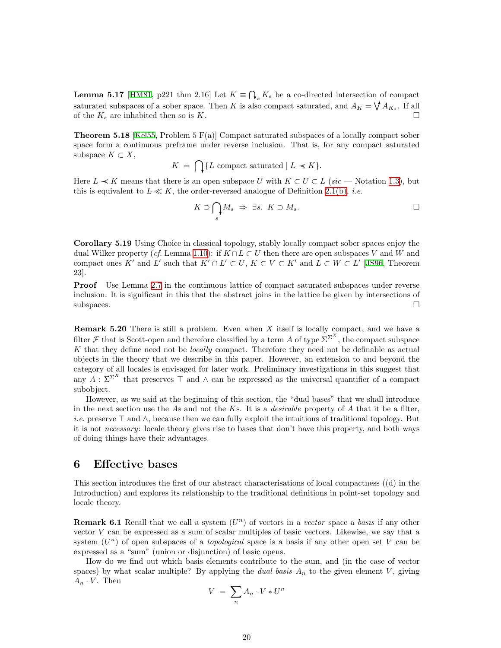<span id="page-19-3"></span><span id="page-19-0"></span>**Lemma 5.17** [[HM81](#page-59-0), p221 thm 2.16] Let  $K \equiv \bigcap_s K_s$  be a co-directed intersection of compact saturated subspaces of a sober space. Then K is also compact saturated, and  $A_K = \bigvee A_{K_s}$ . If all of the  $K_s$  are inhabited then so is K.

<span id="page-19-2"></span>**Theorem 5.18** [[Kel55,](#page-59-3) Problem 5  $F(a)$ ] Compact saturated subspaces of a locally compact sober space form a continuous preframe under reverse inclusion. That is, for any compact saturated subspace  $K \subset X$ ,

$$
K = \bigcap \{ L \text{ compact saturated} \mid L \ll K \}.
$$

Here  $L \ll K$  means that there is an open subspace U with  $K \subset U \subset L$  (sic — Notation [1.3](#page-1-4)), but this is equivalent to  $L \ll K$ , the order-reversed analogue of Definition [2.1\(b\),](#page-5-4) *i.e.* 

$$
K \supset \bigcap_s M_s \Rightarrow \exists s. \ K \supset M_s. \Box
$$

<span id="page-19-4"></span>Corollary 5.19 Using Choice in classical topology, stably locally compact sober spaces enjoy the dual Wilker property (cf. Lemma [1.10\)](#page-4-2): if  $K \cap L \subset U$  then there are open subspaces V and W and compact ones K' and L' such that  $K' \cap L' \subset U$ ,  $K \subset V \subset K'$  and  $L \subset W \subset L'$  [\[JS96,](#page-59-1) Theorem 23].

Proof Use Lemma [2.7](#page-6-1) in the continuous lattice of compact saturated subspaces under reverse inclusion. It is significant in this that the abstract joins in the lattice be given by intersections of  $\Box$ subspaces.

**Remark 5.20** There is still a problem. Even when  $X$  itself is locally compact, and we have a filter F that is Scott-open and therefore classified by a term A of type  $\Sigma^{\Sigma^X}$ , the compact subspace K that they define need not be *locally* compact. Therefore they need not be definable as actual objects in the theory that we describe in this paper. However, an extension to and beyond the category of all locales is envisaged for later work. Preliminary investigations in this suggest that any  $A: \Sigma^{\Sigma^{X}}$  that preserves  $\top$  and  $\wedge$  can be expressed as the universal quantifier of a compact subobject.

However, as we said at the beginning of this section, the "dual bases" that we shall introduce in the next section use the As and not the Ks. It is a *desirable* property of A that it be a filter, i.e. preserve  $\top$  and  $\wedge$ , because then we can fully exploit the intuitions of traditional topology. But it is not necessary: locale theory gives rise to bases that don't have this property, and both ways of doing things have their advantages.

#### <span id="page-19-1"></span>6 Effective bases

This section introduces the first of our abstract characterisations of local compactness ((d) in the Introduction) and explores its relationship to the traditional definitions in point-set topology and locale theory.

**Remark 6.1** Recall that we call a system  $(U<sup>n</sup>)$  of vectors in a vector space a basis if any other vector V can be expressed as a sum of scalar multiples of basic vectors. Likewise, we say that a system  $(U^n)$  of open subspaces of a *topological* space is a basis if any other open set V can be expressed as a "sum" (union or disjunction) of basic opens.

How do we find out which basis elements contribute to the sum, and (in the case of vector spaces) by what scalar multiple? By applying the *dual basis*  $A_n$  to the given element V, giving  $A_n \cdot V$ . Then

$$
V = \sum_{n} A_n \cdot V * U^n
$$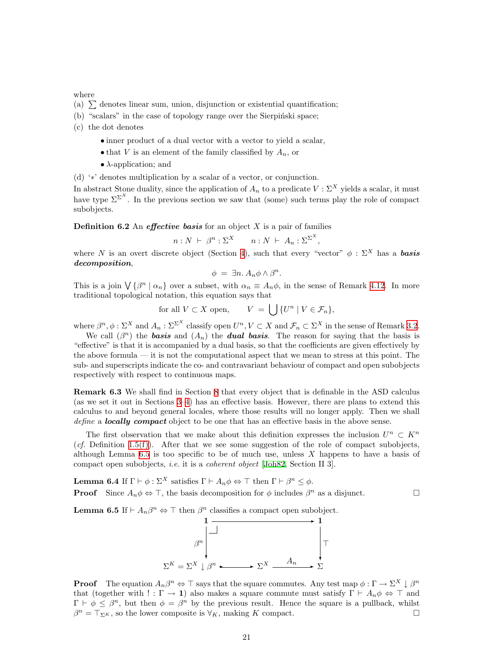where

- (a)  $\sum$  denotes linear sum, union, disjunction or existential quantification;
- (b) "scalars" in the case of topology range over the Sierpinski space;
- (c) the dot denotes
	- inner product of a dual vector with a vector to yield a scalar,
	- that V is an element of the family classified by  $A_n$ , or
	- $\lambda$ -application; and

(d) '∗' denotes multiplication by a scalar of a vector, or conjunction.

In abstract Stone duality, since the application of  $A_n$  to a predicate  $V : \Sigma^X$  yields a scalar, it must have type  $\Sigma^{\Sigma^{X}}$ . In the previous section we saw that (some) such terms play the role of compact subobjects.

<span id="page-20-3"></span>**Definition 6.2** An *effective basis* for an object  $X$  is a pair of families

$$
n: N \ \vdash \ \beta^n: \Sigma^X \qquad n: N \ \vdash \ A_n: \Sigma^{\Sigma^X},
$$

where N is an overt discrete object (Section [4\)](#page-10-1), such that every "vector"  $\phi : \Sigma^X$  has a **basis** decomposition,

$$
\phi = \exists n. A_n \phi \wedge \beta^n.
$$

This is a join  $\bigvee \{\beta^n \mid \alpha_n\}$  over a subset, with  $\alpha_n \equiv A_n \phi$ , in the sense of Remark [4.12](#page-13-3). In more traditional topological notation, this equation says that

for all 
$$
V \subset X
$$
 open,  $V = \bigcup \{U^n | V \in \mathcal{F}_n\},\$ 

where  $\beta^n, \phi : \Sigma^X$  and  $A_n : \Sigma^{\Sigma^X}$  classify open  $U^n, V \subset X$  and  $\mathcal{F}_n \subset \Sigma^X$  in the sense of Remark [3.2](#page-8-1).

We call  $(\beta^n)$  the **basis** and  $(A_n)$  the **dual basis**. The reason for saying that the basis is "effective" is that it is accompanied by a dual basis, so that the coefficients are given effectively by the above formula — it is not the computational aspect that we mean to stress at this point. The sub- and superscripts indicate the co- and contravariant behaviour of compact and open subobjects respectively with respect to continuous maps.

<span id="page-20-2"></span>Remark 6.3 We shall find in Section [8](#page-28-1) that every object that is definable in the ASD calculus (as we set it out in Sections [3–](#page-7-0)[4\)](#page-10-1) has an effective basis. However, there are plans to extend this calculus to and beyond general locales, where those results will no longer apply. Then we shall define a **locally compact** object to be one that has an effective basis in the above sense.

The first observation that we make about this definition expresses the inclusion  $U^n \subset K^n$ (cf. Definition [1.5\(f\)\)](#page-2-3). After that we see some suggestion of the role of compact subobjects, although Lemma  $6.5$  is too specific to be of much use, unless  $X$  happens to have a basis of compact open subobjects, i.e. it is a coherent object [[Joh82](#page-59-9), Section II 3].

<span id="page-20-1"></span>**Lemma 6.4** If  $\Gamma \vdash \phi : \Sigma^X$  satisfies  $\Gamma \vdash A_n \phi \Leftrightarrow \top$  then  $\Gamma \vdash \beta^n \leq \phi$ . **Proof** Since  $A_n \phi \Leftrightarrow \top$ , the basis decomposition for  $\phi$  includes  $\beta^n$  as a disjunct.

<span id="page-20-0"></span>**Lemma 6.5** If  $\vdash A_n \beta^n \Leftrightarrow \top$  then  $\beta^n$  classifies a compact open subobject.



**Proof** The equation  $A_n\beta^n \Leftrightarrow \top$  says that the square commutes. Any test map  $\phi : \Gamma \to \Sigma^X \downarrow \beta^n$ that (together with ! :  $\Gamma \to \mathbf{1}$ ) also makes a square commute must satisfy  $\Gamma \vdash A_n \phi \Leftrightarrow \top$  and  $\Gamma \vdash \phi \leq \beta^n$ , but then  $\phi = \beta^n$  by the previous result. Hence the square is a pullback, whilst  $\beta^{n} = \top_{\Sigma^{K}}$ , so the lower composite is  $\forall_{K}$ , making K compact.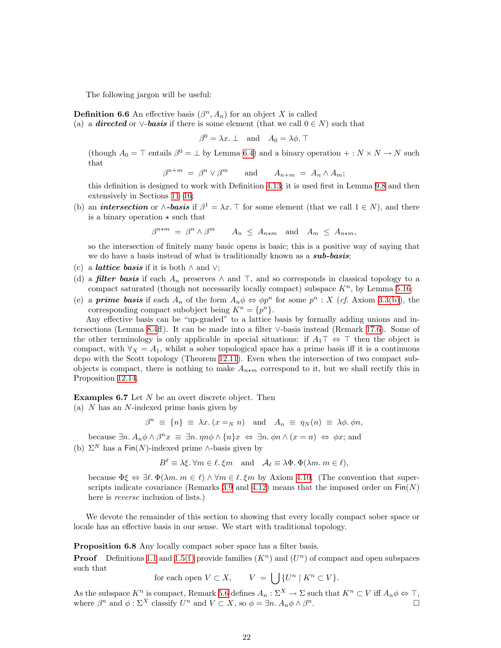The following jargon will be useful:

<span id="page-21-3"></span>**Definition 6.6** An effective basis  $(\beta^n, A_n)$  for an object X is called

(a) a **directed** or  $\vee$ -**basis** if there is some element (that we call  $0 \in N$ ) such that

 $\beta^0 = \lambda x. \perp \quad \text{and} \quad A_0 = \lambda \phi. \top$ 

(though  $A_0 = \top$  entails  $\beta^0 = \bot$  by Lemma [6.4\)](#page-20-1) and a binary operation  $+: N \times N \to N$  such that

$$
\beta^{n+m} = \beta^n \vee \beta^m \qquad \text{and} \qquad A_{n+m} = A_n \wedge A_m;
$$

this definition is designed to work with Definition [4.13;](#page-13-0) it is used first in Lemma [9.8](#page-33-2) and then extensively in Sections [11](#page-37-1)[–16](#page-51-1);

(b) an *intersection* or  $\wedge$ -basis if  $\beta^1 = \lambda x$ . T for some element (that we call  $1 \in N$ ), and there is a binary operation  $\star$  such that

$$
\beta^{n \star m} = \beta^n \wedge \beta^m \qquad A_n \le A_{n \star m} \quad \text{and} \quad A_m \le A_{n \star m},
$$

so the intersection of finitely many basic opens is basic; this is a positive way of saying that we do have a basis instead of what is traditionally known as a sub-basis;

- (c) a *lattice basis* if it is both  $\land$  and  $\lor$ ;
- (d) a **filter basis** if each  $A_n$  preserves  $\wedge$  and  $\top$ , and so corresponds in classical topology to a compact saturated (though not necessarily locally compact) subspace  $K<sup>n</sup>$ , by Lemma [5.16;](#page-18-1)
- (e) a **prime basis** if each  $A_n$  of the form  $A_n \phi \Leftrightarrow \phi p^n$  for some  $p^n : X$  (*cf.* Axiom [3.3\(b\)\)](#page-8-2), the corresponding compact subobject being  $K^n = \{p^n\}.$

Any effective basis can be "up-graded" to a lattice basis by formally adding unions and intersections (Lemma [8.4](#page-29-1)ff). It can be made into a filter ∨-basis instead (Remark [17.6\)](#page-56-0). Some of the other terminology is only applicable in special situations: if  $A_1\top \Leftrightarrow \top$  then the object is compact, with  $\forall x = A_1$ , whilst a sober topological space has a prime basis iff it is a continuous dcpo with the Scott topology (Theorem [12.11](#page-42-1)). Even when the intersection of two compact subobjects is compact, there is nothing to make  $A_{n \star m}$  correspond to it, but we shall rectify this in Proposition [12.14](#page-43-1).

<span id="page-21-0"></span>**Examples 6.7** Let  $N$  be an overt discrete object. Then

<span id="page-21-1"></span>(a) N has an N-indexed prime basis given by

$$
\beta^n \equiv \{n\} \equiv \lambda x. \left(x =_N n\right) \quad \text{and} \quad A_n \equiv \eta_N(n) \equiv \lambda \phi. \phi n,
$$

because  $\exists n. A_n \phi \wedge \beta^n x \equiv \exists n. \eta n \phi \wedge \{n\} x \Leftrightarrow \exists n. \phi n \wedge (x = n) \Leftrightarrow \phi x$ ; and

<span id="page-21-2"></span>(b)  $\Sigma^N$  has a Fin(N)-indexed prime ∧-basis given by

$$
B^{\ell} \equiv \lambda \xi. \ \forall m \in \ell. \ \xi m \quad \text{and} \quad \mathcal{A}_{\ell} \equiv \lambda \Phi. \ \Phi(\lambda m. \ m \in \ell),
$$

because  $\Phi \xi \Leftrightarrow \exists \ell \, \Phi(\lambda m, m \in \ell) \wedge \forall m \in \ell \, \xi m$  by Axiom [4.10.](#page-13-1) (The convention that super-scripts indicate covariance (Remarks [3.9](#page-10-2) and [4.12\)](#page-13-3) means that the imposed order on  $Fin(N)$ here is *reverse* inclusion of lists.)

We devote the remainder of this section to showing that every locally compact sober space or locale has an effective basis in our sense. We start with traditional topology.

Proposition 6.8 Any locally compact sober space has a filter basis.

**Proof** Definitions [1.1](#page-1-3) and [1.5\(f\)](#page-2-3) provide families  $(K<sup>n</sup>)$  and  $(U<sup>n</sup>)$  of compact and open subspaces such that

for each open  $V \subset X$ ,  $V = \begin{bmatrix} | & |V^n| & K^n \subset V \end{bmatrix}$ .

As the subspace  $K^n$  is compact, Remark [5.6](#page-16-4) defines  $A_n : \Sigma^X \to \Sigma$  such that  $K^n \subset V$  iff  $A_n \phi \Leftrightarrow \top$ , where  $\beta^n$  and  $\phi : \Sigma^X$  classify  $U^n$  and  $V \subset X$ , so  $\phi = \exists n. A_n \phi \wedge \beta$  $\overline{\phantom{a}}$ .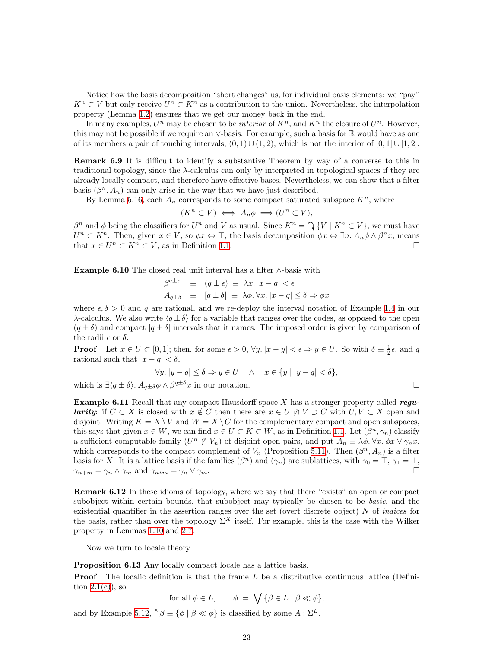Notice how the basis decomposition "short changes" us, for individual basis elements: we "pay"  $K^n \subset V$  but only receive  $U^n \subset K^n$  as a contribution to the union. Nevertheless, the interpolation property (Lemma [1.2\)](#page-1-2) ensures that we get our money back in the end.

In many examples,  $U^n$  may be chosen to be *interior* of  $K^n$ , and  $K^n$  the closure of  $U^n$ . However, this may not be possible if we require an ∨-basis. For example, such a basis for R would have as one of its members a pair of touching intervals,  $(0, 1) \cup (1, 2)$ , which is not the interior of  $[0, 1] \cup [1, 2]$ .

Remark 6.9 It is difficult to identify a substantive Theorem by way of a converse to this in traditional topology, since the  $\lambda$ -calculus can only by interpreted in topological spaces if they are already locally compact, and therefore have effective bases. Nevertheless, we can show that a filter basis  $(\beta^n, A_n)$  can only arise in the way that we have just described.

By Lemma [5.16,](#page-18-1) each  $A_n$  corresponds to some compact saturated subspace  $K^n$ , where

$$
(K^n \subset V) \iff A_n \phi \implies (U^n \subset V),
$$

 $\beta^n$  and  $\phi$  being the classifiers for  $U^n$  and V as usual. Since  $K^n = \bigcap \{V \mid K^n \subset V\}$ , we must have  $U^n \subset K^n$ . Then, given  $x \in V$ , so  $\phi x \Leftrightarrow \top$ , the basis decomposition  $\phi x \Leftrightarrow \exists n. A_n \phi \wedge \beta^n x$ , means that  $x \in U^n \subset K^n \subset V$ , as in Definition [1.1.](#page-1-3)

<span id="page-22-2"></span>Example 6.10 The closed real unit interval has a filter  $\wedge$ -basis with

$$
\begin{array}{rcl}\n\beta^{q \pm \epsilon} & \equiv & (q \pm \epsilon) \equiv \lambda x. \, |x - q| < \epsilon \\
A_{q \pm \delta} & \equiv & [q \pm \delta] \equiv \lambda \phi. \, \forall x. \, |x - q| \le \delta \Rightarrow \phi x\n\end{array}
$$

where  $\epsilon, \delta > 0$  and q are rational, and we re-deploy the interval notation of Example [1.4](#page-2-0) in our λ-calculus. We also write  $\langle q \pm \delta \rangle$  for a variable that ranges over the codes, as opposed to the open  $(q \pm \delta)$  and compact  $[q \pm \delta]$  intervals that it names. The imposed order is given by comparison of the radii  $\epsilon$  or  $\delta$ .

**Proof** Let  $x \in U \subset [0,1]$ ; then, for some  $\epsilon > 0$ ,  $\forall y$ .  $|x - y| < \epsilon \Rightarrow y \in U$ . So with  $\delta \equiv \frac{1}{2}\epsilon$ , and q rational such that  $|x - q| < \delta$ ,

$$
\forall y. \, |y - q| \le \delta \Rightarrow y \in U \quad \wedge \quad x \in \{y \mid |y - q| < \delta\},
$$

which is  $\exists \langle q \pm \delta \rangle$ .  $A_{q\pm \delta} \phi \wedge \beta^{q\pm \delta} x$  in our notation.

$$
\Box
$$

<span id="page-22-0"></span>**Example 6.11** Recall that any compact Hausdorff space  $X$  has a stronger property called regu**larity:** if  $C \subset X$  is closed with  $x \notin C$  then there are  $x \in U \nsubseteq V \cup V \supset C$  with  $U, V \subset X$  open and disjoint. Writing  $K = X \setminus V$  and  $W = X \setminus C$  for the complementary compact and open subspaces, this says that given  $x \in W$ , we can find  $x \in U \subset K \subset W$ , as in Definition [1.1.](#page-1-3) Let  $(\beta^n, \gamma_n)$  classify a sufficient computable family  $(U^n \nsubseteq V_n)$  of disjoint open pairs, and put  $A_n \equiv \lambda \phi$ .  $\forall x. \phi x \vee \gamma_n x$ , which corresponds to the compact complement of  $V_n$  (Proposition [5.11\)](#page-17-0). Then  $(\beta^n, A_n)$  is a filter basis for X. It is a lattice basis if the families  $(\beta^n)$  and  $(\gamma_n)$  are sublattices, with  $\gamma_0 = \top$ ,  $\gamma_1 = \bot$ ,  $\gamma_{n+m} = \gamma_n \wedge \gamma_m$  and  $\gamma_{n+m} = \gamma_n \vee \gamma_m$ .

Remark 6.12 In these idioms of topology, where we say that there "exists" an open or compact subobject within certain bounds, that subobject may typically be chosen to be *basic*, and the existential quantifier in the assertion ranges over the set (overt discrete object)  $N$  of *indices* for the basis, rather than over the topology  $\Sigma^X$  itself. For example, this is the case with the Wilker property in Lemmas [1.10](#page-4-2) and [2.7.](#page-6-1)

Now we turn to locale theory.

<span id="page-22-1"></span>Proposition 6.13 Any locally compact locale has a lattice basis.

**Proof** The localic definition is that the frame  $L$  be a distributive continuous lattice (Definition  $2.1(c)$ , so

for all 
$$
\phi \in L
$$
,  $\phi = \bigvee \{ \beta \in L \mid \beta \ll \phi \}$ ,

and by Example [5.12](#page-18-0),  $\uparrow \beta \equiv {\phi \mid \beta \ll \phi}$  is classified by some  $A : \Sigma^L$ .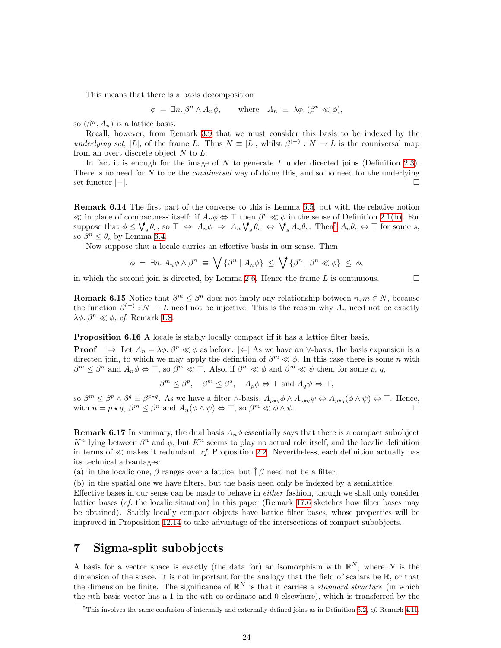<span id="page-23-0"></span>This means that there is a basis decomposition

$$
\phi = \exists n. \,\beta^n \wedge A_n \phi, \qquad \text{where} \quad A_n \equiv \lambda \phi. \, (\beta^n \ll \phi),
$$

so  $(\beta^n, A_n)$  is a lattice basis.

Recall, however, from Remark [3.9](#page-10-2) that we must consider this basis to be indexed by the underlying set, |L|, of the frame L. Thus  $N \equiv |L|$ , whilst  $\beta^{(-)} : N \to L$  is the couniversal map from an overt discrete object  $N$  to  $L$ .

In fact it is enough for the image of  $N$  to generate  $L$  under directed joins (Definition [2.3](#page-5-2)). There is no need for N to be the *couniversal* way of doing this, and so no need for the underlying set functor  $|-|$ .

<span id="page-23-3"></span>Remark 6.14 The first part of the converse to this is Lemma [6.5,](#page-20-0) but with the relative notion  $\ll$  in place of compactness itself: if  $A_n \phi \Leftrightarrow \top$  then  $\beta^n \ll \phi$  in the sense of Definition [2.1\(b\).](#page-5-4) For suppose that  $\phi \leq \bigvee_{s} \theta_s$ , so  $\top \Leftrightarrow A_n \phi \Rightarrow A_n \bigvee_{s} \theta_s \Leftrightarrow \bigvee_{s} A_n \theta_s$ . Then<sup>[5](#page-23-4)</sup>  $A_n \theta_s \Leftrightarrow \top$  for some s, so  $\beta^n \leq \theta_s$  by Lemma [6.4](#page-20-1).

Now suppose that a locale carries an effective basis in our sense. Then

$$
\phi = \exists n. A_n \phi \wedge \beta^n \equiv \bigvee \{\beta^n \mid A_n \phi\} \leq \bigvee \{\beta^n \mid \beta^n \ll \phi\} \leq \phi,
$$

<span id="page-23-6"></span>in which the second join is directed, by Lemma [2.6](#page-6-3). Hence the frame L is continuous.  $\Box$ 

**Remark 6.15** Notice that  $\beta^m \leq \beta^n$  does not imply any relationship between  $n, m \in N$ , because the function  $\beta^{(-)}: N \to L$  need not be injective. This is the reason why  $A_n$  need not be exactly  $λφ. β<sup>n</sup> \ll φ, cf. Remark 1.8.$  $λφ. β<sup>n</sup> \ll φ, cf. Remark 1.8.$  $λφ. β<sup>n</sup> \ll φ, cf. Remark 1.8.$ 

<span id="page-23-5"></span>**Proposition 6.16** A locale is stably locally compact iff it has a lattice filter basis.

**Proof**  $[\Rightarrow]$  Let  $A_n = \lambda \phi$ .  $\beta^n \ll \phi$  as before.  $[\Leftarrow]$  As we have an ∨-basis, the basis expansion is a directed join, to which we may apply the definition of  $\beta^m \ll \phi$ . In this case there is some n with  $\beta^m \leq \beta^n$  and  $A_n \phi \Leftrightarrow \top$ , so  $\beta^m \ll \top$ . Also, if  $\beta^m \ll \phi$  and  $\beta^m \ll \psi$  then, for some p, q,

 $\beta^m \leq \beta^p$ ,  $\beta^m \leq \beta^q$ ,  $A_p \phi \Leftrightarrow \top$  and  $A_q \psi \Leftrightarrow \top$ ,

so  $\beta^m \leq \beta^p \wedge \beta^q \equiv \beta^{p \star q}$ . As we have a filter  $\wedge$ -basis,  $A_{p \star q} \phi \wedge A_{p \star q} \psi \Leftrightarrow A_{p \star q} (\phi \wedge \psi) \Leftrightarrow \top$ . Hence, with  $n = p \star q$ ,  $\beta^m \leq \beta^n$  and  $A_n(\phi \wedge \psi) \Leftrightarrow \top$ , so  $\beta^m \ll \phi \wedge \psi$ .

<span id="page-23-2"></span>**Remark 6.17** In summary, the dual basis  $A_n\phi$  essentially says that there is a compact subobject  $K<sup>n</sup>$  lying between  $\beta<sup>n</sup>$  and  $\phi$ , but  $K<sup>n</sup>$  seems to play no actual role itself, and the localic definition in terms of  $\ll$  makes it redundant, cf. Proposition [2.2.](#page-5-6) Nevertheless, each definition actually has its technical advantages:

(a) in the localic one,  $\beta$  ranges over a lattice, but  $\uparrow \beta$  need not be a filter;

(b) in the spatial one we have filters, but the basis need only be indexed by a semilattice.

Effective bases in our sense can be made to behave in either fashion, though we shall only consider lattice bases  $(cf.$  the localic situation) in this paper (Remark [17.6](#page-56-0) sketches how filter bases may be obtained). Stably locally compact objects have lattice filter bases, whose properties will be improved in Proposition [12.14](#page-43-1) to take advantage of the intersections of compact subobjects.

### <span id="page-23-1"></span>7 Sigma-split subobjects

A basis for a vector space is exactly (the data for) an isomorphism with  $\mathbb{R}^N$ , where N is the dimension of the space. It is not important for the analogy that the field of scalars be  $\mathbb{R}$ , or that the dimension be finite. The significance of  $\mathbb{R}^N$  is that it carries a *standard structure* (in which the *n*th basis vector has a 1 in the *n*th co-ordinate and 0 elsewhere), which is transferred by the

<span id="page-23-4"></span> $5$ This involves the same confusion of internally and externally defined joins as in Definition [5.2,](#page-15-1) cf. Remark [4.11.](#page-13-2)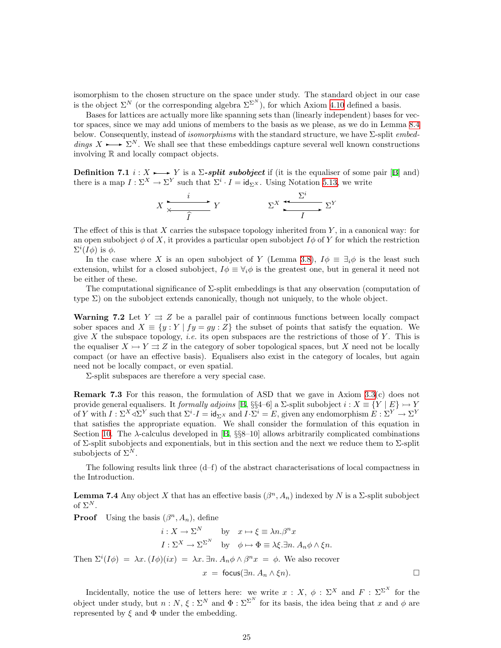isomorphism to the chosen structure on the space under study. The standard object in our case is the object  $\Sigma^N$  (or the corresponding algebra  $\Sigma^{\Sigma^N}$ ), for which Axiom [4.10](#page-13-1) defined a basis.

Bases for lattices are actually more like spanning sets than (linearly independent) bases for vector spaces, since we may add unions of members to the basis as we please, as we do in Lemma [8.4](#page-29-1) below. Consequently, instead of *isomorphisms* with the standard structure, we have  $\Sigma$ -split *embed*dings  $X \longrightarrow \Sigma^N$ . We shall see that these embeddings capture several well known constructions involving R and locally compact objects.

**Definition7.1**  $i: X \rightarrow Y$  is a  $\Sigma$ -split subobject if (it is the equaliser of some pair [[B\]](#page-60-0) and) there is a map  $I: \Sigma^X \to \Sigma^Y$  such that  $\Sigma^i \cdot I = id_{\Sigma^X}$ . Using Notation [5.13](#page-18-2), we write

$$
X \xrightarrow{\qquad i \qquad Y} Y \qquad \qquad \Sigma^X \xrightarrow{\Sigma^i} \Sigma^Y
$$

The effect of this is that  $X$  carries the subspace topology inherited from  $Y$ , in a canonical way: for an open subobject  $\phi$  of X, it provides a particular open subobject  $I\phi$  of Y for which the restriction  $\Sigma^{i}(I\phi)$  is  $\phi$ .

In the case where X is an open subobject of Y (Lemma [3.8](#page-9-2)),  $I\phi \equiv \exists_i \phi$  is the least such extension, whilst for a closed subobject,  $I\phi \equiv \forall_i \phi$  is the greatest one, but in general it need not be either of these.

The computational significance of Σ-split embeddings is that any observation (computation of type  $\Sigma$ ) on the subobject extends canonically, though not uniquely, to the whole object.

**Warning 7.2** Let  $Y \rightrightarrows Z$  be a parallel pair of continuous functions between locally compact sober spaces and  $X \equiv \{y : Y | fy = gy : Z\}$  the subset of points that satisfy the equation. We give X the subspace topology, *i.e.* its open subspaces are the restrictions of those of Y. This is the equaliser  $X \rightarrow Y \rightrightarrows Z$  in the category of sober topological spaces, but X need not be locally compact (or have an effective basis). Equalisers also exist in the category of locales, but again need not be locally compact, or even spatial.

Σ-split subspaces are therefore a very special case.

Remark 7.3 For this reason, the formulation of ASD that we gave in Axiom [3.3\(](#page-8-3)c) does not provide general equalisers. It formally adjoins [[B,](#page-60-0) §§4–6] a  $\Sigma$ -split subobject  $i : X \equiv \{Y \mid E\} \rightarrow Y$ of Y with  $I: \Sigma^X \triangleleft \Sigma^Y$  such that  $\Sigma^i \cdot I = id_{\Sigma^X}$  and  $I \cdot \Sigma^i = E$ , given any endomorphism  $E: \Sigma^Y \to \Sigma^Y$ that satisfies the appropriate equation. We shall consider the formulation of this equation in Section [10](#page-34-1).The  $\lambda$ -calculus developed in [[B,](#page-60-0)  $\S$  $88-10$ ] allows arbitrarily complicated combinations of Σ-split subobjects and exponentials, but in this section and the next we reduce them to Σ-split subobjects of  $\Sigma^N$ .

The following results link three  $(d-f)$  of the abstract characterisations of local compactness in the Introduction.

<span id="page-24-0"></span>**Lemma 7.4** Any object X that has an effective basis  $(\beta^n, A_n)$  indexed by N is a  $\Sigma$ -split subobject of  $\Sigma^N$ .

**Proof** Using the basis  $(\beta^n, A_n)$ , define

$$
i: X \to \Sigma^N \qquad \text{by} \quad x \mapsto \xi \equiv \lambda n. \beta^n x
$$

$$
I: \Sigma^X \to \Sigma^{\Sigma^N} \qquad \text{by} \quad \phi \mapsto \Phi \equiv \lambda \xi. \exists n. \ A_n \phi \wedge \xi n.
$$
Then  $\Sigma^i(I\phi) = \lambda x. (I\phi)(ix) = \lambda x. \exists n. \ A_n \phi \wedge \beta^n x = \phi.$  We also recover
$$
x = \text{focus}(\exists n. \ A_n \wedge \xi n).
$$

Incidentally, notice the use of letters here: we write  $x : X, \phi : \Sigma^X$  and  $F : \Sigma^{\Sigma^X}$  for the object under study, but  $n : N, \xi : \Sigma^N$  and  $\Phi : \Sigma^{\Sigma^N}$  for its basis, the idea being that x and  $\phi$  are represented by  $\xi$  and  $\Phi$  under the embedding.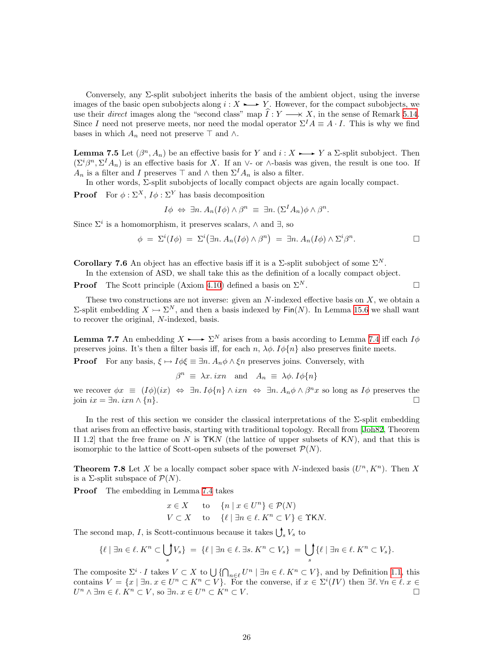Conversely, any  $\Sigma$ -split subobject inherits the basis of the ambient object, using the inverse images of the basic open subobjects along  $i: X \rightarrow Y$ . However, for the compact subobjects, we use their direct images along the "second class" map  $\hat{I}: Y \longrightarrow X$ , in the sense of Remark [5.14](#page-18-3). Since I need not preserve meets, nor need the modal operator  $\Sigma^I A \equiv A \cdot I$ . This is why we find bases in which  $A_n$  need not preserve  $\top$  and  $\wedge$ .

<span id="page-25-1"></span>**Lemma 7.5** Let  $(\beta^n, A_n)$  be an effective basis for Y and  $i: X \rightarrow Y$  a  $\Sigma$ -split subobject. Then  $(\Sigma^i\beta^n, \Sigma^I A_n)$  is an effective basis for X. If an ∨- or ∧-basis was given, the result is one too. If  $A_n$  is a filter and I preserves  $\top$  and  $\wedge$  then  $\Sigma^I A_n$  is also a filter.

In other words, Σ-split subobjects of locally compact objects are again locally compact.

**Proof** For  $\phi : \Sigma^X$ ,  $I\phi : \Sigma^Y$  has basis decomposition

$$
I\phi \Leftrightarrow \exists n. A_n(I\phi) \wedge \beta^n \equiv \exists n. (\Sigma^I A_n)\phi \wedge \beta^n.
$$

Since  $\Sigma^i$  is a homomorphism, it preserves scalars,  $\wedge$  and  $\exists$ , so

$$
\phi = \Sigma^{i}(I\phi) = \Sigma^{i}(\exists n. A_{n}(I\phi) \wedge \beta^{n}) = \exists n. A_{n}(I\phi) \wedge \Sigma^{i}\beta^{n}.
$$

**Corollary 7.6** An object has an effective basis iff it is a  $\Sigma$ -split subobject of some  $\Sigma^N$ .

In the extension of ASD, we shall take this as the definition of a locally compact object.

**Proof** The Scott principle (Axiom [4.10](#page-13-1)) defined a basis on  $\Sigma^N$ .

These two constructions are not inverse: given an  $N$ -indexed effective basis on  $X$ , we obtain a Σ-split embedding  $X \rightarrow \Sigma^N$ , and then a basis indexed by Fin(N). In Lemma [15.6](#page-50-1) we shall want to recover the original, N-indexed, basis.

<span id="page-25-2"></span>**Lemma 7.7** An embedding  $X \rightarrow \Sigma^N$  arises from a basis according to Lemma [7.4](#page-24-0) iff each  $I\phi$ preserves joins. It's then a filter basis iff, for each n,  $\lambda \phi$ .  $I\phi\{n\}$  also preserves finite meets.

**Proof** For any basis,  $\xi \mapsto I\phi \xi \equiv \exists n. A_n \phi \wedge \xi n$  preserves joins. Conversely, with

 $\beta^n \equiv \lambda x \cdot i x n$  and  $A_n \equiv \lambda \phi \cdot I \phi \{n\}$ 

we recover  $\phi x \equiv (I\phi)(ix) \Leftrightarrow \exists n. I\phi\{n\} \wedge ixn \Leftrightarrow \exists n. A_n\phi \wedge \beta^n x$  so long as  $I\phi$  preserves the join  $ix = \exists n \, \, \text{if } \, n \}$ .

In the rest of this section we consider the classical interpretations of the  $\Sigma$ -split embedding that arises from an effective basis, starting with traditional topology. Recall from [\[Joh82,](#page-59-9) Theorem II 1.2 that the free frame on N is  $\Upsilon$ KN (the lattice of upper subsets of KN), and that this is isomorphic to the lattice of Scott-open subsets of the powerset  $\mathcal{P}(N)$ .

<span id="page-25-0"></span>**Theorem 7.8** Let X be a locally compact sober space with N-indexed basis  $(U^n, K^n)$ . Then X is a  $\Sigma$ -split subspace of  $\mathcal{P}(N)$ .

Proof The embedding in Lemma [7.4](#page-24-0) takes

$$
x \in X \quad \text{to} \quad \{n \mid x \in U^n\} \in \mathcal{P}(N)
$$
  

$$
V \subset X \quad \text{to} \quad \{\ell \mid \exists n \in \ell \colon K^n \subset V\} \in \Upsilon \mathsf{K} N.
$$

The second map, I, is Scott-continuous because it takes  $\bigcup_s V_s$  to

$$
\{\ell \mid \exists n \in \ell, K^n \subset \bigcup_s V_s \} = \{\ell \mid \exists n \in \ell, \exists s. K^n \subset V_s \} = \bigcup_s \{\ell \mid \exists n \in \ell, K^n \subset V_s \}.
$$

The composite  $\Sigma^i \cdot I$  takes  $V \subset X$  to  $\bigcup \{ \bigcap_{n \in \ell} U^n \mid \exists n \in \ell \mid K^n \subset V \}$ , and by Definition [1.1,](#page-1-3) this contains  $V = \{x \mid \exists n. x \in U^n \subset K^n \subset V\}$ . For the converse, if  $x \in \Sigma^i(V)$  then  $\exists \ell. \forall n \in \ell, x \in$  $U^n \wedge \exists m \in \ell$ .  $\overline{K}^n \subset V$ , so  $\exists n \ldotp x \in U^n \subset \overline{K}^n \subset V$ .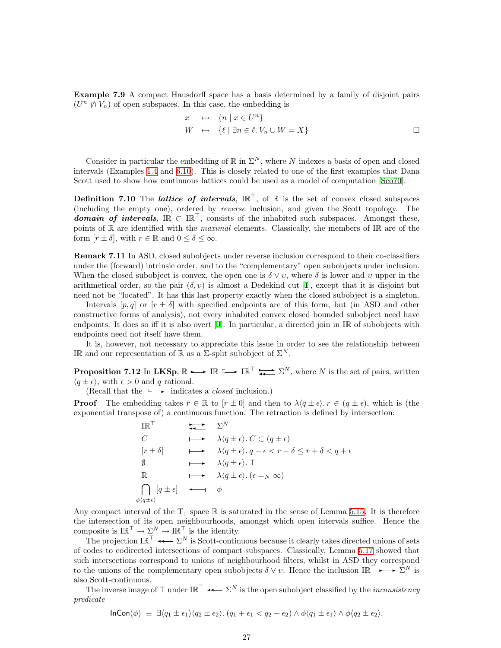Example 7.9 A compact Hausdorff space has a basis determined by a family of disjoint pairs  $(U<sup>n</sup> \notimes V<sub>n</sub>)$  of open subspaces. In this case, the embedding is

$$
x \mapsto \{n \mid x \in U^n\}
$$
  

$$
W \mapsto \{\ell \mid \exists n \in \ell. \ V_n \cup W = X\}
$$

Consider in particular the embedding of  $\mathbb R$  in  $\Sigma^N$ , where N indexes a basis of open and closed intervals (Examples [1.4](#page-2-0) and [6.10](#page-22-2)). This is closely related to one of the first examples that Dana Scott used to show how continuous lattices could be used as a model of computation[[Sco70\]](#page-59-11).

<span id="page-26-0"></span>**Definition 7.10** The *lattice* of *intervals*,  $\mathbb{IR}^{\top}$ , of  $\mathbb{R}$  is the set of convex closed subspaces (including the empty one), ordered by reverse inclusion, and given the Scott topology. The domain of intervals,  $I\mathbb{R} \subset I\mathbb{R}^T$ , consists of the inhabited such subspaces. Amongst these, points of  $\mathbb R$  are identified with the *maximal* elements. Classically, the members of I $\mathbb R$  are of the form  $[r \pm \delta]$ , with  $r \in \mathbb{R}$  and  $0 \leq \delta \leq \infty$ .

Remark 7.11 In ASD, closed subobjects under reverse inclusion correspond to their co-classifiers under the (forward) intrinsic order, and to the "complementary" open subobjects under inclusion. When the closed subobject is convex, the open one is  $\delta \vee v$ , where  $\delta$  is lower and v upper in the arithmeticalorder, so the pair  $(\delta, v)$  is almost a Dedekind cut [[I](#page-60-5)], except that it is disjoint but need not be "located". It has this last property exactly when the closed subobject is a singleton.

Intervals  $[p, q]$  or  $[r \pm \delta]$  with specified endpoints are of this form, but (in ASD and other constructive forms of analysis), not every inhabited convex closed bounded subobject need have endpoints. It does so iff it is also overt[[J\]](#page-60-8). In particular, a directed join in IR of subobjects with endpoints need not itself have them.

It is, however, not necessary to appreciate this issue in order to see the relationship between IR and our representation of R as a  $\Sigma$ -split subobject of  $\Sigma^N$ .

<span id="page-26-1"></span>**Proposition 7.12** In LKSp,  $\mathbb{R} \longrightarrow \mathbb{IR} \longrightarrow \mathbb{IR}^{\top} \longrightarrow \mathbb{R}^{\top} \longrightarrow \mathbb{R}^N$ , where N is the set of pairs, written  $\langle q \pm \epsilon \rangle$ , with  $\epsilon > 0$  and q rational.

(Recall that the  $\longrightarrow$  indicates a *closed* inclusion.)

**Proof** The embedding takes  $r \in \mathbb{R}$  to  $[r \pm 0]$  and then to  $\lambda \langle q \pm \epsilon \rangle$ .  $r \in (q \pm \epsilon)$ , which is (the exponential transpose of) a continuous function. The retraction is defined by intersection:

$$
\begin{array}{cccc}\n\mathbb{IR}^{\top} & & \longrightarrow & \Sigma^{N} \\
C & & \longrightarrow & \lambda(q \pm \epsilon), C \subset (q \pm \epsilon) \\
[r \pm \delta] & & \longrightarrow & \lambda(q \pm \epsilon). q - \epsilon < r - \delta \le r + \delta < q + \epsilon \\
\emptyset & & \longrightarrow & \lambda(q \pm \epsilon). \top \\
\mathbb{R} & & \longrightarrow & \lambda(q \pm \epsilon). (\epsilon = N \infty) \\
\bigcap_{\phi(q \pm \epsilon)} [q \pm \epsilon] & \longleftarrow & \phi\n\end{array}
$$

Any compact interval of the  $T_1$  space  $\mathbb R$  is saturated in the sense of Lemma [5.15](#page-18-4). It is therefore the intersection of its open neighbourhoods, amongst which open intervals suffice. Hence the composite is  $\mathbb{IR}^{\top} \to \Sigma^N \to \mathbb{IR}^{\top}$  is the identity.

The projection  $\mathbb{IR}^{\top} \leftarrow \Sigma^{N}$  is Scott-continuous because it clearly takes directed unions of sets of codes to codirected intersections of compact subspaces. Classically, Lemma [5.17](#page-19-3) showed that such intersections correspond to unions of neighbourhood filters, whilst in ASD they correspond to the unions of the complementary open subobjects  $\delta \vee v$ . Hence the inclusion  $\mathbb{IR}^{\top} \longrightarrow \Sigma^{N}$  is also Scott-continuous.

The inverse image of  $\top$  under  $I\mathbb{R}^{\top} \longrightarrow \Sigma^{N}$  is the open subobject classified by the *inconsistency* predicate

$$
\ln\text{Con}(\phi) \equiv \exists \langle q_1 \pm \epsilon_1 \rangle \langle q_2 \pm \epsilon_2 \rangle \cdot (q_1 + \epsilon_1 < q_2 - \epsilon_2) \wedge \phi \langle q_1 \pm \epsilon_1 \rangle \wedge \phi \langle q_2 \pm \epsilon_2 \rangle.
$$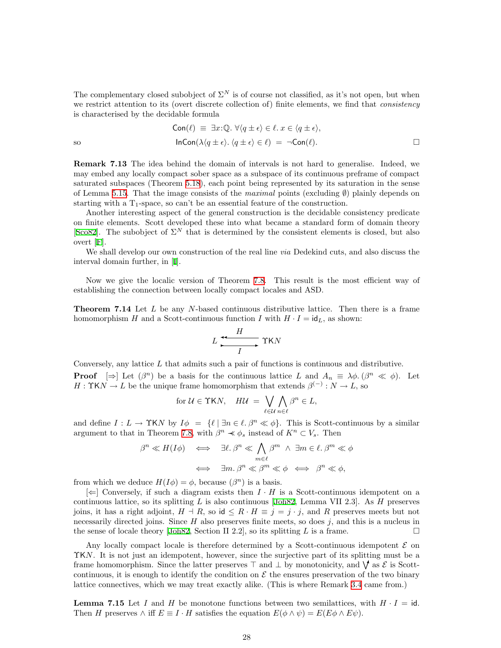The complementary closed subobject of  $\Sigma^N$  is of course not classified, as it's not open, but when we restrict attention to its (overt discrete collection of) finite elements, we find that *consistency* is characterised by the decidable formula

$$
\text{Con}(\ell) \equiv \exists x : \mathbb{Q}. \ \forall \langle q \pm \epsilon \rangle \in \ell. \ x \in \langle q \pm \epsilon \rangle,
$$
\n
$$
\text{InCon}(\lambda \langle q \pm \epsilon \rangle. \ \langle q \pm \epsilon \rangle \in \ell) \ = \ \neg \text{Con}(\ell).
$$

Remark 7.13 The idea behind the domain of intervals is not hard to generalise. Indeed, we may embed any locally compact sober space as a subspace of its continuous preframe of compact saturated subspaces (Theorem [5.18\)](#page-19-2), each point being represented by its saturation in the sense of Lemma [5.15.](#page-18-4) That the image consists of the *maximal* points (excluding  $\emptyset$ ) plainly depends on starting with a  $T_1$ -space, so can't be an essential feature of the construction.

Another interesting aspect of the general construction is the decidable consistency predicate on finite elements. Scott developed these into what became a standard form of domain theory [[Sco82\]](#page-59-12). The subobject of  $\Sigma^N$  that is determined by the consistent elements is closed, but also overt[[F](#page-60-7)].

We shall develop our own construction of the real line *via* Dedekind cuts, and also discuss the interval domain further, in [\[I\]](#page-60-5).

Now we give the localic version of Theorem [7.8](#page-25-0). This result is the most efficient way of establishing the connection between locally compact locales and ASD.

<span id="page-27-0"></span>**Theorem 7.14** Let  $L$  be any  $N$ -based continuous distributive lattice. Then there is a frame homomorphism H and a Scott-continuous function I with  $H \cdot I = id_L$ , as shown:

$$
L \xrightarrow{H} \Upsilon K N
$$

Conversely, any lattice  $L$  that admits such a pair of functions is continuous and distributive. **Proof**  $[\Rightarrow]$  Let  $(\beta^n)$  be a basis for the continuous lattice L and  $A_n \equiv \lambda \phi$ .  $(\beta^n \ll \phi)$ . Let  $H: \Upsilon K N \to L$  be the unique frame homomorphism that extends  $\beta^{(-)}: N \to L$ , so

for 
$$
U \in \Upsilon KN
$$
,  $HU = \bigvee_{\ell \in U} \bigwedge_{n \in \ell} \beta^n \in L$ ,

and define  $I : L \to \Upsilon K N$  by  $I \phi = \{ \ell \mid \exists n \in \ell, \beta^n \ll \phi \}.$  This is Scott-continuous by a similar argument to that in Theorem [7.8,](#page-25-0) with  $\beta^n \prec \phi_s$  instead of  $K^n \subset V_s$ . Then

$$
\beta^{n} \ll H(I\phi) \iff \exists \ell. \beta^{n} \ll \bigwedge_{m \in \ell} \beta^{m} \land \exists m \in \ell. \beta^{m} \ll \phi
$$
  

$$
\iff \exists m. \beta^{n} \ll \beta^{m} \ll \phi \iff \beta^{n} \ll \phi,
$$

from which we deduce  $H(I\phi) = \phi$ , because  $(\beta^n)$  is a basis.

 $[\Leftarrow]$  Conversely, if such a diagram exists then  $I \cdot H$  is a Scott-continuous idempotent on a continuouslattice, so its splitting  $L$  is also continuous [[Joh82,](#page-59-9) Lemma VII 2.3]. As  $H$  preserves joins, it has a right adjoint,  $H \dashv R$ , so id  $\leq R \cdot H \equiv i = j \cdot j$ , and R preserves meets but not necessarily directed joins. Since  $H$  also preserves finite meets, so does  $j$ , and this is a nucleus in the sense of locale theory [\[Joh82,](#page-59-9) Section II 2.2], so its splitting L is a frame.

Any locally compact locale is therefore determined by a Scott-continuous idempotent  $\mathcal E$  on ΥKN. It is not just an idempotent, however, since the surjective part of its splitting must be a frame homomorphism. Since the latter preserves  $\top$  and  $\bot$  by monotonicity, and  $\forall$  as  $\mathcal{E}$  is Scottcontinuous, it is enough to identify the condition on  $\mathcal E$  the ensures preservation of the two binary lattice connectives, which we may treat exactly alike. (This is where Remark [3.4](#page-8-4) came from.)

<span id="page-27-1"></span>**Lemma 7.15** Let I and H be monotone functions between two semilattices, with  $H \cdot I = id$ . Then H preserves  $\wedge$  iff  $E \equiv I \cdot H$  satisfies the equation  $E(\phi \wedge \psi) = E(E\phi \wedge E\psi)$ .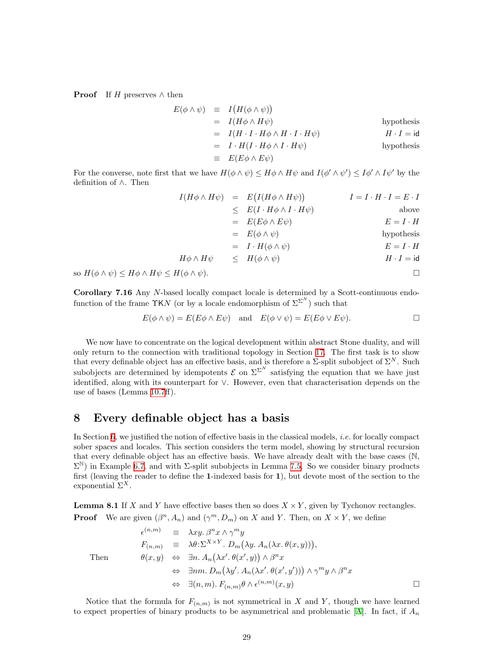<span id="page-28-0"></span>**Proof** If H preserves  $\wedge$  then

$$
E(\phi \land \psi) \equiv I(H(\phi \land \psi))
$$
  
\n
$$
= I(H\phi \land H\psi)
$$
hypothesis  
\n
$$
= I(H \cdot I \cdot H\phi \land H \cdot I \cdot H\psi)
$$
hypothesis  
\n
$$
= I \cdot H(I \cdot H\phi \land I \cdot H\psi)
$$
hypothesis  
\n
$$
\equiv E(E\phi \land E\psi)
$$

For the converse, note first that we have  $H(\phi \wedge \psi) \leq H\phi \wedge H\psi$  and  $I(\phi' \wedge \psi') \leq I\phi' \wedge I\psi'$  by the definition of ∧. Then

$$
I(H\phi \wedge H\psi) = E(I(H\phi \wedge H\psi)) \qquad I = I \cdot H \cdot I = E \cdot I
$$
  
\n
$$
\leq E(I \cdot H\phi \wedge I \cdot H\psi) \qquad \text{above}
$$
  
\n
$$
= E(E\phi \wedge E\psi) \qquad E = I \cdot H
$$
  
\n
$$
= E(\phi \wedge \psi) \qquad \text{hypothesis}
$$
  
\n
$$
H\phi \wedge H\psi \leq H(\phi \wedge \psi) \qquad H \cdot I = id
$$

so  $H(\phi \wedge \psi) \leq H\phi \wedge H\psi \leq H(\phi \wedge \psi)$ .

Corollary 7.16 Any N-based locally compact locale is determined by a Scott-continuous endofunction of the frame  $\Upsilon$ KN (or by a locale endomorphism of  $\Sigma^{\Sigma^{N}}$ ) such that

$$
E(\phi \wedge \psi) = E(E\phi \wedge E\psi) \quad \text{and} \quad E(\phi \vee \psi) = E(E\phi \vee E\psi).
$$

We now have to concentrate on the logical development within abstract Stone duality, and will only return to the connection with traditional topology in Section [17.](#page-54-1) The first task is to show that every definable object has an effective basis, and is therefore a  $\Sigma$ -split subobject of  $\Sigma^N$ . Such subobjects are determined by idempotents  $\mathcal E$  on  $\Sigma^{\Sigma^N}$  satisfying the equation that we have just identified, along with its counterpart for ∨. However, even that characterisation depends on the use of bases (Lemma [10.7ff](#page-36-0)).

### <span id="page-28-1"></span>8 Every definable object has a basis

In Section [6,](#page-19-1) we justified the notion of effective basis in the classical models, *i.e.* for locally compact sober spaces and locales. This section considers the term model, showing by structural recursion that every definable object has an effective basis. We have already dealt with the base cases (N,  $\Sigma^{\mathbb{N}}$ ) in Example [6.7](#page-21-0), and with  $\Sigma$ -split subobjects in Lemma [7.5.](#page-25-1) So we consider binary products first (leaving the reader to define the 1-indexed basis for 1), but devote most of the section to the exponential  $\Sigma^X$ .

<span id="page-28-2"></span>**Lemma 8.1** If X and Y have effective bases then so does  $X \times Y$ , given by Tychonov rectangles. **Proof** We are given  $(\beta^n, A_n)$  and  $(\gamma^m, D_m)$  on X and Y. Then, on  $X \times Y$ , we define

$$
\epsilon^{(n,m)} \equiv \lambda xy. \beta^n x \wedge \gamma^m y
$$
  
\n
$$
F_{(n,m)} \equiv \lambda \theta: \Sigma^{X \times Y} \cdot D_m(\lambda y. A_n(\lambda x. \theta(x, y))),
$$
  
\nThen  
\n
$$
\theta(x, y) \Leftrightarrow \exists n. A_n(\lambda x'. \theta(x', y)) \wedge \beta^n x
$$
  
\n
$$
\Leftrightarrow \exists nm. D_m(\lambda y'. A_n(\lambda x'. \theta(x', y'))) \wedge \gamma^m y \wedge \beta^n x
$$
  
\n
$$
\Leftrightarrow \exists (n, m). F_{(n,m)} \theta \wedge \epsilon^{(n,m)}(x, y)
$$

Notice that the formula for  $F_{(n,m)}$  is not symmetrical in X and Y, though we have learned toexpect properties of binary products to be asymmetrical and problematic [[A](#page-60-1)]. In fact, if  $A_n$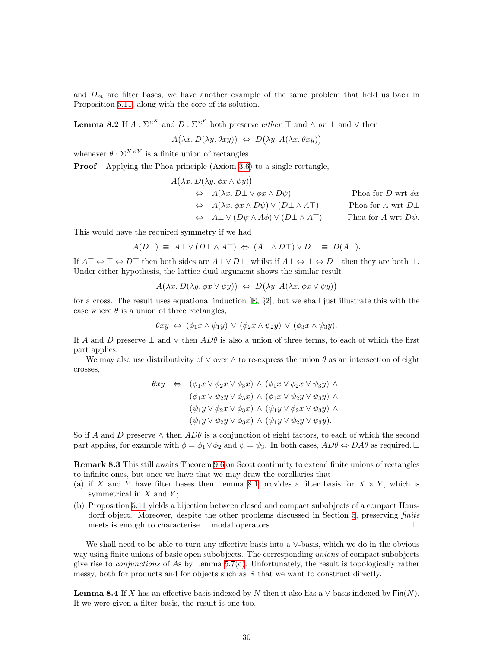and  $D_m$  are filter bases, we have another example of the same problem that held us back in Proposition [5.11](#page-17-0), along with the core of its solution.

<span id="page-29-2"></span>**Lemma 8.2** If  $A : \Sigma^{\Sigma^{X}}$  and  $D : \Sigma^{\Sigma^{Y}}$  both preserve *either*  $\top$  and  $\wedge$  or  $\bot$  and  $\vee$  then

 $A(\lambda x. D(\lambda y. \theta xy)) \Leftrightarrow D(\lambda y. A(\lambda x. \theta xy))$ 

whenever  $\theta$  :  $\Sigma^{X \times Y}$  is a finite union of rectangles.

**Proof** Applying the Phoa principle (Axiom [3.6\)](#page-9-1) to a single rectangle,

$$
A(\lambda x. D(\lambda y. \phi x \wedge \psi y))
$$
  
\n
$$
\Leftrightarrow A(\lambda x. D \bot \vee \phi x \wedge D\psi)
$$
  
\n
$$
\Leftrightarrow A(\lambda x. \phi x \wedge D\psi) \vee (D \bot \wedge A \top)
$$
  
\n
$$
\Leftrightarrow A \bot \vee (D\psi \wedge A\phi) \vee (D \bot \wedge A \top)
$$
  
\n
$$
\Leftrightarrow A \bot \vee (D\psi \wedge A\phi) \vee (D \bot \wedge A \top)
$$
  
\n
$$
\Leftrightarrow A \bot \vee (D\psi \wedge A\phi) \vee (D \bot \wedge A \top)
$$
  
\n
$$
\Leftrightarrow A \bot \vee (D\psi \wedge A\phi) \vee (D \bot \wedge A \top)
$$
  
\n
$$
\Leftrightarrow A \bot \vee (D\psi \wedge A\phi) \vee (D \bot \wedge A \top)
$$

This would have the required symmetry if we had

$$
A(D\bot) \equiv A\bot \vee (D\bot \wedge A\top) \Leftrightarrow (A\bot \wedge D\top) \vee D\bot \equiv D(A\bot).
$$

If  $A\top \Leftrightarrow \top \Leftrightarrow D\top$  then both sides are  $A\bot \vee D\bot$ , whilst if  $A\bot \Leftrightarrow \bot \Leftrightarrow D\bot$  then they are both  $\bot$ . Under either hypothesis, the lattice dual argument shows the similar result

$$
A(\lambda x. D(\lambda y. \phi x \vee \psi y)) \Leftrightarrow D(\lambda y. A(\lambda x. \phi x \vee \psi y))
$$

for a cross. The result uses equational induction [\[E](#page-60-3), §2], but we shall just illustrate this with the case where  $\theta$  is a union of three rectangles,

$$
\theta xy \Leftrightarrow (\phi_1 x \wedge \psi_1 y) \vee (\phi_2 x \wedge \psi_2 y) \vee (\phi_3 x \wedge \psi_3 y).
$$

If A and D preserve  $\perp$  and  $\vee$  then AD $\theta$  is also a union of three terms, to each of which the first part applies.

We may also use distributivity of  $\vee$  over  $\wedge$  to re-express the union  $\theta$  as an intersection of eight crosses,

$$
\theta xy \Leftrightarrow (\phi_1 x \lor \phi_2 x \lor \phi_3 x) \land (\phi_1 x \lor \phi_2 x \lor \psi_3 y) \land \n(\phi_1 x \lor \psi_2 y \lor \phi_3 x) \land (\phi_1 x \lor \psi_2 y \lor \psi_3 y) \land \n(\psi_1 y \lor \phi_2 x \lor \phi_3 x) \land (\psi_1 y \lor \phi_2 x \lor \psi_3 y) \land \n(\psi_1 y \lor \psi_2 y \lor \phi_3 x) \land (\psi_1 y \lor \psi_2 y \lor \psi_3 y).
$$

So if A and D preserve  $\wedge$  then  $AD\theta$  is a conjunction of eight factors, to each of which the second part applies, for example with  $\phi = \phi_1 \vee \phi_2$  and  $\psi = \psi_3$ . In both cases,  $AD\theta \Leftrightarrow DA\theta$  as required.  $\Box$ 

<span id="page-29-0"></span>Remark 8.3 This still awaits Theorem [9.6](#page-33-1) on Scott continuity to extend finite unions of rectangles to infinite ones, but once we have that we may draw the corollaries that

- (a) if X and Y have filter bases then Lemma [8.1](#page-28-2) provides a filter basis for  $X \times Y$ , which is symmetrical in  $X$  and  $Y$ ;
- (b) Proposition [5.11](#page-17-0) yields a bijection between closed and compact subobjects of a compact Haus-dorff object. Moreover, despite the other problems discussed in Section [5](#page-15-4), preserving *finite* meets is enough to characterise  $\square$  modal operators.  $\square$

We shall need to be able to turn any effective basis into a ∨-basis, which we do in the obvious way using finite unions of basic open subobjects. The corresponding *unions* of compact subobjects give rise to *conjunctions* of As by Lemma  $5.7(c)$ . Unfortunately, the result is topologically rather messy, both for products and for objects such as  $\mathbb R$  that we want to construct directly.

<span id="page-29-1"></span>**Lemma 8.4** If X has an effective basis indexed by N then it also has a  $\vee$ -basis indexed by Fin(N). If we were given a filter basis, the result is one too.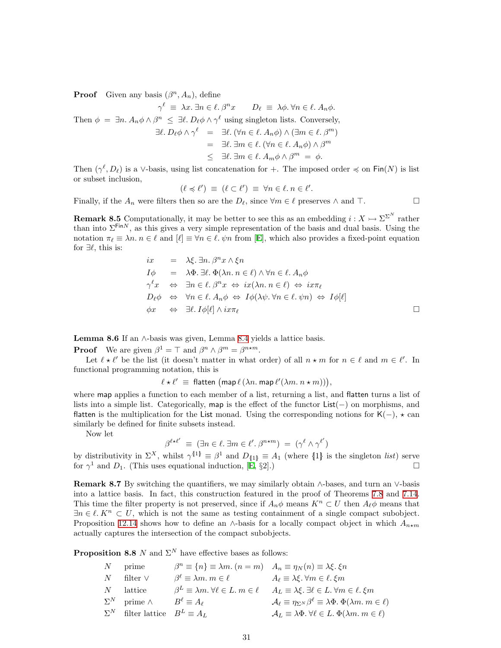**Proof** Given any basis  $(\beta^n, A_n)$ , define

 $\gamma^{\ell} \equiv \lambda x.$   $\exists n \in \ell$ .  $\beta^n x$   $D_{\ell} \equiv \lambda \phi$ .  $\forall n \in \ell$ .  $A_n \phi$ . Then  $\phi = \exists n. A_n \phi \wedge \beta^n \leq \exists \ell. D_\ell \phi \wedge \gamma^\ell$  using singleton lists. Conversely,  $\exists \ell.\ D_\ell \phi \wedge \gamma^\ell = \exists \ell. (\forall n \in \ell.\ A_n \phi) \wedge (\exists m \in \ell.\ \beta^m)$  $= \exists \ell. \exists m \in \ell. (\forall n \in \ell. A_n \phi) \wedge \beta^m$  $\leq \exists \ell. \exists m \in \ell. A_m \phi \wedge \beta^m = \phi.$ 

Then  $(\gamma^{\ell}, D_{\ell})$  is a ∨-basis, using list concatenation for +. The imposed order  $\preccurlyeq$  on Fin(N) is list or subset inclusion,

$$
(\ell \preccurlyeq \ell') \equiv (\ell \subset \ell') \equiv \forall n \in \ell \ldotp n \in \ell'.
$$

Finally, if the  $A_n$  were filters then so are the  $D_\ell$ , since  $\forall m \in \ell$  preserves ∧ and  $\top$ .

<span id="page-30-3"></span>**Remark 8.5** Computationally, it may be better to see this as an embedding  $i: X \rightarrow \Sigma^{\Sigma^N}$  rather than into  $\Sigma^{\text{Fin}N}$ , as this gives a very simple representation of the basis and dual basis. Using the notation  $\pi_\ell \equiv \lambda n$ .  $n \in \ell$  and  $[\ell] \equiv \forall n \in \ell$ .  $\psi n$  from [\[E](#page-60-3)], which also provides a fixed-point equation for  $\exists \ell$ , this is:

$$
ix = \lambda \xi \cdot \exists n. \beta^n x \wedge \xi n
$$
  
\n
$$
I\phi = \lambda \Phi \cdot \exists \ell. \Phi(\lambda n. n \in \ell) \wedge \forall n \in \ell. A_n \phi
$$
  
\n
$$
\gamma^{\ell} x \Leftrightarrow \exists n \in \ell. \beta^n x \Leftrightarrow ix(\lambda n. n \in \ell) \Leftrightarrow ix\pi_{\ell}
$$
  
\n
$$
D_{\ell}\phi \Leftrightarrow \forall n \in \ell. A_n \phi \Leftrightarrow I\phi(\lambda \psi. \forall n \in \ell. \psi n) \Leftrightarrow I\phi[\ell]
$$
  
\n
$$
\phi x \Leftrightarrow \exists \ell. I\phi[\ell] \wedge ix\pi_{\ell}
$$

<span id="page-30-2"></span>**Lemma 8.6** If an  $\wedge$ -basis was given, Lemma [8.4](#page-29-1) yields a lattice basis.

**Proof** We are given  $\beta^1 = \top$  and  $\beta^n \wedge \beta^m = \beta^{n \star m}$ .

Let  $\ell \star \ell'$  be the list (it doesn't matter in what order) of all  $n \star m$  for  $n \in \ell$  and  $m \in \ell'$ . In functional programming notation, this is

 $\ell \star \ell' \equiv$  flatten  $(\text{map } \ell (\lambda n. \text{map } \ell'(\lambda m. n \star m)))$ ,

where map applies a function to each member of a list, returning a list, and flatten turns a list of lists into a simple list. Categorically, map is the effect of the functor List(−) on morphisms, and flatten is the multiplication for the List monad. Using the corresponding notions for K(-),  $\star$  can similarly be defined for finite subsets instead.

Now let

 $\beta^{\ell \star \ell'} \equiv (\exists n \in \ell \ldotp \exists m \in \ell' \ldotp \beta^{n \star m}) = (\gamma^{\ell} \wedge \gamma^{\ell'})$ 

by distributivity in  $\Sigma^X$ , whilst  $\gamma^{\{1\}} \equiv \beta^1$  and  $D_{\{1\}} \equiv A_1$  (where  $\{1\}$  is the singleton *list*) serve for  $\gamma^1$  and  $D_1$ . (This uses equational induction,  $[\dot{E}, \S2]$ .)

<span id="page-30-1"></span>**Remark 8.7** By switching the quantifiers, we may similarly obtain  $\land$ -bases, and turn an  $\lor$ -basis into a lattice basis. In fact, this construction featured in the proof of Theorems [7.8](#page-25-0) and [7.14](#page-27-0). This time the filter property is not preserved, since if  $A_n\phi$  means  $K^n \subset U$  then  $A_\ell\phi$  means that  $\exists n \in \ell$ .  $K^n \subset U$ , which is not the same as testing containment of a single compact subobject. Proposition [12.14](#page-43-1) shows how to define an ∧-basis for a locally compact object in which  $A_{n \star m}$ actually captures the intersection of the compact subobjects.

<span id="page-30-0"></span>**Proposition 8.8** N and  $\Sigma^N$  have effective bases as follows:

| $N_{-}$ | prime                                      | $\beta^n \equiv \{n\} \equiv \lambda m.$ $(n = m)$ $A_n \equiv \eta_N(n) \equiv \lambda \xi.$ $\xi n$ |                                                                                                                |
|---------|--------------------------------------------|-------------------------------------------------------------------------------------------------------|----------------------------------------------------------------------------------------------------------------|
| $N_{-}$ | filter $\vee$                              | $\beta^{\ell} \equiv \lambda m. m \in \ell$                                                           | $A_{\ell} \equiv \lambda \xi$ . $\forall m \in \ell$ . $\xi m$                                                 |
|         | $N$ lattice                                | $\beta^L \equiv \lambda m \forall \ell \in L \ldotp m \in \ell$                                       | $A_L \equiv \lambda \xi$ . $\exists \ell \in L$ . $\forall m \in \ell$ . $\xi m$                               |
|         | $\Sigma^N$ prime $\wedge$                  | $B^{\ell} \equiv A_{\ell}$                                                                            | $\mathcal{A}_{\ell} \equiv \eta_{\Sigma^N} \beta^{\ell} \equiv \lambda \Phi \cdot \Phi(\lambda m. m \in \ell)$ |
|         | $\Sigma^N$ filter lattice $B^L \equiv A_L$ |                                                                                                       | $\mathcal{A}_L \equiv \lambda \Phi$ . $\forall \ell \in L$ . $\Phi(\lambda m, m \in \ell)$                     |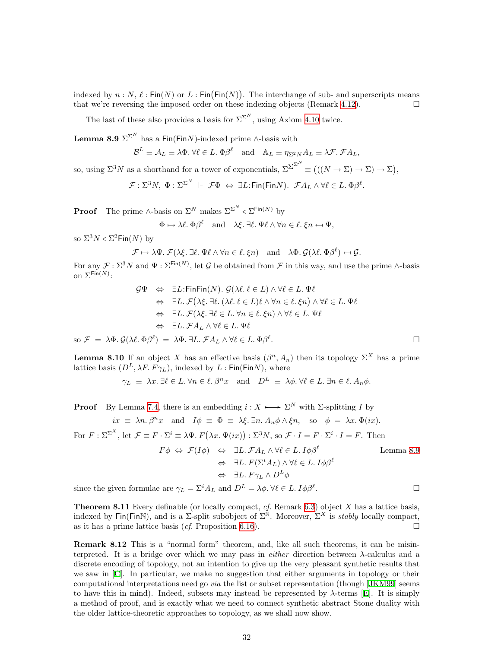indexed by  $n : N, \ell : Fin(N)$  or  $L : Fin(Fin(N))$ . The interchange of sub- and superscripts means that we're reversing the imposed order on these indexing objects (Remark [4.12\)](#page-13-3).  $\Box$ 

The last of these also provides a basis for  $\Sigma^{\Sigma^N}$ , using Axiom [4.10](#page-13-1) twice.

<span id="page-31-0"></span>**Lemma 8.9**  $\Sigma^{\Sigma^{N}}$  has a Fin(FinN)-indexed prime ∧-basis with

$$
\mathcal{B}^L \equiv \mathcal{A}_L \equiv \lambda \Phi. \,\forall \ell \in L. \,\Phi \beta^{\ell} \quad \text{and} \quad \mathbb{A}_L \equiv \eta_{\Sigma^2 N} A_L \equiv \lambda \mathcal{F}. \,\mathcal{F} A_L,
$$

so, using  $\Sigma^3 N$  as a shorthand for a tower of exponentials,  $\Sigma^{\Sigma^{N}} \equiv (((N \to \Sigma) \to \Sigma) \to \Sigma),$ 

 $\mathcal{F}:\Sigma^3 N,~\Phi:\Sigma^{\Sigma^N}~\vdash~\mathcal{F}\Phi~\Leftrightarrow~\exists L\text{:Fin}(\mathsf{Fin} N).~~\mathcal{F}A_L\wedge \forall \ell\in L.~\Phi\beta^\ell.$ 

**Proof** The prime ∧-basis on  $\Sigma^N$  makes  $\Sigma^{\Sigma^N} \triangleleft \Sigma^{\text{Fin}(N)}$  by

$$
\Phi \mapsto \lambda \ell
$$
.  $\Phi \beta^{\ell}$  and  $\lambda \xi$ .  $\exists \ell$ .  $\Psi \ell \wedge \forall n \in \ell$ .  $\xi n \leftrightarrow \Psi$ ,

so  $\Sigma^3 N \triangleleft \Sigma^2$ Fin $(N)$  by

$$
\mathcal{F} \mapsto \lambda \Psi. \ \mathcal{F}(\lambda \xi. \ \exists \ell. \ \Psi \ell \wedge \forall n \in \ell. \ \xi n) \quad \text{and} \quad \lambda \Phi. \ \mathcal{G}(\lambda \ell. \ \Phi \beta^{\ell}) \leftarrow \mathcal{G}.
$$

For any  $\mathcal{F}: \Sigma^3 N$  and  $\Psi: \Sigma^{\text{Fin}(N)}$ , let G be obtained from  $\mathcal F$  in this way, and use the prime ∧-basis on  $\Sigma^{\mathsf{Fin}(N)}$ :

$$
\mathcal{G}\Psi \Leftrightarrow \exists L:\text{FinFin}(N). \ \mathcal{G}(\lambda \ell. \ \ell \in L) \land \forall \ell \in L. \ \Psi \ell
$$
  
\n
$$
\Leftrightarrow \exists L. \ \mathcal{F}(\lambda \xi. \ \exists \ell. \ (\lambda \ell. \ \ell \in L) \ell \land \forall n \in \ell. \ \xi n) \land \forall \ell \in L. \ \Psi \ell
$$
  
\n
$$
\Leftrightarrow \exists L. \ \mathcal{F}(\lambda \xi. \ \exists \ell \in L. \ \forall n \in \ell. \ \xi n) \land \forall \ell \in L. \ \Psi \ell
$$
  
\n
$$
\Leftrightarrow \exists L. \ \mathcal{F}A_L \land \forall \ell \in L. \ \Psi \ell
$$
  
\nso  $\mathcal{F} = \lambda \Phi. \ \mathcal{G}(\lambda \ell. \ \Phi \beta^{\ell}) = \lambda \Phi. \ \exists L. \ \mathcal{F}A_L \land \forall \ell \in L. \ \Phi \beta^{\ell}.$ 

<span id="page-31-1"></span>**Lemma 8.10** If an object X has an effective basis  $(\beta^n, A_n)$  then its topology  $\Sigma^X$  has a prime lattice basis  $(D^L, \lambda F. F \gamma_L)$ , indexed by  $L : Fin(FinN)$ , where

$$
\gamma_L \equiv \lambda x. \exists \ell \in L. \forall n \in \ell. \beta^n x \text{ and } D^L \equiv \lambda \phi. \forall \ell \in L. \exists n \in \ell. A_n \phi.
$$

**Proof** By Lemma [7.4](#page-24-0), there is an embedding  $i: X \rightarrow \Sigma^N$  with  $\Sigma$ -splitting I by

$$
ix \equiv \lambda n \cdot \beta^n x
$$
 and  $I\phi \equiv \Phi \equiv \lambda \xi \cdot \exists n \cdot A_n \phi \wedge \xi n$ , so  $\phi = \lambda x \cdot \Phi(ix)$ .

For  $F : \Sigma^{\Sigma^X}$ , let  $\mathcal{F} \equiv F \cdot \Sigma^i \equiv \lambda \Psi$ .  $F(\lambda x. \Psi(ix)) : \Sigma^3 N$ , so  $\mathcal{F} \cdot I = F \cdot \Sigma^i \cdot I = F$ . Then

$$
F\phi \Leftrightarrow \mathcal{F}(I\phi) \Leftrightarrow \exists L. \mathcal{F}A_L \wedge \forall \ell \in L. I\phi\beta^{\ell}
$$
 Lemma 8.9  

$$
\Leftrightarrow \exists L. \ F(\Sigma^i A_L) \wedge \forall \ell \in L. I\phi\beta^{\ell}
$$

$$
\Leftrightarrow \exists L. \ F\gamma_L \wedge D^L\phi
$$

<span id="page-31-2"></span>since the given formulae are  $\gamma_L = \Sigma^i A_L$  and  $D^L = \lambda \phi$ .  $\forall \ell \in L$ .  $I \phi \beta^{\ell}$ . . — Процессиональные производствование и производствование и производствование и производствование и производс<br>В 1990 году в 1990 году в 1990 году в 1990 году в 1990 году в 1990 году в 1990 году в 1990 году в 1990 году в<br>

**Theorem 8.11** Every definable (or locally compact,  $cf$ . Remark [6.3\)](#page-20-2) object X has a lattice basis, indexed by Fin(FinN), and is a  $\Sigma$ -split subobject of  $\Sigma^{\mathbb{N}}$ . Moreover,  $\Sigma^X$  is *stably* locally compact, as it has a prime lattice basis (*cf.* Proposition [6.16\)](#page-23-5).

<span id="page-31-3"></span>Remark 8.12 This is a "normal form" theorem, and, like all such theorems, it can be misinterpreted. It is a bridge over which we may pass in *either* direction between  $\lambda$ -calculus and a discrete encoding of topology, not an intention to give up the very pleasant synthetic results that we saw in[[C](#page-60-2)]. In particular, we make no suggestion that either arguments in topology or their computational interpretations need go via the list or subset representation (though[[JKM99\]](#page-59-13) seems tohave this in mind). Indeed, subsets may instead be represented by  $\lambda$ -terms [[E\]](#page-60-3). It is simply a method of proof, and is exactly what we need to connect synthetic abstract Stone duality with the older lattice-theoretic approaches to topology, as we shall now show.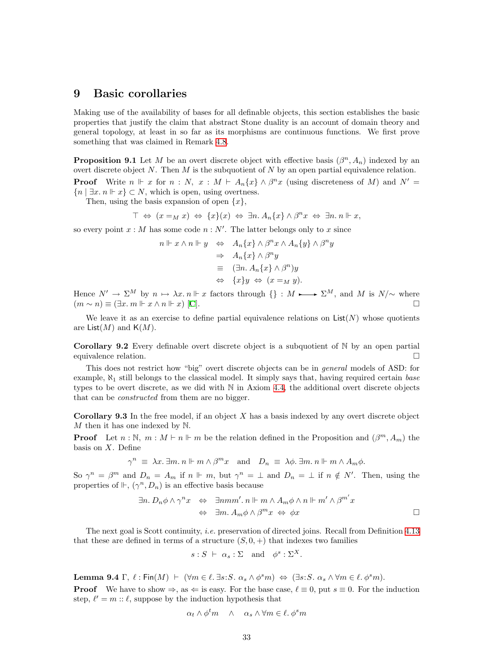### <span id="page-32-1"></span><span id="page-32-0"></span>9 Basic corollaries

Making use of the availability of bases for all definable objects, this section establishes the basic properties that justify the claim that abstract Stone duality is an account of domain theory and general topology, at least in so far as its morphisms are continuous functions. We first prove something that was claimed in Remark [4.8.](#page-12-1)

**Proposition 9.1** Let M be an overt discrete object with effective basis  $(\beta^n, A_n)$  indexed by an overt discrete object N. Then  $M$  is the subquotient of  $N$  by an open partial equivalence relation. **Proof** Write  $n \Vdash x$  for  $n : N$ ,  $x : M \vdash A_n\{x\} \wedge \beta^n x$  (using discreteness of M) and  $N' =$  ${n \mid \exists x \ldotp n \Vdash x} \subset N$ , which is open, using overtness.

Then, using the basis expansion of open  $\{x\}$ ,

$$
\top \Leftrightarrow (x =_M x) \Leftrightarrow \{x\}(x) \Leftrightarrow \exists n. A_n \{x\} \wedge \beta^n x \Leftrightarrow \exists n. n \Vdash x,
$$

so every point  $x : M$  has some code  $n : N'$ . The latter belongs only to x since

$$
n \Vdash x \land n \Vdash y \Leftrightarrow A_n \{x\} \land \beta^n x \land A_n \{y\} \land \beta^n y
$$
  
\n
$$
\Rightarrow A_n \{x\} \land \beta^n y
$$
  
\n
$$
\equiv (\exists n. A_n \{x\} \land \beta^n) y
$$
  
\n
$$
\Leftrightarrow \{x\} y \Leftrightarrow (x =_M y).
$$

Hence  $N' \to \Sigma^M$  by  $n \mapsto \lambda x. n \Vdash x$  factors through  $\{\} : M \longrightarrow \Sigma^M$ , and M is  $N/\sim$  where  $(m \sim n) \equiv (\exists x \ldots m \Vdash x \wedge n \Vdash x)$  $(m \sim n) \equiv (\exists x \ldots m \Vdash x \wedge n \Vdash x)$  $(m \sim n) \equiv (\exists x \ldots m \Vdash x \wedge n \Vdash x)$  [[C\]](#page-60-2).

We leave it as an exercise to define partial equivalence relations on  $List(N)$  whose quotients are List $(M)$  and  $K(M)$ .

<span id="page-32-2"></span>**Corollary 9.2** Every definable overt discrete object is a subquotient of  $\mathbb N$  by an open partial equivalence relation.

This does not restrict how "big" overt discrete objects can be in general models of ASD: for example,  $\aleph_1$  still belongs to the classical model. It simply says that, having required certain base types to be overt discrete, as we did with  $\mathbb N$  in Axiom [4.4](#page-11-2), the additional overt discrete objects that can be constructed from them are no bigger.

**Corollary 9.3** In the free model, if an object  $X$  has a basis indexed by any overt discrete object M then it has one indexed by  $\mathbb N$ .

**Proof** Let  $n : \mathbb{N}, m : M \vdash n \Vdash m$  be the relation defined in the Proposition and  $(\beta^m, A_m)$  the basis on  $X$ . Define

$$
\gamma^n \equiv \lambda x. \exists m. n \Vdash m \wedge \beta^m x \text{ and } D_n \equiv \lambda \phi. \exists m. n \Vdash m \wedge A_m \phi.
$$

So  $\gamma^n = \beta^m$  and  $D_n = A_m$  if  $n \Vdash m$ , but  $\gamma^n = \bot$  and  $D_n = \bot$  if  $n \notin N'$ . Then, using the properties of  $\mathbb{H}$ ,  $(\gamma^n, D_n)$  is an effective basis because

$$
\exists n. D_n \phi \land \gamma^n x \Leftrightarrow \exists nmm'.\ n \Vdash m \land A_m \phi \land n \Vdash m' \land \beta^{m'} x
$$
  

$$
\Leftrightarrow \exists m. A_m \phi \land \beta^m x \Leftrightarrow \phi x
$$

The next goal is Scott continuity, i.e. preservation of directed joins. Recall from Definition [4.13](#page-13-0) that these are defined in terms of a structure  $(S, 0, +)$  that indexes two families

$$
s: S \ \vdash \ \alpha_s: \Sigma \quad \text{and} \quad \phi^s: \Sigma^X.
$$

Lemma 9.4  $\Gamma$ ,  $\ell$ : Fin $(M) \vdash (\forall m \in \ell$ . ∃s:S.  $\alpha_s \wedge \phi^s m) \Leftrightarrow (\exists s : S. \alpha_s \wedge \forall m \in \ell$ .  $\phi^s m)$ .

**Proof** We have to show  $\Rightarrow$ , as  $\Leftarrow$  is easy. For the base case,  $\ell \equiv 0$ , put  $s \equiv 0$ . For the induction step,  $\ell' = m :: \ell$ , suppose by the induction hypothesis that

$$
\alpha_t \wedge \phi^t m \quad \wedge \quad \alpha_s \wedge \forall m \in \ell, \phi^s m
$$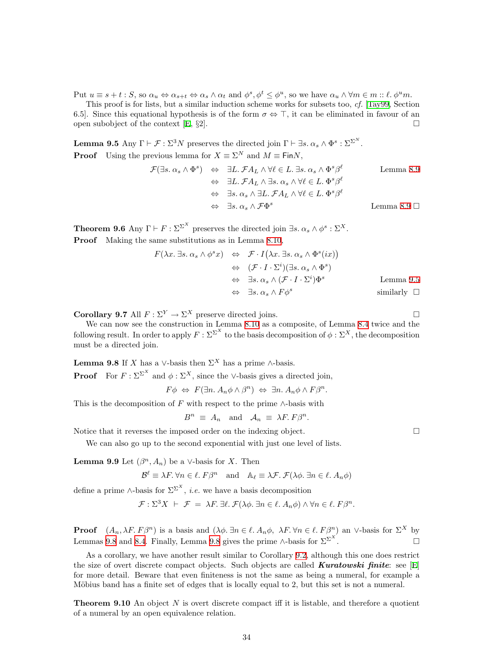Put  $u \equiv s + t : S$ , so  $\alpha_u \Leftrightarrow \alpha_{s+t} \Leftrightarrow \alpha_s \wedge \alpha_t$  and  $\phi^s, \phi^t \leq \phi^u$ , so we have  $\alpha_u \wedge \forall m \in m :: \ell. \phi^u m$ .

This proof is for lists, but a similar induction scheme works for subsets too, cf. [\[Tay99,](#page-59-6) Section 6.5]. Since this equational hypothesis is of the form  $\sigma \Leftrightarrow \top$ , it can be eliminated in favour of an open subobject of the context  $\mathbb{E}, \S 2$ .

<span id="page-33-3"></span>**Lemma 9.5** Any  $\Gamma \vdash \mathcal{F} : \Sigma^3 N$  preserves the directed join  $\Gamma \vdash \exists s. \alpha_s \wedge \Phi^s : \Sigma^{\Sigma^N}$ . **Proof** Using the previous lemma for  $X \equiv \Sigma^N$  and  $M \equiv \text{Fin}N$ ,

$$
\mathcal{F}(\exists s. \alpha_s \land \Phi^s) \Leftrightarrow \exists L. \mathcal{F} A_L \land \forall \ell \in L. \exists s. \alpha_s \land \Phi^s \beta^{\ell} \qquad \text{Lemma 8.9}
$$
  

$$
\Leftrightarrow \exists L. \mathcal{F} A_L \land \exists s. \alpha_s \land \forall \ell \in L. \Phi^s \beta^{\ell}
$$
  

$$
\Leftrightarrow \exists s. \alpha_s \land \exists L. \mathcal{F} A_L \land \forall \ell \in L. \Phi^s \beta^{\ell}
$$
  

$$
\Leftrightarrow \exists s. \alpha_s \land \mathcal{F}\Phi^s \qquad \text{Lemma 8.9 } \Box
$$

<span id="page-33-1"></span>**Theorem 9.6** Any  $\Gamma \vdash F : \Sigma^{\Sigma^X}$  preserves the directed join  $\exists s. \alpha_s \wedge \phi^s : \Sigma^X$ . Proof Making the same substitutions as in Lemma [8.10,](#page-31-1)

$$
F(\lambda x. \exists s. \alpha_s \land \phi^s x) \Leftrightarrow \mathcal{F} \cdot I(\lambda x. \exists s. \alpha_s \land \Phi^s(ix))
$$
  
\n
$$
\Leftrightarrow (\mathcal{F} \cdot I \cdot \Sigma^i)(\exists s. \alpha_s \land \Phi^s)
$$
  
\n
$$
\Leftrightarrow \exists s. \alpha_s \land (\mathcal{F} \cdot I \cdot \Sigma^i)\Phi^s
$$
 Lemma 9.5  
\n
$$
\Leftrightarrow \exists s. \alpha_s \land F\phi^s
$$
 similarly  $\Box$ 

**Corollary 9.7** All  $F : \Sigma^Y \to \Sigma^X$  preserve directed joins.

We can now see the construction in Lemma [8.10](#page-31-1) as a composite, of Lemma [8.4](#page-29-1) twice and the following result. In order to apply  $F : \Sigma^{\Sigma^X}$  to the basis decomposition of  $\phi : \Sigma^X$ , the decomposition must be a directed join.

<span id="page-33-2"></span>**Lemma 9.8** If X has a ∨-basis then  $\Sigma^X$  has a prime ∧-basis.

**Proof** For  $F : \Sigma^{\Sigma^X}$  and  $\phi : \Sigma^X$ , since the ∨-basis gives a directed join,

 $F\phi \Leftrightarrow F(\exists n. A_n \phi \wedge \beta^n) \Leftrightarrow \exists n. A_n \phi \wedge F\beta^n.$ 

This is the decomposition of F with respect to the prime  $\wedge$ -basis with

$$
B^n \equiv A_n \quad \text{and} \quad A_n \equiv \lambda F. \, F\beta^n.
$$

Notice that it reverses the imposed order on the indexing object.

We can also go up to the second exponential with just one level of lists.

<span id="page-33-4"></span>**Lemma 9.9** Let  $(\beta^n, A_n)$  be a ∨-basis for X. Then

$$
\mathcal{B}^{\ell} \equiv \lambda F. \,\forall n \in \ell. \, F\beta^{n} \quad \text{and} \quad \mathbb{A}_{\ell} \equiv \lambda \mathcal{F.} \,\mathcal{F}(\lambda \phi. \,\exists n \in \ell. \, A_{n}\phi)
$$

define a prime ∧-basis for  $\Sigma^{\Sigma^{X}}$ , *i.e.* we have a basis decomposition

$$
\mathcal{F}: \Sigma^3 X \ \vdash \ \mathcal{F} \ = \ \lambda F. \ \exists \ell. \ \mathcal{F}(\lambda \phi. \ \exists n \in \ell. \ A_n \phi) \land \forall n \in \ell. \ F\beta^n.
$$

**Proof**  $(A_n, \lambda F, F\beta^n)$  is a basis and  $(\lambda \phi, \exists n \in \ell, A_n\phi, \lambda F, \forall n \in \ell, F\beta^n)$  an ∨-basis for  $\Sigma^X$  by Lemmas [9.8](#page-33-2) and [8.4.](#page-29-1) Finally, Lemma 9.8 gives the prime ∧-basis for  $\Sigma^{\Sigma^X}$ . — Первый профессиональный профессиональный софийский софийский софийский софийский софийский софийский софий<br>В софийский софийский софийский софийский софийский софийский софийский софийский софийский софийский софийски

As a corollary, we have another result similar to Corollary [9.2](#page-32-2), although this one does restrict the size of overt discrete compact objects. Such objects are called **Kuratowski finite**: see [\[E](#page-60-3)] for more detail. Beware that even finiteness is not the same as being a numeral, for example a Möbius band has a finite set of edges that is locally equal to 2, but this set is not a numeral.

<span id="page-33-0"></span>**Theorem 9.10** An object  $N$  is overt discrete compact iff it is listable, and therefore a quotient of a numeral by an open equivalence relation.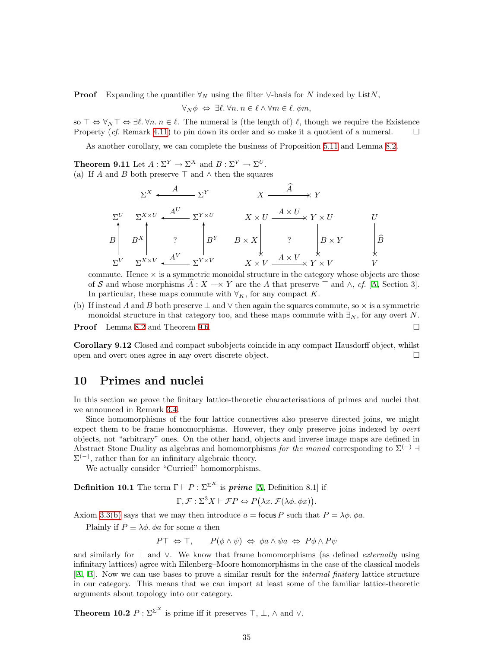<span id="page-34-0"></span>**Proof** Expanding the quantifier  $\forall_N$  using the filter ∨-basis for N indexed by ListN,

$$
\forall_N \phi \Leftrightarrow \exists \ell. \forall n. \, n \in \ell \land \forall m \in \ell. \, \phi m,
$$

so  $\top \Leftrightarrow \forall_N \top \Leftrightarrow \exists \ell. \forall n. n \in \ell.$  The numeral is (the length of)  $\ell$ , though we require the Existence Property (cf. Remark [4.11](#page-13-2)) to pin down its order and so make it a quotient of a numeral.  $\square$ 

As another corollary, we can complete the business of Proposition [5.11](#page-17-0) and Lemma [8.2](#page-29-2).

<span id="page-34-2"></span>**Theorem 9.11** Let  $A: \Sigma^Y \to \Sigma^X$  and  $B: \Sigma^V \to \Sigma^U$ . (a) If A and B both preserve  $\top$  and  $\wedge$  then the squares

$$
\Sigma^{X} \xleftarrow{A} \Sigma^{Y} \qquad X \xrightarrow{\widehat{A}} Y
$$
\n
$$
\Sigma^{U} \Sigma^{X \times U} \xleftarrow{A^{U}} \Sigma^{Y \times U} \qquad X \times U \xrightarrow{A \times U} Y \times U \qquad U
$$
\n
$$
B \qquad B^{X} \qquad ? \qquad B^{Y} \qquad B \times X \qquad ? \qquad B \times Y \qquad \beta
$$
\n
$$
\Sigma^{V} \qquad \Sigma^{X \times V} \xleftarrow{A^{V}} \Sigma^{Y \times V} \qquad X \times V \xrightarrow{A \times V} Y \times V \qquad V
$$

commute. Hence  $\times$  is a symmetric monoidal structure in the category whose objects are those of S and whose morphisms  $\hat{A}: X \longrightarrow Y$  $\hat{A}: X \longrightarrow Y$  $\hat{A}: X \longrightarrow Y$  are the A that preserve  $\top$  and  $\wedge$ , cf. [A, Section 3]. In particular, these maps commute with  $\forall K$ , for any compact K.

(b) If instead A and B both preserve  $\perp$  and  $\vee$  then again the squares commute, so  $\times$  is a symmetric monoidal structure in that category too, and these maps commute with  $\exists_N$ , for any overt N.

**Proof** Lemma [8.2](#page-29-2) and Theorem [9.6](#page-33-1). □

Corollary 9.12 Closed and compact subobjects coincide in any compact Hausdorff object, whilst open and overt ones agree in any overt discrete object.

#### <span id="page-34-1"></span>10 Primes and nuclei

In this section we prove the finitary lattice-theoretic characterisations of primes and nuclei that we announced in Remark [3.4](#page-8-4).

Since homomorphisms of the four lattice connectives also preserve directed joins, we might expect them to be frame homomorphisms. However, they only preserve joins indexed by *overt* objects, not "arbitrary" ones. On the other hand, objects and inverse image maps are defined in Abstract Stone Duality as algebras and homomorphisms for the monad corresponding to  $\Sigma^{(-)}$  $\Sigma^{(-)}$ , rather than for an infinitary algebraic theory.

We actually consider "Curried" homomorphisms.

**Definition 10.1** The term  $\Gamma \vdash P : \Sigma^{\Sigma^X}$  is **prime** [\[A,](#page-60-1) Definition 8.1] if

$$
\Gamma, \mathcal{F}: \Sigma^3 X \vdash \mathcal{F}P \Leftrightarrow P(\lambda x. \mathcal{F}(\lambda \phi. \phi x)).
$$

Axiom [3.3\(b\)](#page-8-2) says that we may then introduce  $a =$  focus P such that  $P = \lambda \phi$ .  $\phi a$ .

Plainly if  $P \equiv \lambda \phi$ .  $\phi a$  for some a then

$$
P\top \Leftrightarrow \top, \qquad P(\phi \wedge \psi) \Leftrightarrow \phi a \wedge \psi a \Leftrightarrow P\phi \wedge P\psi
$$

and similarly for  $\perp$  and  $\vee$ . We know that frame homomorphisms (as defined *externally* using infinitary lattices) agree with Eilenberg–Moore homomorphisms in the case of the classical models [[A](#page-60-1), [B\]](#page-60-0). Now we can use bases to prove a similar result for the internal finitary lattice structure in our category. This means that we can import at least some of the familiar lattice-theoretic arguments about topology into our category.

**Theorem 10.2**  $P : \Sigma^{\Sigma^X}$  is prime iff it preserves  $\top$ ,  $\bot$ ,  $\wedge$  and  $\vee$ .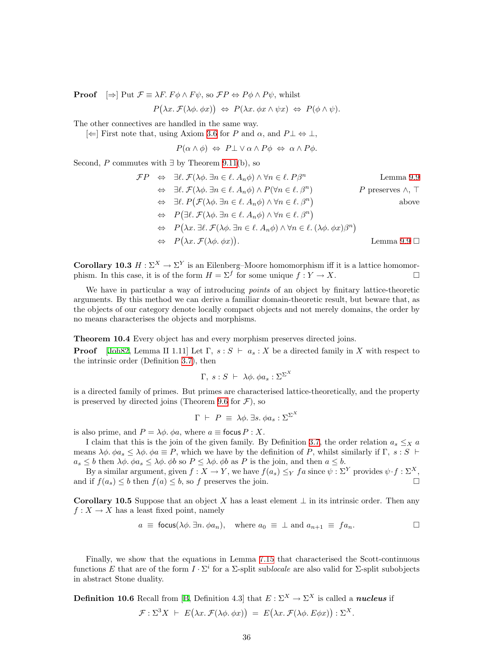**Proof**  $\Rightarrow$  Put  $\mathcal{F} \equiv \lambda F$ .  $F \phi \wedge F \psi$ , so  $\mathcal{F}P \Leftrightarrow P \phi \wedge P \psi$ , whilst

 $P(\lambda x. \mathcal{F}(\lambda \phi. \phi x)) \Leftrightarrow P(\lambda x. \phi x \wedge \psi x) \Leftrightarrow P(\phi \wedge \psi).$ 

The other connectives are handled in the same way.

 $\left[\leftarrow\right]$  First note that, using Axiom [3.6](#page-9-1) for P and α, and P $\perp \Leftrightarrow \perp$ ,

 $P(\alpha \wedge \phi) \Leftrightarrow P \perp \vee \alpha \wedge P \phi \Leftrightarrow \alpha \wedge P \phi.$ 

Second, P commutes with  $\exists$  by Theorem [9.11\(](#page-34-2)b), so

$$
\mathcal{F}P \Leftrightarrow \exists \ell. \mathcal{F}(\lambda \phi. \exists n \in \ell. A_n \phi) \land \forall n \in \ell. P\beta^n \qquad \text{Lemma 9.9}
$$
\n
$$
\Leftrightarrow \exists \ell. \mathcal{F}(\lambda \phi. \exists n \in \ell. A_n \phi) \land P(\forall n \in \ell. \beta^n) \qquad P \text{ preserves } \land, \top
$$
\n
$$
\Leftrightarrow \exists \ell. P(\mathcal{F}(\lambda \phi. \exists n \in \ell. A_n \phi) \land \forall n \in \ell. \beta^n) \qquad \text{above}
$$
\n
$$
\Leftrightarrow P(\exists \ell. \mathcal{F}(\lambda \phi. \exists n \in \ell. A_n \phi) \land \forall n \in \ell. \beta^n)
$$
\n
$$
\Leftrightarrow P(\lambda x. \exists \ell. \mathcal{F}(\lambda \phi. \exists n \in \ell. A_n \phi) \land \forall n \in \ell. (\lambda \phi. \phi x) \beta^n)
$$
\n
$$
\Leftrightarrow P(\lambda x. \mathcal{F}(\lambda \phi. \phi x)). \qquad \text{Lemma 9.9 } \square
$$

<span id="page-35-1"></span>**Corollary 10.3**  $H : \Sigma^X \to \Sigma^Y$  is an Eilenberg–Moore homomorphism iff it is a lattice homomorphism. In this case, it is of the form  $H = \Sigma^f$  for some unique  $f: Y \to X$ .

We have in particular a way of introducing *points* of an object by finitary lattice-theoretic arguments. By this method we can derive a familiar domain-theoretic result, but beware that, as the objects of our category denote locally compact objects and not merely domains, the order by no means characterises the objects and morphisms.

<span id="page-35-0"></span>Theorem 10.4 Every object has and every morphism preserves directed joins.

**Proof** [\[Joh82,](#page-59-9) Lemma II 1.11] Let  $\Gamma$ ,  $s : S \vdash a_s : X$  be a directed family in X with respect to the intrinsic order (Definition [3.7\)](#page-9-0), then

$$
\Gamma, \; s : S \; \vdash \; \lambda \phi. \; \phi a_s : \Sigma^{\Sigma^X}
$$

is a directed family of primes. But primes are characterised lattice-theoretically, and the property is preserved by directed joins (Theorem [9.6](#page-33-1) for  $\mathcal{F}$ ), so

$$
\Gamma \ \vdash \ P \ \equiv \ \lambda \phi. \ \exists s. \ \phi a_s : \Sigma^{\Sigma^X}
$$

is also prime, and  $P = \lambda \phi$ .  $\phi a$ , where  $a \equiv$  focus  $P : X$ .

I claim that this is the join of the given family. By Definition [3.7,](#page-9-0) the order relation  $a_s \leq x a$ means  $\lambda \phi$ .  $\phi a_s \leq \lambda \phi$ .  $\phi a \equiv P$ , which we have by the definition of P, whilst similarly if  $\Gamma$ , s: S  $\vdash$  $a_s \leq b$  then  $\lambda \phi$ .  $\phi a_s \leq \lambda \phi$ .  $\phi b$  so  $P \leq \lambda \phi$ .  $\phi b$  as P is the join, and then  $a \leq b$ .

By a similar argument, given  $f : X \to Y$ , we have  $f(a_s) \leq_Y fa$  since  $\psi : \Sigma^Y$  provides  $\psi \cdot f : \Sigma^X$ , and if  $f(a_s) \leq b$  then  $f(a) \leq b$ , so f preserves the join.

**Corollary 10.5** Suppose that an object X has a least element  $\perp$  in its intrinsic order. Then any  $f: X \to X$  has a least fixed point, namely

$$
a \equiv \text{focus}(\lambda \phi, \exists n. \phi a_n), \text{ where } a_0 \equiv \bot \text{ and } a_{n+1} \equiv fa_n.
$$

Finally, we show that the equations in Lemma [7.15](#page-27-1) that characterised the Scott-continuous functions E that are of the form  $I \cdot \Sigma^i$  for a  $\Sigma$ -split sublocale are also valid for  $\Sigma$ -split subobjects in abstract Stone duality.

**Definition 10.6** Recall from [\[B](#page-60-0), Definition 4.3] that  $E : \Sigma^X \to \Sigma^X$  is called a *nucleus* if

$$
\mathcal{F}: \Sigma^3 X + E(\lambda x. \mathcal{F}(\lambda \phi. \phi x)) = E(\lambda x. \mathcal{F}(\lambda \phi. E \phi x)) : \Sigma^X.
$$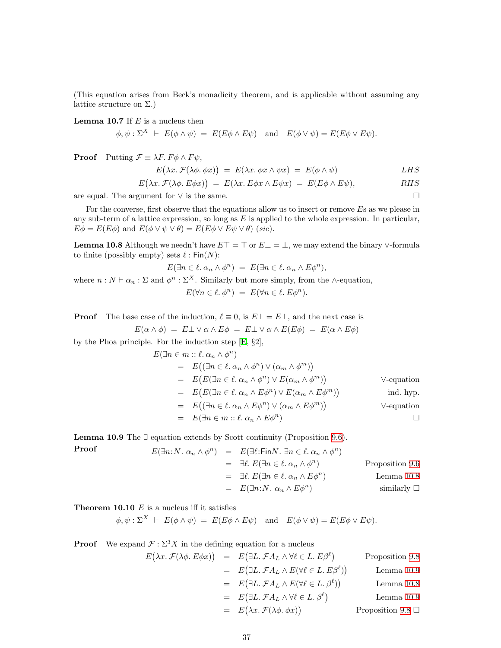(This equation arises from Beck's monadicity theorem, and is applicable without assuming any lattice structure on  $\Sigma$ .)

<span id="page-36-0"></span>**Lemma 10.7** If  $E$  is a nucleus then

 $\phi, \psi : \Sigma^{X} \vdash E(\phi \wedge \psi) = E(E\phi \wedge E\psi)$  and  $E(\phi \vee \psi) = E(E\phi \vee E\psi)$ .

**Proof** Putting  $\mathcal{F} \equiv \lambda F$ .  $F \phi \wedge F \psi$ ,

$$
E(\lambda x. \mathcal{F}(\lambda \phi. \phi x)) = E(\lambda x. \phi x \wedge \psi x) = E(\phi \wedge \psi) \qquad LHS
$$

$$
E(\lambda x. \mathcal{F}(\lambda \phi. E \phi x)) = E(\lambda x. E \phi x \wedge E \psi x) = E(E \phi \wedge E \psi), \quad RHS
$$

are equal. The argument for  $\vee$  is the same.

For the converse, first observe that the equations allow us to insert or remove Es as we please in any sub-term of a lattice expression, so long as  $E$  is applied to the whole expression. In particular,  $E\phi = E(E\phi)$  and  $E(\phi \vee \psi \vee \theta) = E(E\phi \vee E\psi \vee \theta)$  (sic).

<span id="page-36-1"></span>**Lemma 10.8** Although we needn't have  $E\top = \top$  or  $E\bot = \bot$ , we may extend the binary ∨-formula to finite (possibly empty) sets  $\ell : Fin(N):$ 

$$
E(\exists n \in \ell \, \alpha_n \wedge \phi^n) \ = \ E(\exists n \in \ell \, \alpha_n \wedge E\phi^n),
$$

where  $n : N \vdash \alpha_n : \Sigma$  and  $\phi^n : \Sigma^X$ . Similarly but more simply, from the ∧-equation,  $E(\forall n \in \ell, \phi^n) = E(\forall n \in \ell, E\phi^n).$ 

**Proof** The base case of the induction,  $\ell \equiv 0$ , is  $E \perp E \perp$ , and the next case is

$$
E(\alpha \wedge \phi) = E \bot \vee \alpha \wedge E \phi = E \bot \vee \alpha \wedge E(E\phi) = E(\alpha \wedge E\phi)
$$

by the Phoa principle. For the induction step[[E](#page-60-3), §2],

$$
E(\exists n \in m :: \ell.\ \alpha_n \wedge \phi^n)
$$
  
\n
$$
= E((\exists n \in \ell.\ \alpha_n \wedge \phi^n) \vee (\alpha_m \wedge \phi^m))
$$
  
\n
$$
= E(E(\exists n \in \ell.\ \alpha_n \wedge \phi^n) \vee E(\alpha_m \wedge \phi^m))
$$
  
\n
$$
= E(E(\exists n \in \ell.\ \alpha_n \wedge E\phi^n) \vee E(\alpha_m \wedge E\phi^m))
$$
ind. hyp.  
\n
$$
= E((\exists n \in \ell.\ \alpha_n \wedge E\phi^n) \vee (\alpha_m \wedge E\phi^m))
$$
V-equation  
\n
$$
= E(\exists n \in m :: \ell.\ \alpha_n \wedge E\phi^n)
$$

<span id="page-36-2"></span>**Lemma 10.9** The  $\exists$  equation extends by Scott continuity (Proposition [9.6](#page-33-1)).

**Proof**  
\n
$$
E(\exists n: N. \alpha_n \wedge \phi^n) = E(\exists \ell: \text{Fin} N. \exists n \in \ell. \alpha_n \wedge \phi^n)
$$
\n
$$
= \exists \ell. E(\exists n \in \ell. \alpha_n \wedge \phi^n)
$$
\n
$$
= \exists \ell. E(\exists n \in \ell. \alpha_n \wedge E\phi^n)
$$
\n
$$
= E(\exists n: N. \alpha_n \wedge E\phi^n)
$$
\n
$$
= E(\exists n: N. \alpha_n \wedge E\phi^n)
$$
\n
$$
= \text{similarly } \Box
$$

<span id="page-36-3"></span>**Theorem 10.10**  $E$  is a nucleus iff it satisfies

 $\phi, \psi : \Sigma^{X} \vdash E(\phi \wedge \psi) = E(E\phi \wedge E\psi)$  and  $E(\phi \vee \psi) = E(E\phi \vee E\psi).$ 

**Proof** We expand  $\mathcal{F} : \Sigma^3 X$  in the defining equation for a nucleus

$$
E(\lambda x. \mathcal{F}(\lambda \phi. E \phi x)) = E(\exists L. \mathcal{F} A_L \land \forall \ell \in L. E\beta^{\ell}) \qquad \text{Proposition 9.8}
$$
  
\n
$$
= E(\exists L. \mathcal{F} A_L \land E(\forall \ell \in L. E\beta^{\ell})) \qquad \text{Lemma 10.9}
$$
  
\n
$$
= E(\exists L. \mathcal{F} A_L \land E(\forall \ell \in L. \beta^{\ell})) \qquad \text{Lemma 10.8}
$$
  
\n
$$
= E(\exists L. \mathcal{F} A_L \land \forall \ell \in L. \beta^{\ell}) \qquad \text{Lemma 10.9}
$$
  
\n
$$
= E(\lambda x. \mathcal{F}(\lambda \phi. \phi x)) \qquad \text{Proposition 9.8 } \square
$$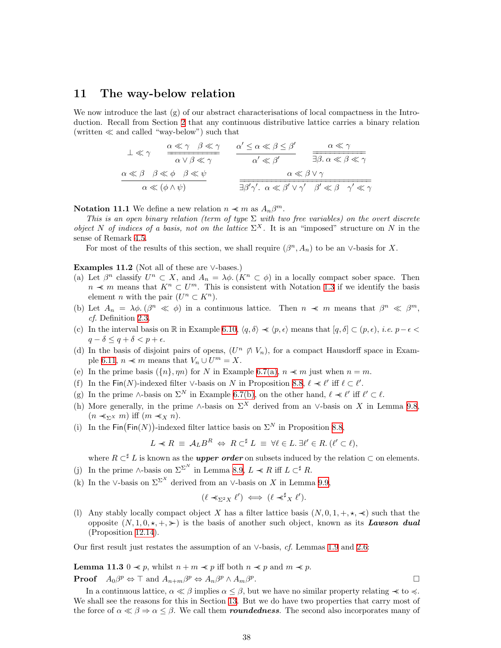#### <span id="page-37-1"></span><span id="page-37-0"></span>11 The way-below relation

We now introduce the last  $(g)$  of our abstract characterisations of local compactness in the Introduction. Recall from Section [2](#page-5-0) that any continuous distributive lattice carries a binary relation (written  $\ll$  and called "way-below") such that

$$
\frac{1}{\alpha} \ll \gamma \quad \frac{\alpha \ll \gamma \quad \beta \ll \gamma}{\alpha \lor \beta \ll \gamma} \quad \frac{\alpha' \leq \alpha \ll \beta \leq \beta'}{\alpha' \ll \beta'} \quad \frac{\alpha \ll \gamma}{\exists \beta. \ \alpha \ll \beta \ll \gamma}
$$
\n
$$
\frac{\alpha \ll \beta \quad \beta \ll \phi \quad \beta \ll \psi}{\alpha \ll (\phi \land \psi)} \quad \frac{\alpha' \leq \alpha \ll \beta \leq \beta'}{\alpha \ll \beta' \lor \gamma'} \quad \frac{\alpha \ll \gamma}{\beta' \ll \beta \quad \gamma' \ll \gamma}
$$

<span id="page-37-3"></span>**Notation 11.1** We define a new relation  $n \prec m$  as  $A_n \beta^m$ .

This is an open binary relation (term of type  $\Sigma$  with two free variables) on the overt discrete object N of indices of a basis, not on the lattice  $\Sigma^X$ . It is an "imposed" structure on N in the sense of Remark [4.5](#page-11-3).

For most of the results of this section, we shall require  $(\beta^n, A_n)$  to be an ∨-basis for X.

Examples 11.2 (Not all of these are  $\vee$ -bases.)

- (a) Let  $\beta^n$  classify  $U^n \subset X$ , and  $A_n = \lambda \phi$ .  $(K^n \subset \phi)$  in a locally compact sober space. Then  $n \prec m$  means that  $K^n \subset U^m$ . This is consistent with Notation [1.3](#page-1-4) if we identify the basis element *n* with the pair  $(U^n \subset K^n)$ .
- (b) Let  $A_n = \lambda \phi$ .  $(\beta^n \ll \phi)$  in a continuous lattice. Then  $n \ll m$  means that  $\beta^n \ll \beta^m$ , cf. Definition [2.3](#page-5-2).
- (c) In the interval basis on R in Example [6.10](#page-22-2),  $\langle q, \delta \rangle \prec \langle p, \epsilon \rangle$  means that  $[q, \delta] \subset (p, \epsilon)$ , *i.e.*  $p-\epsilon$  $q - \delta \leq q + \delta < p + \epsilon$ .
- (d) In the basis of disjoint pairs of opens,  $(U^n \notimes V_n)$ , for a compact Hausdorff space in Exam-ple [6.11,](#page-22-0)  $n \prec m$  means that  $V_n \cup U^m = X$ .
- (e) In the prime basis  $({n}, \eta n)$  for N in Example [6.7\(a\)](#page-21-1),  $n \prec m$  just when  $n = m$ .
- (f) In the Fin(N)-indexed filter ∨-basis on N in Proposition [8.8](#page-30-0),  $\ell \prec \ell'$  iff  $\ell \subset \ell'$ .
- (g) In the prime ∧-basis on  $\Sigma^N$  in Example [6.7\(b\)](#page-21-2), on the other hand,  $\ell \prec \ell'$  iff  $\ell' \subset \ell$ .
- (h) More generally, in the prime ∧-basis on  $\Sigma^X$  derived from an ∨-basis on X in Lemma [9.8](#page-33-2),  $(n \prec_{\Sigma} x m)$  iff  $(m \prec_{X} n)$ .
- (i) In the  $\text{Fin}(\text{Fin}(N))$ -indexed filter lattice basis on  $\Sigma^N$  in Proposition [8.8,](#page-30-0)

$$
L \prec R \equiv \mathcal{A}_L B^R \Leftrightarrow R \subset^{\sharp} L \equiv \forall \ell \in L. \ \exists \ell' \in R. \ (\ell' \subset \ell),
$$

where  $R \subset \mathbb{Z}$  L is known as the *upper order* on subsets induced by the relation  $\subset$  on elements.

- (j) In the prime ∧-basis on  $\Sigma^{\Sigma^N}$  in Lemma [8.9](#page-31-0),  $L \ll R$  iff  $L \subset \nightharpoonup^{\sharp} R$ .
- (k) In the ∨-basis on  $\Sigma^{\Sigma^X}$  derived from an ∨-basis on X in Lemma [9.9,](#page-33-4)

$$
(\ell \prec_{\Sigma^2 X} \ell') \iff (\ell \prec^{\sharp}_X \ell').
$$

(l) Any stably locally compact object X has a filter lattice basis  $(N, 0, 1, +, \star, \star)$  such that the opposite  $(N, 1, 0, \star, +, \star)$  is the basis of another such object, known as its **Lawson dual** (Proposition [12.14](#page-43-1)).

<span id="page-37-2"></span>Our first result just restates the assumption of an ∨-basis, cf. Lemmas [1.9](#page-4-1) and [2.6](#page-6-3):

**Lemma 11.3** 0  $\prec p$ , whilst  $n + m \prec p$  iff both  $n \prec p$  and  $m \prec p$ .

**Proof**  $A_0\beta^p \Leftrightarrow \top$  and  $A_{n+m}\beta^p \Leftrightarrow A_n\beta^p \wedge A_m\beta^p$ .

In a continuous lattice,  $\alpha \ll \beta$  implies  $\alpha \leq \beta$ , but we have no similar property relating  $\prec \ll$  to  $\prec$ . We shall see the reasons for this in Section [13](#page-44-1). But we do have two properties that carry most of the force of  $\alpha \ll \beta \Rightarrow \alpha \leq \beta$ . We call them *roundedness*. The second also incorporates many of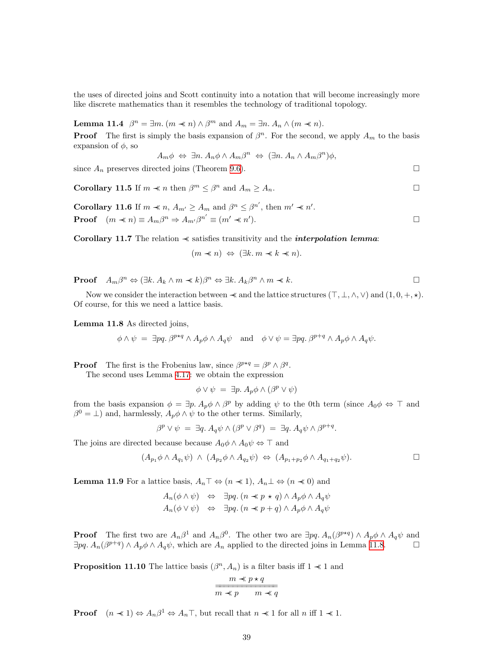the uses of directed joins and Scott continuity into a notation that will become increasingly more like discrete mathematics than it resembles the technology of traditional topology.

<span id="page-38-6"></span>**Lemma 11.4**  $\beta^n = \exists m \ (m \prec n) \land \beta^m$  and  $A_m = \exists n \ A_n \land (m \prec n)$ .

**Proof** The first is simply the basis expansion of  $\beta^n$ . For the second, we apply  $A_m$  to the basis expansion of  $\phi$ , so

$$
A_m \phi \Leftrightarrow \exists n. A_n \phi \wedge A_m \beta^n \Leftrightarrow (\exists n. A_n \wedge A_m \beta^n) \phi,
$$

<span id="page-38-2"></span>since  $A_n$  preserves directed joins (Theorem [9.6\)](#page-33-1).

**Corollary 11.5** If  $m \prec n$  then  $\beta^m \leq \beta^n$  and  $A_m \geq A_n$ .

<span id="page-38-5"></span>**Corollary 11.6** If  $m \ll n$ ,  $A_{m'} \ge A_m$  and  $\beta^n \le \beta^{n'}$ , then  $m' \ll n'$ . **Proof**  $(m \prec n) \equiv A_m \beta^n \Rightarrow A_{m'} \beta^{n'} \equiv (m' \prec n')$  $\Box$ 

<span id="page-38-3"></span>Corollary 11.7 The relation  $\prec$  satisfies transitivity and the *interpolation lemma*:

 $(m \nless n) \Leftrightarrow (\exists k.\, m \nless k \nless n).$ 

**Proof**  $A_m \beta^n \Leftrightarrow (\exists k. A_k \wedge m \prec k) \beta^n \Leftrightarrow \exists k. A_k \beta^n \wedge m \prec k.$ 

Now we consider the interaction between  $\prec$  and the lattice structures  $(\top, \bot, \wedge, \vee)$  and  $(1, 0, +, \star)$ . Of course, for this we need a lattice basis.

<span id="page-38-0"></span>Lemma 11.8 As directed joins,

$$
\phi \wedge \psi = \exists pq. \ \beta^{p \star q} \wedge A_p \phi \wedge A_q \psi \quad \text{and} \quad \phi \vee \psi = \exists pq. \ \beta^{p+q} \wedge A_p \phi \wedge A_q \psi.
$$

**Proof** The first is the Frobenius law, since  $\beta^{p \star q} = \beta^p \wedge \beta^q$ . The second uses Lemma [4.17](#page-14-2): we obtain the expression

$$
\phi \vee \psi = \exists p. \, A_p \phi \wedge (\beta^p \vee \psi)
$$

from the basis expansion  $\phi = \exists p. A_p \phi \wedge \beta^p$  by adding  $\psi$  to the 0th term (since  $A_0 \phi \Leftrightarrow \top$  and  $\beta^0 = \perp$ ) and, harmlessly,  $A_p \phi \wedge \psi$  to the other terms. Similarly,

 $\beta^p \vee \psi = \exists q. A_q \psi \wedge (\beta^p \vee \beta^q) = \exists q. A_q \psi \wedge \beta^{p+q}.$ 

The joins are directed because because  $A_0\phi \wedge A_0\psi \Leftrightarrow \top$  and

$$
(A_{p_1}\phi \wedge A_{q_1}\psi) \wedge (A_{p_2}\phi \wedge A_{q_2}\psi) \Leftrightarrow (A_{p_1+p_2}\phi \wedge A_{q_1+q_2}\psi).
$$

<span id="page-38-1"></span>**Lemma 11.9** For a lattice basis,  $A_n \top \Leftrightarrow (n \ll 1), A_n \bot \Leftrightarrow (n \ll 0)$  and

$$
A_n(\phi \land \psi) \Leftrightarrow \exists pq. (n \preceq p \star q) \land A_p \phi \land A_q \psi
$$
  

$$
A_n(\phi \lor \psi) \Leftrightarrow \exists pq. (n \preceq p+q) \land A_p \phi \land A_q \psi
$$

**Proof** The first two are  $A_n\beta^1$  and  $A_n\beta^0$ . The other two are  $\exists pq$ .  $A_n(\beta^{p*q}) \wedge A_p\phi \wedge A_q\psi$  and  $\exists pq. A_n(\beta^{p+q}) \wedge A_p \phi \wedge A_q \psi$ , which are  $A_n$  applied to the directed joins in Lemma [11.8.](#page-38-0)

<span id="page-38-4"></span>**Proposition 11.10** The lattice basis  $(\beta^n, A_n)$  is a filter basis iff  $1 \prec 1$  and

$$
\cfrac{m \prec p \star q}{m \prec p \qquad m \prec q}
$$

**Proof**  $(n \ll 1) \Leftrightarrow A_n \beta^1 \Leftrightarrow A_n \top$ , but recall that  $n \ll 1$  for all  $n$  iff  $1 \ll 1$ .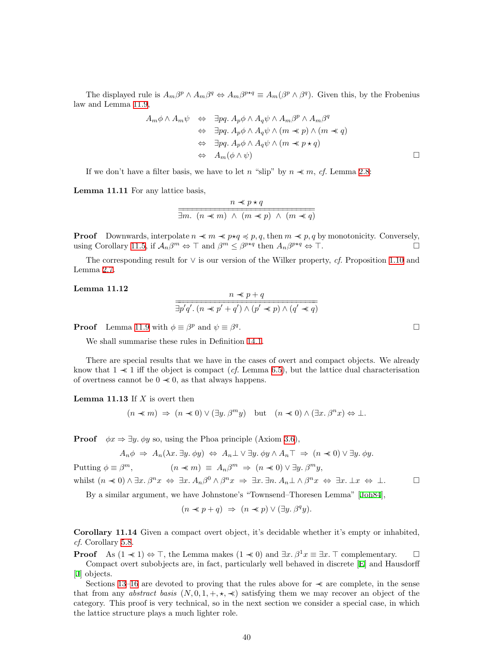The displayed rule is  $A_m\beta^p \wedge A_m\beta^q \Leftrightarrow A_m\beta^{p*q} \equiv A_m(\beta^p \wedge \beta^q)$ . Given this, by the Frobenius law and Lemma [11.9,](#page-38-1)

$$
A_m \phi \land A_m \psi \Leftrightarrow \exists pq. \ A_p \phi \land A_q \psi \land A_m \beta^p \land A_m \beta^q
$$
  
\n
$$
\Leftrightarrow \exists pq. \ A_p \phi \land A_q \psi \land (m \prec p) \land (m \prec q)
$$
  
\n
$$
\Leftrightarrow \exists pq. \ A_p \phi \land A_q \psi \land (m \prec p \star q)
$$
  
\n
$$
\Leftrightarrow A_m(\phi \land \psi)
$$

If we don't have a filter basis, we have to let n "slip" by  $n \ll m$ , cf. Lemma [2.8:](#page-6-4)

<span id="page-39-0"></span>Lemma 11.11 For any lattice basis,

$$
\frac{n \prec p \prec q}{\exists m. \ (n \prec m) \ \land \ (m \prec p) \ \land \ (m \prec q)}
$$

**Proof** Downwards, interpolate  $n \prec m \prec p$ ,  $q \leq p$ , q, then  $m \prec p$ , q by monotonicity. Conversely, using Corollary [11.5,](#page-38-2) if  $\mathcal{A}_n \beta^m \Leftrightarrow \top$  and  $\beta^m \leq \beta^{p \star q}$  then  $A_n \beta^{p \star q} \Leftrightarrow \top$ .

The corresponding result for  $\vee$  is our version of the Wilker property, cf. Proposition [1.10](#page-4-2) and Lemma [2.7](#page-6-1).

#### <span id="page-39-1"></span>Lemma 11.12

$$
\frac{n \prec p + q}{\exists p'q'. (n \prec p' + q') \land (p' \prec p) \land (q' \prec q)}
$$

**Proof** Lemma [11.9](#page-38-1) with  $\phi \equiv \beta^p$  and  $\psi \equiv \beta^q$ 

We shall summarise these rules in Definition [14.1.](#page-46-2)

There are special results that we have in the cases of overt and compact objects. We already know that  $1 \ll 1$  iff the object is compact (*cf.* Lemma [6.5\)](#page-20-0), but the lattice dual characterisation of overtness cannot be  $0 \nless 0$ , as that always happens.

**Lemma 11.13** If  $X$  is overt then

$$
(n \prec m) \Rightarrow (n \prec 0) \vee (\exists y. \beta^m y) \text{ but } (n \prec 0) \wedge (\exists x. \beta^n x) \Leftrightarrow \bot.
$$

**Proof**  $\phi x \Rightarrow \exists y \, \phi y$  so, using the Phoa principle (Axiom [3.6](#page-9-1)),

$$
A_n \phi \Rightarrow A_n(\lambda x. \exists y. \phi y) \Leftrightarrow A_n \bot \vee \exists y. \phi y \wedge A_n \top \Rightarrow (n \prec 0) \vee \exists y. \phi y.
$$

Putting  $\phi \equiv \beta^m$ ,  $m,$   $(n \ll m) \equiv A_n \beta^m \Rightarrow (n \ll 0) \lor \exists y. \beta^m y,$ whilst  $(n \ll 0) \land \exists x. \beta^n x \Leftrightarrow \exists x. A_n \beta^0 \land \beta^n x \Rightarrow \exists x. \exists n. A_n \bot \land \beta^n x \Leftrightarrow \exists x. \bot x \Leftrightarrow \bot.$ 

By a similar argument, we have Johnstone's "Townsend–Thoresen Lemma" [\[Joh84\]](#page-59-14),

$$
(n \prec p + q) \Rightarrow (n \prec p) \vee (\exists y. \beta^q y).
$$

Corollary 11.14 Given a compact overt object, it's decidable whether it's empty or inhabited, cf. Corollary [5.8.](#page-17-1)

**Proof** As  $(1 \ll 1) \Leftrightarrow \top$ , the Lemma makes  $(1 \ll 0)$  and  $\exists x. \beta^1 x \equiv \exists x. \top$  complementary.  $\square$ Compact overt subobjects are, in fact, particularly well behaved in discrete[[E\]](#page-60-3) and Hausdorff [[J\]](#page-60-8) objects.

Sections [13](#page-44-1)[–16](#page-51-1) are devoted to proving that the rules above for  $\prec$  are complete, in the sense that from any *abstract basis*  $(N, 0, 1, +, \star, \star)$  satisfying them we may recover an object of the category. This proof is very technical, so in the next section we consider a special case, in which the lattice structure plays a much lighter role.

.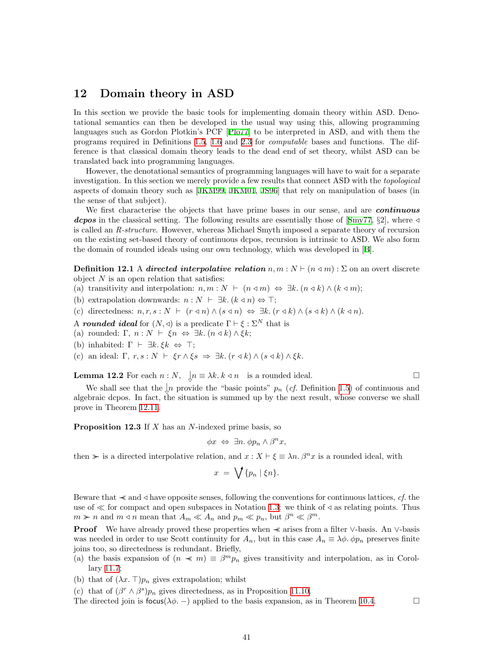### <span id="page-40-1"></span><span id="page-40-0"></span>12 Domain theory in ASD

In this section we provide the basic tools for implementing domain theory within ASD. Denotational semantics can then be developed in the usual way using this, allowing programming languages such as Gordon Plotkin's PCF [\[Plo77\]](#page-59-7) to be interpreted in ASD, and with them the programs required in Definitions [1.5,](#page-2-1) [1.6](#page-2-2) and [2.3](#page-5-2) for computable bases and functions. The difference is that classical domain theory leads to the dead end of set theory, whilst ASD can be translated back into programming languages.

However, the denotational semantics of programming languages will have to wait for a separate investigation. In this section we merely provide a few results that connect ASD with the *topological* aspects of domain theory such as[[JKM99,](#page-59-13) [JKM01](#page-59-5), [JS96](#page-59-1)] that rely on manipulation of bases (in the sense of that subject).

We first characterise the objects that have prime bases in our sense, and are *continuous* depos in the classical setting. The following results are essentially those of [\[Smy77](#page-59-15),  $\S2$ ], where  $\triangleleft$ is called an R-structure. However, whereas Michael Smyth imposed a separate theory of recursion on the existing set-based theory of continuous dcpos, recursion is intrinsic to ASD. We also form the domain of rounded ideals using our own technology, which was developed in [\[B](#page-60-0)].

<span id="page-40-3"></span>**Definition 12.1** A directed interpolative relation  $n, m : N \vdash (n \triangleleft m) : \Sigma$  on an overt discrete object  $N$  is an open relation that satisfies:

- (a) transitivity and interpolation:  $n, m : N \vdash (n \triangleleft m) \Leftrightarrow \exists k. (n \triangleleft k) \wedge (k \triangleleft m);$
- (b) extrapolation downwards:  $n : N \vdash \exists k. (k \triangleleft n) \Leftrightarrow \top;$
- (c) directedness:  $n, r, s : N \vdash (r \triangleleft n) \land (s \triangleleft n) \Leftrightarrow \exists k. (r \triangleleft k) \land (s \triangleleft k) \land (k \triangleleft n)$ .
- A rounded ideal for  $(N, \triangleleft)$  is a predicate  $\Gamma \vdash \xi : \Sigma^N$  that is
- (a) rounded: Γ,  $n : N \vdash \xi n \Leftrightarrow \exists k. (n \triangleleft k) \wedge \xi k;$
- (b) inhabited:  $\Gamma \vdash \exists k. \xi k \Leftrightarrow \top;$
- (c) an ideal:  $\Gamma$ ,  $r, s : N \vdash \xi r \wedge \xi s \Rightarrow \exists k. (r \triangleleft k) \wedge (s \triangleleft k) \wedge \xi k$ .

**Lemma 12.2** For each  $n : N$ ,  $\bigcup_{n=1}^{\infty} n \equiv \lambda k \cdot k \leq n$  is a rounded ideal.

We shall see that the  $\downarrow n$  provide the "basic points"  $p_n$  (*cf.* Definition [1.5](#page-2-1)) of continuous and algebraic dcpos. In fact, the situation is summed up by the next result, whose converse we shall prove in Theorem [12.11](#page-42-1).

<span id="page-40-2"></span>**Proposition 12.3** If  $X$  has an  $N$ -indexed prime basis, so

$$
\phi x \Leftrightarrow \exists n. \phi p_n \wedge \beta^n x,
$$

then  $\triangleright$  is a directed interpolative relation, and  $x : X \vdash \xi \equiv \lambda n$ .  $\beta^n x$  is a rounded ideal, with

$$
x = \bigvee \{p_n \mid \xi n\}.
$$

Beware that  $\prec$  and  $\triangleleft$  have opposite senses, following the conventions for continuous lattices, cf. the use of  $\ll$  for compact and open subspaces in Notation [1.3](#page-1-4): we think of  $\triangleleft$  as relating points. Thus  $m \succ n$  and  $m \triangleleft n$  mean that  $A_m \ll A_n$  and  $p_m \ll p_n$ , but  $\beta^n \ll \beta^m$ .

Proof We have already proved these properties when ≺ arises from a filter ∨-basis. An ∨-basis was needed in order to use Scott continuity for  $A_n$ , but in this case  $A_n \equiv \lambda \phi$ .  $\phi p_n$  preserves finite joins too, so directedness is redundant. Briefly,

- (a) the basis expansion of  $(n \ll m) \equiv \beta^m p_n$  gives transitivity and interpolation, as in Corollary [11.7;](#page-38-3)
- (b) that of  $(\lambda x. \top)p_n$  gives extrapolation; whilst

(c) that of  $(\beta^r \wedge \beta^s) p_n$  gives directedness, as in Proposition [11.10.](#page-38-4)

The directed join is focus( $\lambda \phi$ . –) applied to the basis expansion, as in Theorem [10.4.](#page-35-0)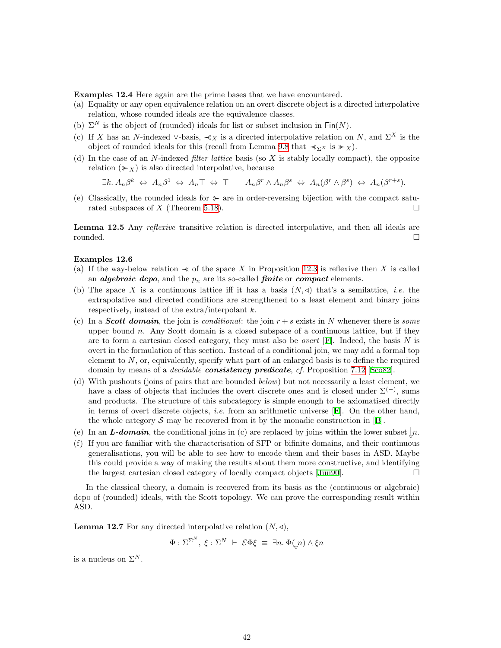Examples 12.4 Here again are the prime bases that we have encountered.

- (a) Equality or any open equivalence relation on an overt discrete object is a directed interpolative relation, whose rounded ideals are the equivalence classes.
- (b)  $\Sigma^N$  is the object of (rounded) ideals for list or subset inclusion in Fin(N).
- (c) If X has an N-indexed ∨-basis,  $\prec_X$  is a directed interpolative relation on N, and  $\Sigma^X$  is the object of rounded ideals for this (recall from Lemma [9.8](#page-33-2) that  $\prec_{\Sigma} x$  is  $\succcurlyeq \chi$ ).
- <span id="page-41-0"></span>(d) In the case of an N-indexed *filter lattice* basis (so  $X$  is stably locally compact), the opposite relation  $(\succ x)$  is also directed interpolative, because

 $\exists k. A_n \beta^k \Leftrightarrow A_n \beta^1 \Leftrightarrow A_n \top \Leftrightarrow \top \qquad A_n \beta^r \wedge A_n \beta^s \Leftrightarrow A_n(\beta^r \wedge \beta^s) \Leftrightarrow A_n(\beta^{r+s}).$ 

(e) Classically, the rounded ideals for  $\triangleright$  are in order-reversing bijection with the compact satu-rated subspaces of X (Theorem [5.18\)](#page-19-2).  $\square$ 

Lemma 12.5 Any *reflexive* transitive relation is directed interpolative, and then all ideals are rounded.

#### Examples 12.6

- (a) If the way-below relation  $\prec$  of the space X in Proposition [12.3](#page-40-2) is reflexive then X is called an *algebraic dcpo*, and the  $p_n$  are its so-called *finite* or *compact* elements.
- <span id="page-41-1"></span>(b) The space X is a continuous lattice iff it has a basis  $(N, 4)$  that's a semilattice, *i.e.* the extrapolative and directed conditions are strengthened to a least element and binary joins respectively, instead of the  $\arctan/$ interpolant k.
- (c) In a **Scott domain**, the join is conditional: the join  $r + s$  exists in N whenever there is some upper bound  $n$ . Any Scott domain is a closed subspace of a continuous lattice, but if they are to form a cartesian closed category, they must also be *overt* [\[F\]](#page-60-7). Indeed, the basis N is overt in the formulation of this section. Instead of a conditional join, we may add a formal top element to  $N$ , or, equivalently, specify what part of an enlarged basis is to define the required domainby means of a *decidable consistency predicate*, cf. Proposition [7.12](#page-26-1) [[Sco82\]](#page-59-12).
- <span id="page-41-2"></span>(d) With pushouts (joins of pairs that are bounded below) but not necessarily a least element, we have a class of objects that includes the overt discrete ones and is closed under  $\Sigma^{(-)}$ , sums and products. The structure of this subcategory is simple enough to be axiomatised directly in terms of overt discrete objects, *i.e.* from an arithmetic universe  $[E]$ . On the other hand, thewhole category S may be recovered from it by the monadic construction in  $[B]$  $[B]$ .
- (e) In an **L-domain**, the conditional joins in (c) are replaced by joins within the lower subset  $\downarrow n$ .
- (f) If you are familiar with the characterisation of SFP or bifinite domains, and their continuous generalisations, you will be able to see how to encode them and their bases in ASD. Maybe this could provide a way of making the results about them more constructive, and identifying the largest cartesian closed category of locally compact objects[[Jun90\]](#page-59-16).

In the classical theory, a domain is recovered from its basis as the (continuous or algebraic) dcpo of (rounded) ideals, with the Scott topology. We can prove the corresponding result within ASD.

**Lemma 12.7** For any directed interpolative relation  $(N, \triangleleft)$ ,

 $\Phi : \Sigma^{\Sigma^N}, \ \xi : \Sigma^N \ \vdash \ \mathcal{E} \Phi \xi \ \equiv \ \exists n. \ \Phi(\downarrow n) \wedge \xi n$ 

is a nucleus on  $\Sigma^N$ .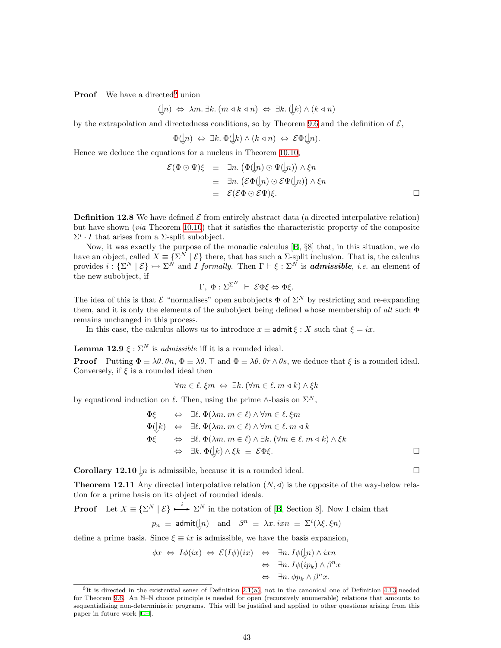**Proof** We have a directed union

$$
(\n\downarrow n) \Leftrightarrow \lambda m. \exists k. (m \triangleleft k \triangleleft n) \Leftrightarrow \exists k. (\n\downarrow k) \wedge (k \triangleleft n)
$$

by the extrapolation and directedness conditions, so by Theorem [9.6](#page-33-1) and the definition of  $\mathcal{E}$ ,

$$
\Phi([n) \Leftrightarrow \exists k. \Phi([k) \wedge (k \triangleleft n) \Leftrightarrow \mathcal{E}\Phi([n).
$$

Hence we deduce the equations for a nucleus in Theorem [10.10](#page-36-3),

$$
\mathcal{E}(\Phi \odot \Psi)\xi \equiv \exists n. (\Phi(\downarrow n) \odot \Psi(\downarrow n)) \wedge \xi n \equiv \exists n. (\mathcal{E}\Phi(\downarrow n) \odot \mathcal{E}\Psi(\downarrow n)) \wedge \xi n \equiv \mathcal{E}(\mathcal{E}\Phi \odot \mathcal{E}\Psi)\xi.
$$

<span id="page-42-0"></span>**Definition 12.8** We have defined  $\mathcal{E}$  from entirely abstract data (a directed interpolative relation) but have shown (via Theorem [10.10\)](#page-36-3) that it satisfies the characteristic property of the composite  $\Sigma^i \cdot I$  that arises from a  $\Sigma$ -split subobject.

Now, it was exactly the purpose of the monadic calculus [\[B,](#page-60-0) §8] that, in this situation, we do have an object, called  $X = \{ \Sigma^N \mid \mathcal{E} \}$  there, that has such a  $\Sigma$ -split inclusion. That is, the calculus provides  $i: \{\Sigma^N \mid \mathcal{E}\} \rightarrow \Sigma^N$  and I formally. Then  $\Gamma \vdash \xi: \Sigma^N$  is **admissible**, *i.e.* an element of the new subobject, if

$$
\Gamma, \ \Phi : \Sigma^{\Sigma^N} \ \vdash \ \mathcal{E} \Phi \xi \Leftrightarrow \Phi \xi.
$$

The idea of this is that  $\mathcal E$  "normalises" open subobjects  $\Phi$  of  $\Sigma^N$  by restricting and re-expanding them, and it is only the elements of the subobject being defined whose membership of all such  $\Phi$ remains unchanged in this process.

In this case, the calculus allows us to introduce  $x \equiv \text{admit } \xi : X$  such that  $\xi = ix$ .

<span id="page-42-3"></span>**Lemma 12.9**  $\xi : \Sigma^N$  is *admissible* iff it is a rounded ideal.

**Proof** Putting  $\Phi \equiv \lambda \theta$ ,  $\theta n$ ,  $\Phi \equiv \lambda \theta$ .  $\top$  and  $\Phi \equiv \lambda \theta$ ,  $\theta r \wedge \theta s$ , we deduce that  $\xi$  is a rounded ideal. Conversely, if  $\xi$  is a rounded ideal then

 $\forall m \in \ell$ .  $\xi m \Leftrightarrow \exists k. (\forall m \in \ell, m \triangleleft k) \wedge \xi k$ 

by equational induction on  $\ell$ . Then, using the prime ∧-basis on  $\Sigma^N$ ,

$$
\Phi\xi \Leftrightarrow \exists \ell. \Phi(\lambda m. m \in \ell) \land \forall m \in \ell. \xi m
$$
  
\n
$$
\Phi(\underline{k}) \Leftrightarrow \exists \ell. \Phi(\lambda m. m \in \ell) \land \forall m \in \ell. m \triangleleft k
$$
  
\n
$$
\Phi\xi \Leftrightarrow \exists \ell. \Phi(\lambda m. m \in \ell) \land \exists k. (\forall m \in \ell. m \triangleleft k) \land \xi k
$$
  
\n
$$
\Leftrightarrow \exists k. \Phi(\underline{k}) \land \xi k \equiv \mathcal{E}\Phi\xi.
$$

<span id="page-42-1"></span>**Corollary 12.10**  $\downarrow$ *n* is admissible, because it is a rounded ideal.

**Theorem 12.11** Any directed interpolative relation  $(N, \triangleleft)$  is the opposite of the way-below relation for a prime basis on its object of rounded ideals.

**Proof** Let  $X = \{\Sigma^N | \mathcal{E}\}\longrightarrow \Sigma^N$  in the notation of [\[B](#page-60-0), Section 8]. Now I claim that

$$
p_n \equiv \text{admit}(\downarrow n) \text{ and } \beta^n \equiv \lambda x \cdot i x n \equiv \Sigma^i(\lambda \xi, \xi n)
$$

define a prime basis. Since  $\xi \equiv ix$  is admissible, we have the basis expansion,

$$
\begin{array}{rcl}\n\phi x & \Leftrightarrow I\phi(ix) & \Leftrightarrow \mathcal{E}(I\phi)(ix) & \Leftrightarrow \exists n. I\phi(\downarrow n) \land ixn \\
& \Leftrightarrow \exists n. I\phi(ip_k) \land \beta^n x \\
& \Leftrightarrow \exists n. \phi p_k \land \beta^n x.\n\end{array}
$$

<span id="page-42-2"></span> ${}^{6}$ It is directed in the existential sense of Definition [2.1\(a\),](#page-5-5) not in the canonical one of Definition [4.13](#page-13-0) needed for Theorem [9.6](#page-33-1). An N–N choice principle is needed for open (recursively enumerable) relations that amounts to sequentialising non-deterministic programs. This will be justified and applied to other questions arising from this paper in future work[[G–\]](#page-60-9).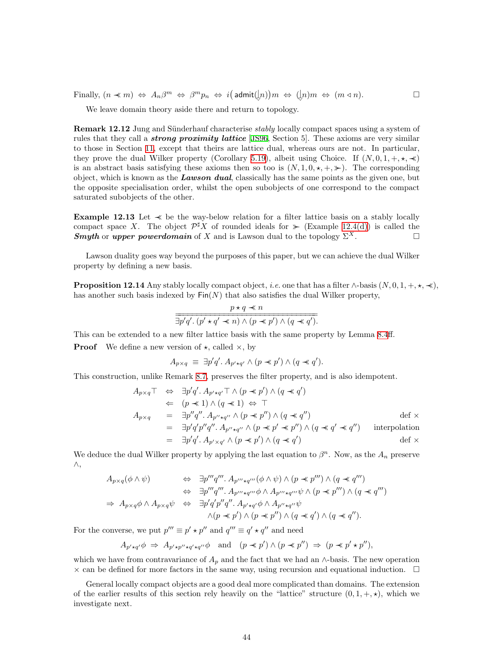Finally,  $(n \prec m) \Leftrightarrow A_n \beta^m \Leftrightarrow \beta^m p_n \Leftrightarrow i(\text{admit}(\lfloor n))m \Leftrightarrow (\lfloor n)m \Leftrightarrow (m \triangleleft n)$ .

We leave domain theory aside there and return to topology.

**Remark 12.12** Jung and Sünderhauf characterise *stably* locally compact spaces using a system of rules that they call a *strong proximity lattice* [[JS96](#page-59-1), Section 5]. These axioms are very similar to those in Section [11,](#page-37-1) except that theirs are lattice dual, whereas ours are not. In particular, they prove the dual Wilker property (Corollary [5.19\)](#page-19-4), albeit using Choice. If  $(N, 0, 1, +, \star, \star)$ is an abstract basis satisfying these axioms then so too is  $(N, 1, 0, \star, +, \star)$ . The corresponding object, which is known as the **Lawson dual**, classically has the same points as the given one, but the opposite specialisation order, whilst the open subobjects of one correspond to the compact saturated subobjects of the other.

<span id="page-43-0"></span>Example 12.13 Let ≺≺ be the way-below relation for a filter lattice basis on a stably locally compact space X. The object  $\mathcal{P}^{\sharp} X$  of rounded ideals for  $\ast$  (Example [12.4\(d\)](#page-41-0)) is called the **Smyth** or upper powerdomain of X and is Lawson dual to the topology  $\Sigma^X$ .

Lawson duality goes way beyond the purposes of this paper, but we can achieve the dual Wilker property by defining a new basis.

<span id="page-43-1"></span>**Proposition 12.14** Any stably locally compact object, *i.e.* one that has a filter  $\land$ -basis  $(N, 0, 1, +, \star, \star)$ , has another such basis indexed by  $\text{Fin}(N)$  that also satisfies the dual Wilker property,

$$
\frac{p \star q \prec n}{\exists p'q'. (p' \star q' \prec n) \land (p \prec p') \land (q \prec q')}.
$$

This can be extended to a new filter lattice basis with the same property by Lemma [8.4](#page-29-1)ff. **Proof** We define a new version of  $\star$ , called  $\times$ , by

 $A_{p\times q} \equiv \exists p'q'. A_{p'\star q'} \wedge (p \prec p') \wedge (q \prec q').$ 

This construction, unlike Remark [8.7](#page-30-1), preserves the filter property, and is also idempotent.

$$
A_{p \times q} \top \Leftrightarrow \exists p' q'. A_{p' \star q'} \top \wedge (p \prec p') \wedge (q \prec q')
$$
  
\n
$$
\Leftrightarrow (p \prec 1) \wedge (q \prec 1) \Leftrightarrow \top
$$
  
\n
$$
A_{p \times q} = \exists p'' q''. A_{p'' \star q''} \wedge (p \prec p'') \wedge (q \prec q'')
$$
  
\n
$$
= \exists p' q' p'' q''. A_{p'' \star q''} \wedge (p \prec p' \prec p'') \wedge (q \prec q' \prec q'')
$$
 interpolation  
\n
$$
= \exists p' q'. A_{p' \times q'} \wedge (p \prec p') \wedge (q \prec q')
$$
interpolation  
\n
$$
= \exists p' q'. A_{p' \times q'} \wedge (p \prec p') \wedge (q \prec q')
$$

We deduce the dual Wilker property by applying the last equation to  $\beta^n$ . Now, as the  $A_n$  preserve ∧,

$$
A_{p\times q}(\phi \wedge \psi) \Leftrightarrow \exists p'''q'''. A_{p''' \star q'''}(\phi \wedge \psi) \wedge (p \prec p''') \wedge (q \prec q''')
$$
  

$$
\Leftrightarrow \exists p'''q'''. A_{p''' \star q'''}\phi \wedge A_{p''' \star q'''}\psi \wedge (p \prec p''') \wedge (q \prec q''')
$$
  

$$
\Rightarrow A_{p\times q}\phi \wedge A_{p\times q}\psi \Leftrightarrow \exists p'q'p''q''. A_{p' \star q'}\phi \wedge A_{p'' \star q''}\psi
$$
  

$$
\wedge (p \prec p') \wedge (p \prec p'') \wedge (q \prec q') \wedge (q \prec q'').
$$

For the converse, we put  $p''' \equiv p' \star p''$  and  $q''' \equiv q' \star q''$  and need

 $A_{p'\star q'}\phi \Rightarrow A_{p'\star p''\star q'\star q''}\phi$  and  $(p \prec p') \wedge (p \prec p'') \Rightarrow (p \prec p' \star p'')$ ,

which we have from contravariance of  $A_p$  and the fact that we had an ∧-basis. The new operation  $\times$  can be defined for more factors in the same way, using recursion and equational induction.  $\square$ 

General locally compact objects are a good deal more complicated than domains. The extension of the earlier results of this section rely heavily on the "lattice" structure  $(0, 1, +, \star)$ , which we investigate next.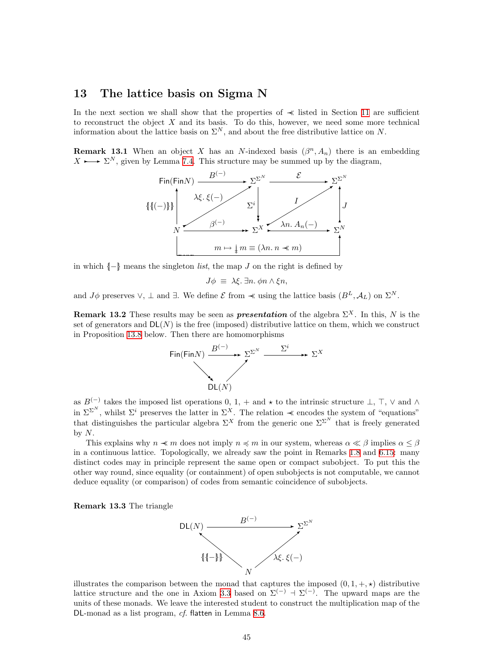### <span id="page-44-1"></span><span id="page-44-0"></span>13 The lattice basis on Sigma N

In the next section we shall show that the properties of ≺≺ listed in Section [11](#page-37-1) are sufficient to reconstruct the object  $X$  and its basis. To do this, however, we need some more technical information about the lattice basis on  $\Sigma^N$ , and about the free distributive lattice on N.

**Remark 13.1** When an object X has an N-indexed basis  $(\beta^n, A_n)$  there is an embedding  $X \rightarrow \Sigma^N$ , given by Lemma [7.4.](#page-24-0) This structure may be summed up by the diagram,



in which  $\{-\}$  means the singleton *list*, the map J on the right is defined by

$$
J\phi \equiv \lambda \xi. \exists n. \phi n \wedge \xi n,
$$

and  $J\phi$  preserves  $\vee$ ,  $\perp$  and  $\exists$ . We define  $\mathcal E$  from  $\prec$  using the lattice basis  $(B^L, \mathcal A_L)$  on  $\Sigma^N$ .

<span id="page-44-2"></span>**Remark 13.2** These results may be seen as **presentation** of the algebra  $\Sigma^X$ . In this, N is the set of generators and  $DL(N)$  is the free (imposed) distributive lattice on them, which we construct in Proposition [13.8](#page-45-1) below. Then there are homomorphisms



as  $B^{(-)}$  takes the imposed list operations 0, 1, + and  $\star$  to the intrinsic structure  $\perp$ ,  $\top$ ,  $\vee$  and  $\wedge$ in  $\Sigma^{\Sigma^{N}}$ , whilst  $\Sigma^{i}$  preserves the latter in  $\Sigma^{X}$ . The relation  $\prec$  encodes the system of "equations" that distinguishes the particular algebra  $\Sigma^X$  from the generic one  $\Sigma^{\Sigma^N}$  that is freely generated by  $N$ .

This explains why  $n \prec m$  does not imply  $n \leq m$  in our system, whereas  $\alpha \ll \beta$  implies  $\alpha \leq \beta$ in a continuous lattice. Topologically, we already saw the point in Remarks [1.8](#page-3-0) and [6.15](#page-23-6): many distinct codes may in principle represent the same open or compact subobject. To put this the other way round, since equality (or containment) of open subobjects is not computable, we cannot deduce equality (or comparison) of codes from semantic coincidence of subobjects.

Remark 13.3 The triangle



illustrates the comparison between the monad that captures the imposed  $(0, 1, +, \star)$  distributive lattice structure and the one in Axiom [3.3](#page-8-3) based on  $\Sigma^{(-)}$  +  $\Sigma^{(-)}$ . The upward maps are the units of these monads. We leave the interested student to construct the multiplication map of the DL-monad as a list program, cf. flatten in Lemma [8.6.](#page-30-2)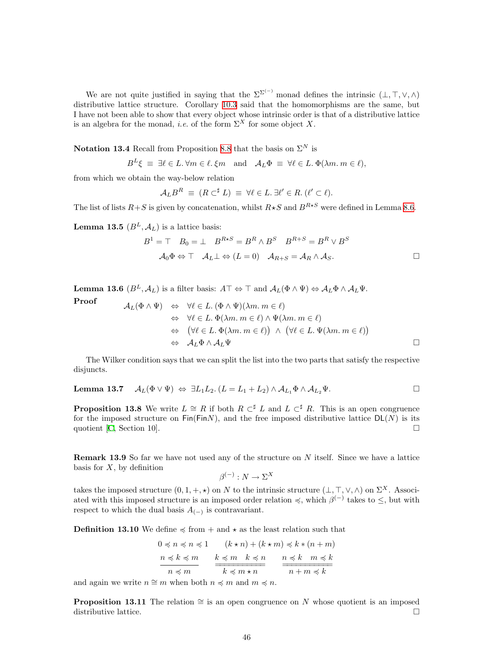We are not quite justified in saying that the  $\Sigma^{\Sigma^{(-)}}$  monad defines the intrinsic  $(\bot, \top, \vee, \wedge)$ distributive lattice structure. Corollary [10.3](#page-35-1) said that the homomorphisms are the same, but I have not been able to show that every object whose intrinsic order is that of a distributive lattice is an algebra for the monad, *i.e.* of the form  $\Sigma^X$  for some object X.

Notation 13.4 Recall from Proposition [8.8](#page-30-0) that the basis on  $\Sigma^N$  is

$$
B^L \xi \equiv \exists \ell \in L. \forall m \in \ell. \xi m \text{ and } A_L \Phi \equiv \forall \ell \in L. \Phi(\lambda m. m \in \ell),
$$

from which we obtain the way-below relation

$$
\mathcal{A}_L B^R \equiv (R \subset^{\sharp} L) \equiv \forall \ell \in L. \ \exists \ell' \in R. \ (\ell' \subset \ell).
$$

The list of lists  $R+S$  is given by concatenation, whilst  $R\star S$  and  $B^{R\star S}$  were defined in Lemma [8.6](#page-30-2).

<span id="page-45-3"></span>**Lemma 13.5**  $(B^L, \mathcal{A}_L)$  is a lattice basis:

$$
B1 = \top \quad B_0 = \bot \quad B^{R \star S} = B^R \land B^S \quad B^{R+S} = B^R \lor B^S
$$

$$
\mathcal{A}_0 \Phi \Leftrightarrow \top \quad \mathcal{A}_L \bot \Leftrightarrow (L = 0) \quad \mathcal{A}_{R+S} = \mathcal{A}_R \land \mathcal{A}_S.
$$

<span id="page-45-2"></span>**Lemma 13.6**  $(B^L, \mathcal{A}_L)$  is a filter basis:  $A\top \Leftrightarrow \top$  and  $\mathcal{A}_L(\Phi \wedge \Psi) \Leftrightarrow \mathcal{A}_L \Phi \wedge \mathcal{A}_L \Psi$ .

Proof  
\n
$$
\mathcal{A}_{L}(\Phi \wedge \Psi) \iff \forall \ell \in L. (\Phi \wedge \Psi)(\lambda m. m \in \ell)
$$
\n
$$
\Leftrightarrow \forall \ell \in L. \Phi(\lambda m. m \in \ell) \wedge \Psi(\lambda m. m \in \ell)
$$
\n
$$
\Leftrightarrow (\forall \ell \in L. \Phi(\lambda m. m \in \ell)) \wedge (\forall \ell \in L. \Psi(\lambda m. m \in \ell))
$$
\n
$$
\Leftrightarrow \mathcal{A}_{L} \Phi \wedge \mathcal{A}_{L} \Psi
$$

The Wilker condition says that we can split the list into the two parts that satisfy the respective disjuncts.

<span id="page-45-4"></span><span id="page-45-1"></span>**Lemma 13.7** 
$$
\mathcal{A}_L(\Phi \vee \Psi) \Leftrightarrow \exists L_1L_2. (L = L_1 + L_2) \wedge \mathcal{A}_{L_1}\Phi \wedge \mathcal{A}_{L_2}\Psi.
$$

**Proposition 13.8** We write  $L \cong R$  if both  $R \subset \nmid L$  and  $L \subset \nmid R$ . This is an open congruence for the imposed structure on  $\text{Fin}(FinN)$ , and the free imposed distributive lattice  $DL(N)$  is its quotient [\[C](#page-60-2), Section 10].  $\Box$ 

**Remark 13.9** So far we have not used any of the structure on  $N$  itself. Since we have a lattice basis for  $X$ , by definition

$$
\beta^{(-)}: N \to \Sigma^X
$$

takes the imposed structure  $(0, 1, +, \star)$  on N to the intrinsic structure  $(\bot, \top, \vee, \wedge)$  on  $\Sigma^X$ . Associated with this imposed structure is an imposed order relation  $\preccurlyeq$ , which  $\beta^{(-)}$  takes to  $\leq$ , but with respect to which the dual basis  $A_{(-)}$  is contravariant.

<span id="page-45-0"></span>**Definition 13.10** We define  $\leq$  from + and  $\star$  as the least relation such that

$$
0 \preccurlyeq n \preccurlyeq n \preccurlyeq 1 \qquad (k \star n) + (k \star m) \preccurlyeq k \ast (n + m)
$$
\n
$$
\frac{n \preccurlyeq k \preccurlyeq m}{n \preccurlyeq m} \qquad \frac{k \preccurlyeq m \quad k \preccurlyeq n}{k \preccurlyeq m \star n} \qquad \frac{n \preccurlyeq k \quad m \preccurlyeq k}{n + m \preccurlyeq k}
$$

and again we write  $n \cong m$  when both  $n \preccurlyeq m$  and  $m \preccurlyeq n$ .

**Proposition 13.11** The relation  $\cong$  is an open congruence on N whose quotient is an imposed distributive lattice.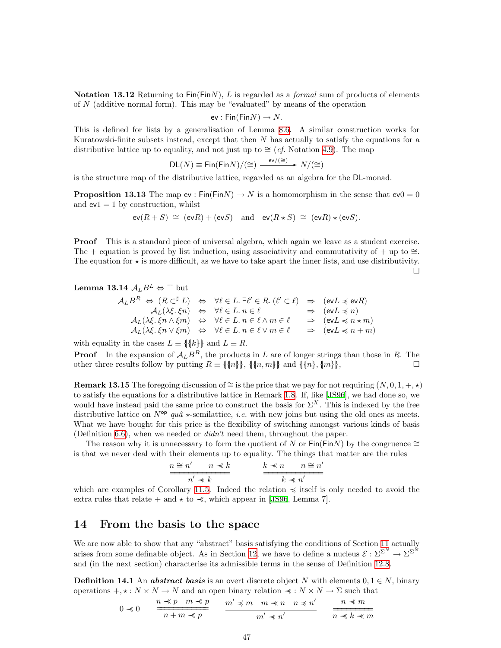<span id="page-46-0"></span>Notation 13.12 Returning to  $Fin(FinN)$ , L is regarded as a *formal* sum of products of elements of  $N$  (additive normal form). This may be "evaluated" by means of the operation

$$
ev: \mathsf{Fin}(\mathsf{Fin} N) \to N.
$$

This is defined for lists by a generalisation of Lemma [8.6.](#page-30-2) A similar construction works for Kuratowski-finite subsets instead, except that then N has actually to satisfy the equations for a distributive lattice up to equality, and not just up to  $\cong$  (*cf.* Notation [4.9\)](#page-12-2). The map

$$
\mathsf{DL}(N) \equiv \mathsf{Fin}(\mathsf{Fin} N)/(\cong) \xrightarrow{\text{ev}/(\cong)} N/(\cong)
$$

<span id="page-46-4"></span>is the structure map of the distributive lattice, regarded as an algebra for the DL-monad.

**Proposition 13.13** The map ev : Fin(FinN)  $\rightarrow$  N is a homomorphism in the sense that  $ev0 = 0$ and  $ev1 = 1$  by construction, whilst

$$
\operatorname{ev}(R+S) \cong (\operatorname{ev} R) + (\operatorname{ev} S)
$$
 and  $\operatorname{ev}(R \star S) \cong (\operatorname{ev} R) \star (\operatorname{ev} S)$ .

Proof This is a standard piece of universal algebra, which again we leave as a student exercise. The + equation is proved by list induction, using associativity and commutativity of + up to  $\cong$ . The equation for  $\star$  is more difficult, as we have to take apart the inner lists, and use distributivity.

 $\Box$ 

<span id="page-46-3"></span>**Lemma 13.14** 
$$
A_L B^L \Leftrightarrow \top
$$
 but

$$
\begin{array}{rcl} \mathcal{A}_L B^R & \Leftrightarrow & (R\subset ^\sharp L) & \Leftrightarrow & \forall \ell \in L \, . \, \exists \ell' \in R \, . \, (\ell'\subset \ell) & \Rightarrow & (\mathrm{ev} L \preccurlyeq \mathrm{ev} R) \\ & \mathcal{A}_L (\lambda\xi,\xi n) & \Leftrightarrow & \forall \ell \in L \, . \, n \in \ell & \Rightarrow & (\mathrm{ev} L \preccurlyeq n) \\ & \mathcal{A}_L (\lambda\xi,\xi n \wedge \xi m) & \Leftrightarrow & \forall \ell \in L \, . \, n \in \ell \wedge m \in \ell & \Rightarrow & (\mathrm{ev} L \preccurlyeq n \star m) \\ & \mathcal{A}_L (\lambda\xi,\xi n \vee \xi m) & \Leftrightarrow & \forall \ell \in L \, . \, n \in \ell \vee m \in \ell & \Rightarrow & (\mathrm{ev} L \preccurlyeq n+m) \end{array}
$$

with equality in the cases  $L \equiv \{\{k\}\}\$  and  $L \equiv R$ .

**Proof** In the expansion of  $A<sub>L</sub>B<sup>R</sup>$ , the products in L are of longer strings than those in R. The other three results follow by putting  $R \equiv \{\{n\}\}\,$ ,  $\{\{n, m\}\}\,$  and  $\{\{n\}\,\}$ ,  $\{m\}\,\}$ ,

**Remark 13.15** The foregoing discussion of ≅ is the price that we pay for not requiring  $(N, 0, 1, +, \star)$ to satisfy the equations for a distributive lattice in Remark [1.8.](#page-3-0) If, like[[JS96\]](#page-59-1), we had done so, we would have instead paid the same price to construct the basis for  $\Sigma^X$ . This is indexed by the free distributive lattice on  $N^{\mathsf{op}}$  quâ  $\star$ -semilattice, *i.e.* with new joins but using the old ones as meets. What we have bought for this price is the flexibility of switching amongst various kinds of basis (Definition [6.6\)](#page-21-3), when we needed or  $diam't$  need them, throughout the paper.

The reason why it is unnecessary to form the quotient of N or Fin(FinN) by the congruence  $\cong$ is that we never deal with their elements up to equality. The things that matter are the rules

$$
\frac{n \cong n' \quad n \prec k}{n' \prec k} \qquad \frac{k \prec n \quad n \cong n'}{k \prec n'}
$$

which are examples of Corollary [11.5.](#page-38-2) Indeed the relation  $\preccurlyeq$  itself is only needed to avoid the extra rules that relate + and  $\star$  to  $\prec$ , which appear in [\[JS96,](#page-59-1) Lemma 7].

# <span id="page-46-1"></span>14 From the basis to the space

We are now able to show that any "abstract" basis satisfying the conditions of Section [11](#page-37-1) actually arises from some definable object. As in Section [12,](#page-40-1) we have to define a nucleus  $\mathcal{E}: \Sigma^{\Sigma^N} \to \Sigma^{\Sigma^N}$ and (in the next section) characterise its admissible terms in the sense of Definition [12.8.](#page-42-0)

<span id="page-46-2"></span>**Definition 14.1** An **abstract basis** is an overt discrete object N with elements  $0, 1 \in N$ , binary operations  $+, \star : N \times N \to N$  and an open binary relation  $\prec : N \times N \to \Sigma$  such that

$$
0 \prec 0 \qquad \frac{n \prec p \quad m \prec p}{n+m \prec p} \qquad \frac{m' \prec m \quad m \prec n \quad n \prec n'}{m' \prec n'} \qquad \frac{n \prec m}{n \prec k \prec m}
$$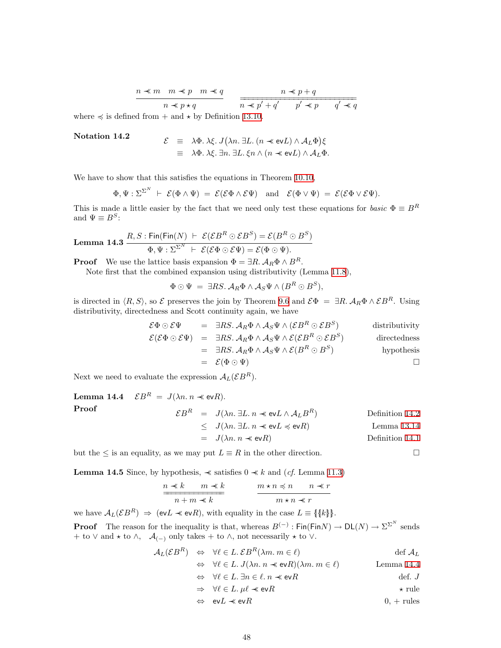$$
\begin{array}{c}\nn \prec m \quad m \prec p \quad m \prec q \\
\hline\nn \prec p \star q\n\end{array}\n\qquad\n\begin{array}{c}\nn \prec p + q \\
\hline\nn \prec p' + q' \quad p' \prec p \quad q' \prec q\n\end{array}
$$

<span id="page-47-0"></span>where  $\preccurlyeq$  is defined from  $+$  and  $\star$  by Definition [13.10](#page-45-0).

#### Notation 14.2

$$
\mathcal{E} \equiv \lambda \Phi. \lambda \xi. J(\lambda n. \exists L. (n \ll \text{ev} L) \land \mathcal{A}_L \Phi) \xi \n\equiv \lambda \Phi. \lambda \xi. \exists n. \exists L. \xi n \land (n \ll \text{ev} L) \land \mathcal{A}_L \Phi.
$$

We have to show that this satisfies the equations in Theorem [10.10,](#page-36-3)

$$
\Phi, \Psi : \Sigma^{\Sigma^N} \vdash \mathcal{E}(\Phi \wedge \Psi) = \mathcal{E}(\mathcal{E}\Phi \wedge \mathcal{E}\Psi) \text{ and } \mathcal{E}(\Phi \vee \Psi) = \mathcal{E}(\mathcal{E}\Phi \vee \mathcal{E}\Psi).
$$

This is made a little easier by the fact that we need only test these equations for *basic*  $\Phi \equiv B^R$ and  $\Psi \equiv B^S$ :

<span id="page-47-2"></span>**Lemma 14.3** 
$$
\frac{R, S: \text{Fin}(\text{Fin}(N) \ \vdash \ \mathcal{E}(\mathcal{E}B^R \odot \mathcal{E}B^S) = \mathcal{E}(B^R \odot B^S)}{\Phi, \Psi : \Sigma^{\Sigma^N} \ \vdash \ \mathcal{E}(\mathcal{E}\Phi \odot \mathcal{E}\Psi) = \mathcal{E}(\Phi \odot \Psi).
$$

**Proof** We use the lattice basis expansion  $\Phi = \exists R \cdot A_R \Phi \wedge B^R$ .

Note first that the combined expansion using distributivity (Lemma [11.8](#page-38-0)),

$$
\Phi\odot\Psi\ =\ \exists RS.\ \mathcal{A}_R\Phi\wedge\mathcal{A}_S\Psi\wedge(B^R\odot B^S),
$$

is directed in  $\langle R, S \rangle$ , so  $\mathcal E$  preserves the join by Theorem [9.6](#page-33-1) and  $\mathcal E\Phi = \exists R. \mathcal A_R \Phi \wedge \mathcal E B^R$ . Using distributivity, directedness and Scott continuity again, we have

$$
\mathcal{E}\Phi \odot \mathcal{E}\Psi = \exists RS. \mathcal{A}_R \Phi \wedge \mathcal{A}_S \Psi \wedge (\mathcal{E}B^R \odot \mathcal{E}B^S) \qquad \text{distributivity}
$$
  
\n
$$
\mathcal{E}(\mathcal{E}\Phi \odot \mathcal{E}\Psi) = \exists RS. \mathcal{A}_R \Phi \wedge \mathcal{A}_S \Psi \wedge \mathcal{E}(\mathcal{E}B^R \odot \mathcal{E}B^S) \qquad \text{directedness}
$$
  
\n
$$
= \exists RS. \mathcal{A}_R \Phi \wedge \mathcal{A}_S \Psi \wedge \mathcal{E}(B^R \odot B^S) \qquad \text{hypothesis}
$$
  
\n
$$
= \mathcal{E}(\Phi \odot \Psi) \qquad \Box
$$

<span id="page-47-1"></span>Next we need to evaluate the expression  $A_L(\mathcal{E}B^R)$ .

**Lemma 14.4** 
$$
\mathcal{E}B^R = J(\lambda n. n \preceq \text{ev}R).
$$
  
\n**Proof**  
\n
$$
\mathcal{E}B^R = J(\lambda n. \exists L. n \preceq \text{ev}L \wedge A_L B^R)
$$
\n
$$
\leq J(\lambda n. \exists L. n \preceq \text{ev}L \preceq \text{ev}R)
$$
\n
$$
= J(\lambda n. n \preceq \text{ev}R)
$$
\nDefinition 14.1  
\nDefinition 14.1

<span id="page-47-3"></span>but the  $\leq$  is an equality, as we may put  $L \equiv R$  in the other direction.

**Lemma 14.5** Since, by hypothesis,  $\prec$  satisfies  $0 \prec k$  and (*cf.* Lemma [11.3\)](#page-37-2)

$$
\frac{n \prec k \qquad m \prec k}{n+m \prec k} \qquad \qquad \frac{m \star n \prec n \qquad n \prec r}{m \star n \prec r}
$$

we have  $A_L(\mathcal{E}B^R) \Rightarrow (\text{ev}L \preccurlyeq \text{ev}R)$ , with equality in the case  $L \equiv \{\{k\}\}.$ 

**Proof** The reason for the inequality is that, whereas  $B^{(-)}$ : Fin(FinN)  $\to$  DL(N)  $\to \Sigma^{\Sigma^N}$  sends + to  $\vee$  and  $\star$  to  $\wedge$ ,  $\mathcal{A}_{(-)}$  only takes + to  $\wedge$ , not necessarily  $\star$  to  $\vee$ .

$$
\mathcal{A}_{L}(\mathcal{E}B^{R}) \Leftrightarrow \forall \ell \in L \, \mathcal{E}B^{R}(\lambda m. m \in \ell) \qquad \text{def } \mathcal{A}_{L}
$$
\n
$$
\Leftrightarrow \forall \ell \in L \, J(\lambda n. n \prec \text{evR})(\lambda m. m \in \ell) \qquad \text{Lemma 14.4}
$$
\n
$$
\Leftrightarrow \forall \ell \in L \, \exists n \in \ell \, n \prec \text{evR} \qquad \text{def } J
$$
\n
$$
\Rightarrow \forall \ell \in L \, \mu \ell \prec \text{evR} \qquad \qquad \star \text{ rule}
$$
\n
$$
\Leftrightarrow \text{evL} \prec \text{evR} \qquad 0, + \text{rules}
$$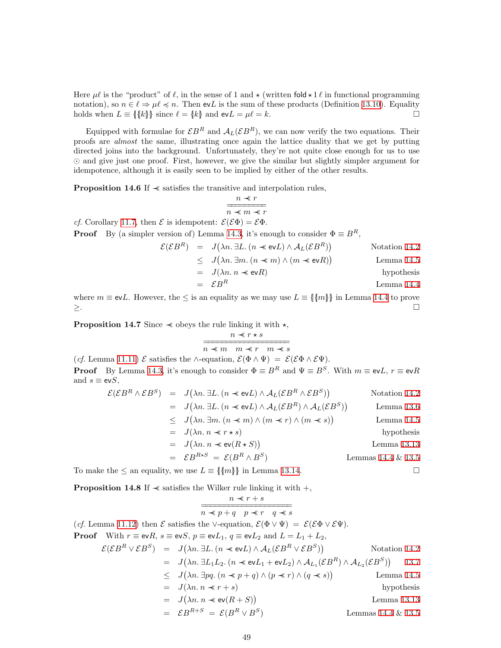Here  $\mu \ell$  is the "product" of  $\ell$ , in the sense of 1 and  $\star$  (written fold  $\star$  1  $\ell$  in functional programming notation), so  $n \in \ell \Rightarrow \mu \ell \preccurlyeq n$ . Then evL is the sum of these products (Definition [13.10](#page-45-0)). Equality holds when  $L \equiv \{\{k\}\}\$  since  $\ell = \{k\}$  and  $evL = \mu \ell = k$ .

Equipped with formulae for  $\mathcal{E}B^R$  and  $\mathcal{A}_L(\mathcal{E}B^R)$ , we can now verify the two equations. Their proofs are almost the same, illustrating once again the lattice duality that we get by putting directed joins into the background. Unfortunately, they're not quite close enough for us to use  and give just one proof. First, however, we give the similar but slightly simpler argument for idempotence, although it is easily seen to be implied by either of the other results.

**Proposition 14.6** If  $\prec$  satisfies the transitive and interpolation rules,

$$
\frac{n \ll r}{n \ll m \ll r}
$$

*cf.* Corollary [11.7,](#page-38-3) then  $\mathcal{E}$  is idempotent:  $\mathcal{E}(\mathcal{E}\Phi) = \mathcal{E}\Phi$ .

**Proof** By (a simpler version of) Lemma [14.3](#page-47-2), it's enough to consider  $\Phi \equiv B^R$ ,

$$
\mathcal{E}(\mathcal{E}B^R) = J(\lambda n. \exists L. (n \ll \text{ev}L) \land A_L(\mathcal{E}B^R))
$$
 Notation 14.2  
\n
$$
\leq J(\lambda n. \exists m. (n \ll m) \land (m \ll \text{ev}R))
$$
Lemma 14.5  
\n
$$
= J(\lambda n. n \ll \text{ev}R)
$$
hypothesis

$$
= \mathcal{E}B^R
$$
 Lemma 14.4

where  $m \equiv \text{ev}L$ . However, the  $\leq$  is an equality as we may use  $L \equiv \{\{m\}\}\$  in Lemma [14.4](#page-47-1) to prove ≥.

**Proposition 14.7** Since  $\prec$  obeys the rule linking it with  $\star$ ,

$$
\frac{n \ll r \star s}{n \ll m \quad m \ll r \quad m \ll s}
$$

(cf. Lemma [11.11](#page-39-0))  $\mathcal E$  satisfies the ∧-equation,  $\mathcal E(\Phi \wedge \Psi) = \mathcal E(\mathcal E \Phi \wedge \mathcal E \Psi)$ . **Proof** By Lemma [14.3](#page-47-2), it's enough to consider  $\Phi \equiv B^R$  and  $\Psi \equiv B^S$ . With  $m \equiv \text{ev}L$ ,  $r \equiv \text{ev}R$ and  $s \equiv \text{ev}S$ ,

$$
\mathcal{E}(EB^R \wedge EB^S) = J(\lambda n. \exists L. (n \ll \text{ev}L) \wedge A_L(EB^R \wedge EB^S))
$$
Notation 14.2  
\n
$$
= J(\lambda n. \exists L. (n \ll \text{ev}L) \wedge A_L(EB^R) \wedge A_L(EB^S))
$$
Lemma 13.6  
\n
$$
\leq J(\lambda n. \exists m. (n \ll m) \wedge (m \ll r) \wedge (m \ll s))
$$
Lemma 14.5  
\n
$$
= J(\lambda n. n \ll r \star s)
$$
hypothesis  
\n
$$
= J(\lambda n. n \ll \text{ev}(R \star S))
$$
Lemma 13.13  
\n
$$
= EB^{R \star S} = \mathcal{E}(B^R \wedge B^S)
$$
 Lemmas 14.4 & 13.5

To make the  $\leq$  an equality, we use  $L \equiv \{\{m\}\}\$ in Lemma [13.14](#page-46-3).

**Proposition 14.8** If  $\prec$  satisfies the Wilker rule linking it with  $+$ ,

$$
\frac{n \ll r + s}{n \ll p + q \quad p \ll r \quad q \ll s}
$$
  
(cf. Lemma 11.12) then  $\mathcal{E}$  satisfies the  $\vee$ -equation,  $\mathcal{E}(\Phi \vee \Psi) = \mathcal{E}(\mathcal{E}\Phi \vee \mathcal{E}\Psi)$ .  
**Proof** With  $r \equiv \text{ev}R$ ,  $s \equiv \text{ev}S$ ,  $p \equiv \text{ev}L_1$ ,  $q \equiv \text{ev}L_2$  and  $L = L_1 + L_2$ ,  

$$
\mathcal{E}(\mathcal{E}B^R \vee \mathcal{E}B^S) = J(\lambda n. \exists L. (n \ll \text{ev}L) \wedge A_L(\mathcal{E}B^R \vee \mathcal{E}B^S))
$$
Notation 14.2  

$$
= J(\lambda n. \exists L_1 L_2. (n \ll \text{ev}L_1 + \text{ev}L_2) \wedge A_{L_1}(\mathcal{E}B^R) \wedge A_{L_2}(\mathcal{E}B^S))
$$
13.7  

$$
\leq J(\lambda n. \exists pq. (n \ll p + q) \wedge (p \ll r) \wedge (q \ll s))
$$
Lemma 14.5  

$$
= J(\lambda n. n \ll r + s)
$$
hypothesis  

$$
= J(\lambda n. n \ll \text{ev}(R + S))
$$
Lemma 13.13  

$$
= \mathcal{E}B^{R+S} = \mathcal{E}(B^R \vee B^S)
$$
 Lemmas 14.4 & 13.5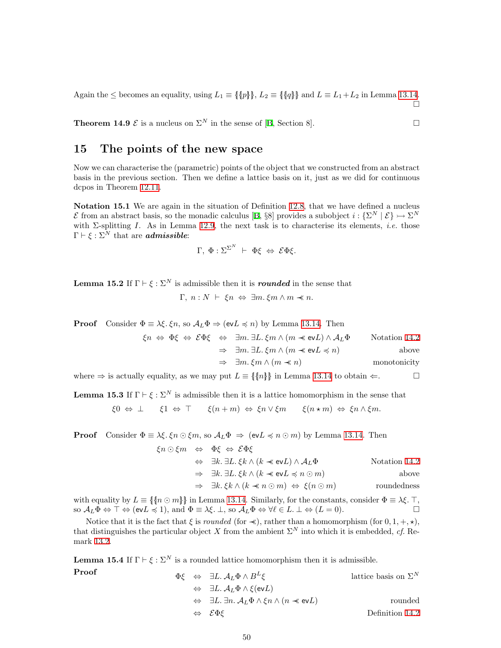<span id="page-49-0"></span>Again the  $\leq$  becomes an equality, using  $L_1 \equiv \{\{p\}\}\,$ ,  $L_2 \equiv \{\{q\}\}\$ and  $L \equiv L_1 + L_2$  in Lemma [13.14](#page-46-3).  $\Box$ 

**Theorem 14.9**  $\mathcal{E}$  is a nucleus on  $\Sigma^N$  in the sense of [\[B](#page-60-0), Section 8].

# <span id="page-49-1"></span>15 The points of the new space

Now we can characterise the (parametric) points of the object that we constructed from an abstract basis in the previous section. Then we define a lattice basis on it, just as we did for continuous dcpos in Theorem [12.11](#page-42-1).

Notation 15.1 We are again in the situation of Definition [12.8](#page-42-0), that we have defined a nucleus E from an abstract basis, so the monadic calculus [\[B](#page-60-0), §8] provides a subobject  $i: \{\Sigma^N \mid \mathcal{E}\} \rightarrow \Sigma^N$ with  $\Sigma$ -splitting I. As in Lemma [12.9](#page-42-3), the next task is to characterise its elements, *i.e.* those  $\Gamma \vdash \xi : \Sigma^N$  that are **admissible:** 

$$
\Gamma, \; \Phi : \Sigma^{\Sigma^N} \; \vdash \; \Phi \xi \; \Leftrightarrow \; \mathcal{E} \Phi \xi.
$$

<span id="page-49-3"></span>**Lemma 15.2** If  $\Gamma \vdash \xi : \Sigma^N$  is admissible then it is *rounded* in the sense that

 $Γ, n : N \vdash \xi n \Leftrightarrow \exists m. \xi m \land m \prec n.$ 

**Proof** Consider  $\Phi \equiv \lambda \xi$ .  $\xi n$ , so  $\mathcal{A}_L \Phi \Rightarrow (\text{ev} L \preccurlyeq n)$  by Lemma [13.14](#page-46-3). Then

$$
\xi n \Leftrightarrow \Phi \xi \Leftrightarrow \mathcal{E} \Phi \xi \Leftrightarrow \exists m. \exists L. \xi m \land (m \prec \text{ev} L) \land A_L \Phi \qquad \text{Notation 14.2}
$$
  

$$
\Rightarrow \exists m. \exists L. \xi m \land (m \prec \text{ev} L \preceq n) \qquad \text{above}
$$
  

$$
\Rightarrow \exists m. \xi m \land (m \prec n) \qquad \text{monotonicity}
$$

where  $\Rightarrow$  is actually equality, as we may put  $L \equiv \{\{n\}\}\$ in Lemma [13.14](#page-46-3) to obtain  $\Leftarrow$ .

<span id="page-49-2"></span>**Lemma 15.3** If  $\Gamma \vdash \xi : \Sigma^N$  is admissible then it is a lattice homomorphism in the sense that

$$
\xi 0 \Leftrightarrow \bot \qquad \xi 1 \Leftrightarrow \top \qquad \xi (n+m) \Leftrightarrow \xi n \vee \xi m \qquad \xi (n \star m) \Leftrightarrow \xi n \wedge \xi m.
$$

**Proof** Consider  $\Phi = \lambda \xi$ .  $\xi n \odot \xi m$ , so  $A_L \Phi \Rightarrow (\text{ev}[L \preccurlyeq n \odot m])$  by Lemma [13.14](#page-46-3). Then

$$
\xi n \odot \xi m \Leftrightarrow \Phi \xi \Leftrightarrow \mathcal{E} \Phi \xi
$$
  
\n
$$
\Leftrightarrow \exists k. \exists L. \xi k \land (k \prec \text{ev}L) \land \mathcal{A}_L \Phi
$$
  
\n
$$
\Rightarrow \exists k. \exists L. \xi k \land (k \prec \text{ev}L \preceq n \odot m)
$$
  
\n
$$
\Rightarrow \exists k. \xi k \land (k \prec n \odot m) \Leftrightarrow \xi(n \odot m)
$$
  
\n
$$
\Rightarrow \text{roundedness}
$$

with equality by  $L \equiv \{\{n \odot m\}\}\$  in Lemma [13.14](#page-46-3). Similarly, for the constants, consider  $\Phi \equiv \lambda \xi$ . T, so  $A_L \Phi \Leftrightarrow \top \Leftrightarrow (ev \Lambda \preceq 1)$ , and  $\Phi \equiv \lambda \xi$ .  $\bot$ , so  $A_L \Phi \Leftrightarrow \forall \ell \in L$ .  $\bot \Leftrightarrow (L = 0)$ .

Notice that it is the fact that  $\xi$  is *rounded* (for  $\prec$ ), rather than a homomorphism (for 0, 1, +,  $\star$ ), that distinguishes the particular object X from the ambient  $\Sigma^N$  into which it is embedded, cf. Remark [13.2](#page-44-2).

**Lemma 15.4** If  $\Gamma \vdash \xi : \Sigma^N$  is a rounded lattice homomorphism then it is admissible.

**Proof**  $\Phi \xi \quad \Leftrightarrow \quad \exists L. \mathcal{A}_L \Phi \wedge B^L$ lattice basis on  $\Sigma^N$  $\Leftrightarrow \exists L. \mathcal{A}_L \Phi \wedge \mathcal{E}(\text{ev} L)$  $\Leftrightarrow \exists L. \exists n. \mathcal{A}_L \Phi \wedge \xi n \wedge (n \prec \text{ev} L)$  rounded  $\Leftrightarrow$   $\mathcal{E}\Phi\mathcal{E}$  Definition [14.2](#page-47-0)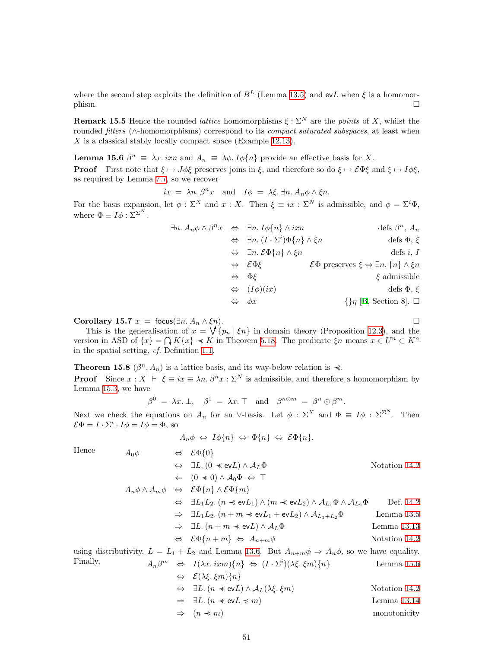where the second step exploits the definition of  $B<sup>L</sup>$  (Lemma [13.5\)](#page-45-3) and evL when  $\xi$  is a homomor- $\Box$ 

<span id="page-50-0"></span>**Remark 15.5** Hence the rounded *lattice* homomorphisms  $\xi : \Sigma^N$  are the points of X, whilst the rounded *filters* (∧-homomorphisms) correspond to its *compact saturated subspaces*, at least when X is a classical stably locally compact space (Example [12.13\)](#page-43-0).

<span id="page-50-1"></span>**Lemma 15.6**  $\beta^n \equiv \lambda x$ . ixn and  $A_n \equiv \lambda \phi$ . I $\phi\{n\}$  provide an effective basis for X.

**Proof** First note that  $\xi \mapsto J\phi\xi$  preserves joins in  $\xi$ , and therefore so do  $\xi \mapsto \mathcal{E}\Phi\xi$  and  $\xi \mapsto I\phi\xi$ , as required by Lemma [7.7](#page-25-2), so we recover

$$
ix = \lambda n \cdot \beta^n x
$$
 and  $I\phi = \lambda \xi \cdot \exists n \cdot A_n \phi \wedge \xi n$ .

For the basis expansion, let  $\phi : \Sigma^X$  and  $x : X$ . Then  $\xi \equiv ix : \Sigma^N$  is admissible, and  $\phi = \Sigma^i \Phi$ , where  $\Phi \equiv I \phi : \Sigma^{\Sigma^N}$ .

|                   | $\exists n. A_n \phi \wedge \beta^n x \Leftrightarrow \exists n. I \phi \{n\} \wedge i x n$ | defs $\beta^n$ , $A_n$                                                          |
|-------------------|---------------------------------------------------------------------------------------------|---------------------------------------------------------------------------------|
|                   | $\Leftrightarrow \ \exists n. (I \cdot \Sigma^i) \Phi\{n\} \wedge \xi n$                    | defs $\Phi$ , $\xi$                                                             |
|                   | $\Leftrightarrow \exists n. \, \mathcal{E}\Phi\{n\} \wedge \xi n$                           | defs $i, I$                                                                     |
|                   | $\Leftrightarrow$ $\mathcal{E}\Phi\mathcal{E}$                                              | $\mathcal{E}\Phi$ preserves $\xi \Leftrightarrow \exists n. \{n\} \wedge \xi n$ |
|                   | $\Leftrightarrow \Phi \xi$                                                                  | $\xi$ admissible                                                                |
|                   | $\Leftrightarrow$ $(I\phi)(ix)$                                                             | defs $\Phi$ , $\xi$                                                             |
| $\Leftrightarrow$ | $\phi x$                                                                                    | $\{\}\eta$ [B, Section 8]. $\Box$                                               |

Corollary 15.7  $x = \text{focus}(\exists n \cdot A_n \wedge \xi n)$ .

This is the generalisation of  $x = \sqrt{\{p_n | \xi_n\}}$  in domain theory (Proposition [12.3\)](#page-40-2), and the version in ASD of  $\{x\} = \bigcap K\{x\} \prec K$  in Theorem [5.18](#page-19-2). The predicate  $\xi n$  means  $x \in U^n \subset K^n$ in the spatial setting, cf. Definition [1.1.](#page-1-3)

**Theorem 15.8** ( $\beta^n$ ,  $A_n$ ) is a lattice basis, and its way-below relation is  $\prec$ . **Proof** Since  $x : X \vdash \xi \equiv ix \equiv \lambda n \cdot \beta^n x : \Sigma^N$  is admissible, and therefore a homomorphism by Lemma [15.3](#page-49-2), we have

$$
\beta^0 \;=\; \lambda x.\perp, \quad \beta^1 \;=\; \lambda x.\top \quad \text{and} \quad \beta^{n\odot m} \;=\; \beta^n \odot \beta^m.
$$

Next we check the equations on  $A_n$  for an ∨-basis. Let  $\phi$ :  $\Sigma^X$  and  $\Phi = I\phi$ :  $\Sigma^{\Sigma^N}$ . Then  $\mathcal{E}\Phi = I \cdot \Sigma^i \cdot I\phi = I\phi = \Phi$ , so

$$
A_n \phi \Leftrightarrow I \phi \{n\} \Leftrightarrow \Phi \{n\} \Leftrightarrow \mathcal{E} \Phi \{n\}.
$$

Finally,

Hence  $A_0 \phi \qquad \Leftrightarrow \ \mathcal{E} \Phi \{0\}$  $\Leftrightarrow$  ∃L.  $(0 \prec \text{ev} L) \land A_L \Phi$  Notation [14.2](#page-47-0)  $\Leftarrow$   $(0 \nless 0) \land \mathcal{A}_0 \Phi \Leftrightarrow \top$  $A_n \phi \wedge A_m \phi \Leftrightarrow \mathcal{E} \Phi\{n\} \wedge \mathcal{E} \Phi\{m\}$  $\Leftrightarrow \exists L_1L_2. (n \prec \text{ev}L_1) \wedge (m \prec \text{ev}L_2) \wedge A_{L_1} \Phi \wedge A_{L_2} \Phi$  Def. [14.2](#page-47-0)  $\Rightarrow \exists L_1L_2. (n+m \ll \text{ev}L_1+\text{ev}L_2) \land \mathcal{A}_{L_1+L_2}\Phi$  Lemma [13.5](#page-45-3)  $\Rightarrow$  ∃L.  $(n + m \prec \text{ev} L) \land A_L \Phi$  Lemma [13.13](#page-46-4)  $\Leftrightarrow$   $\mathcal{E}\Phi\{n+m\} \Leftrightarrow A_{n+m}\phi$  Notation [14.2](#page-47-0) using distributivity,  $L = L_1 + L_2$  and Lemma [13.6.](#page-45-2) But  $A_{n+m}\phi \Rightarrow A_n\phi$ , so we have equality.  $\{m \Leftrightarrow I(\lambda x. \, ixm)\{n\} \Leftrightarrow (I \cdot \Sigma^i)(\lambda \xi. \, \xi m)\{n\}$  Lemma [15.6](#page-50-1)  $\Leftrightarrow$   $\mathcal{E}(\lambda \xi, \xi m)$ {n}  $\Leftrightarrow$  ∃L.  $(n \nless \text{ev} L) \land A_L(\lambda \xi, \xi m)$  Notation [14.2](#page-47-0)

$$
\Rightarrow \exists L. (n \prec \text{ev}L \preccurlyeq m)
$$
 Lemma 13.14  

$$
\Rightarrow (n \prec m)
$$
 monotonicity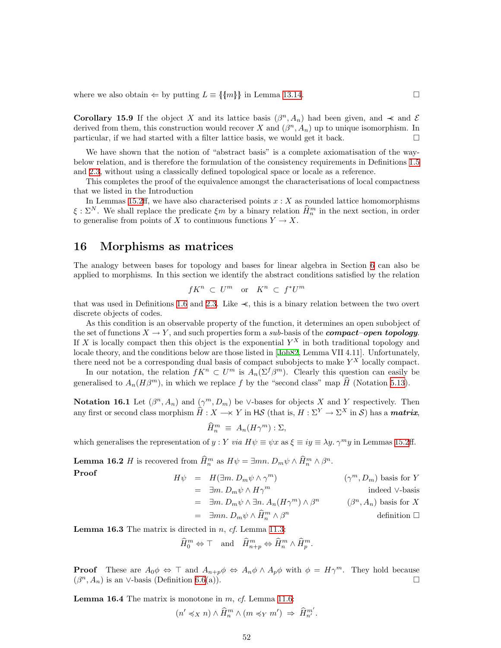<span id="page-51-0"></span>where we also obtain  $\Leftarrow$  by putting  $L \equiv \{\{m\}\}\$ in Lemma [13.14.](#page-46-3)

**Corollary 15.9** If the object X and its lattice basis  $(\beta^n, A_n)$  had been given, and  $\prec$  and E derived from them, this construction would recover X and  $(\beta^n, A_n)$  up to unique isomorphism. In particular, if we had started with a filter lattice basis, we would get it back.  $\Box$ 

We have shown that the notion of "abstract basis" is a complete axiomatisation of the waybelow relation, and is therefore the formulation of the consistency requirements in Definitions [1.5](#page-2-1) and [2.3](#page-5-2), without using a classically defined topological space or locale as a reference.

This completes the proof of the equivalence amongst the characterisations of local compactness that we listed in the Introduction

In Lemmas [15.2ff](#page-49-3), we have also characterised points  $x : X$  as rounded lattice homomorphisms  $\xi : \Sigma^N$ . We shall replace the predicate  $\xi m$  by a binary relation  $\hat{H}_n^m$  in the next section, in order to generalise from points of X to continuous functions  $Y \to X$ .

#### <span id="page-51-1"></span>16 Morphisms as matrices

The analogy between bases for topology and bases for linear algebra in Section [6](#page-19-1) can also be applied to morphisms. In this section we identify the abstract conditions satisfied by the relation

$$
fK^n \, \subset \, U^m \quad \text{or} \quad K^n \, \subset \, f^*U^m
$$

that was used in Definitions [1.6](#page-2-2) and [2.3.](#page-5-2) Like ≺≺, this is a binary relation between the two overt discrete objects of codes.

As this condition is an observable property of the function, it determines an open subobject of the set of functions  $X \to Y$ , and such properties form a sub-basis of the **compact–open topology**. If X is locally compact then this object is the exponential  $Y^X$  in both traditional topology and locale theory, and the conditions below are those listed in [\[Joh82,](#page-59-9) Lemma VII 4.11]. Unfortunately, there need not be a corresponding dual basis of compact subobjects to make  $Y^X$  locally compact.

In our notation, the relation  $fK^n \subset U^m$  is  $A_n(\Sigma^f \beta^m)$ . Clearly this question can easily be generalised to  $A_n(H\beta^m)$ , in which we replace f by the "second class" map  $\hat{H}$  (Notation [5.13\)](#page-18-2).

<span id="page-51-3"></span>**Notation 16.1** Let  $(\beta^n, A_n)$  and  $(\gamma^m, D_m)$  be ∨-bases for objects X and Y respectively. Then any first or second class morphism  $\widehat{H} : X \longrightarrow Y$  in  $\mathsf{H}\mathcal{S}$  (that is,  $H : \Sigma^Y \to \Sigma^X$  in  $\mathcal{S}$ ) has a **matrix**,

$$
\widehat{H}_n^m \equiv A_n(H\gamma^m) : \Sigma,
$$

<span id="page-51-2"></span>which generalises the representation of y : Y via  $H\psi \equiv \psi x$  as  $\xi \equiv iy \equiv \lambda y$ .  $\gamma^m y$  in Lemmas [15.2](#page-49-3)ff.

**Lemma 16.2** *H* is recovered from  $\widehat{H}_n^m$  as  $H\psi = \exists mn. D_m\psi \wedge \widehat{H}_n^m \wedge \beta^n$ .

Proof  
\n
$$
H\psi = H(\exists m. D_m \psi \wedge \gamma^m)
$$
\n
$$
= \exists m. D_m \psi \wedge H\gamma^m
$$
\n
$$
= \exists m. D_m \psi \wedge \exists n. A_n (H\gamma^m) \wedge \beta^n
$$
\n
$$
= \exists m. D_m \psi \wedge \exists n. A_n (H\gamma^m) \wedge \beta^n
$$
\n
$$
= \exists m. D_m \psi \wedge \widehat{H}_n^m \wedge \beta^n
$$
\n
$$
= \langle \beta^n, A_n \rangle \text{ basis for } X \text{ definition } \square
$$

<span id="page-51-4"></span>**Lemma 16.3** The matrix is directed in  $n$ , cf. Lemma [11.3:](#page-37-2)

$$
\widehat{H}_0^m \Leftrightarrow \top \quad \text{and} \quad \widehat{H}_{n+p}^m \Leftrightarrow \widehat{H}_n^m \wedge \widehat{H}_p^m.
$$

**Proof** These are  $A_0\phi \Leftrightarrow \top$  and  $A_{n+p}\phi \Leftrightarrow A_n\phi \wedge A_p\phi$  with  $\phi = H\gamma^m$ . They hold because  $(\beta^n, A_n)$  is an ∨-basis (Definition [6.6](#page-21-3)(a)).

**Lemma 16.4** The matrix is monotone in  $m$ ,  $cf$ . Lemma [11.6](#page-38-5):

$$
(n' \preccurlyeq_X n) \wedge \widehat{H}_n^m \wedge (m \preccurlyeq_Y m') \Rightarrow \widehat{H}_{n'}^{m'}.
$$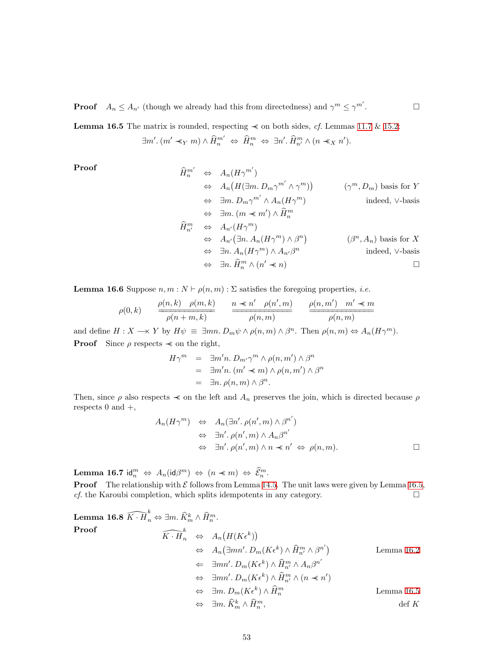<span id="page-52-0"></span>**Proof**  $A_n \leq A_{n'}$  (though we already had this from directedness) and  $\gamma^m \leq \gamma^{m'}$ 

**Lemma 16.5** The matrix is rounded, respecting  $\preccurlyeq$  on both sides, *cf.* Lemmas [11.7](#page-38-3) & [15.2:](#page-49-3)  $\exists m'. (m' \preccurlyeq_Y m) \land \widehat{H}_n^{m'} \Leftrightarrow \widehat{H}_n^m \Leftrightarrow \exists n'. \widehat{H}_{n'}^m \land (n \preccurlyeq_X n').$ 

Proof  
\n
$$
\hat{H}_{n}^{m'} \Leftrightarrow A_{n}(H\gamma^{m'})
$$
\n
$$
\Leftrightarrow A_{n}(H(\exists m. D_{m}\gamma^{m'} \wedge \gamma^{m})) \qquad (\gamma^{m}, D_{m}) \text{ basis for } Y
$$
\n
$$
\Leftrightarrow \exists m. D_{m}\gamma^{m'} \wedge A_{n}(H\gamma^{m}) \qquad \text{indeed, V-basis}
$$
\n
$$
\Leftrightarrow \exists m. (m \prec m') \wedge \hat{H}_{n}^{m}
$$
\n
$$
\hat{H}_{n'}^{m} \Leftrightarrow A_{n'}(H\gamma^{m})
$$
\n
$$
\Leftrightarrow A_{n'}(\exists n. A_{n}(H\gamma^{m}) \wedge \beta^{n}) \qquad (\beta^{n}, A_{n}) \text{ basis for } X
$$
\n
$$
\Leftrightarrow \exists n. A_{n}(H\gamma^{m}) \wedge A_{n'}\beta^{n} \qquad \text{indeed, V-basis}
$$
\n
$$
\Leftrightarrow \exists n. \hat{H}_{n}^{m} \wedge (n' \prec n) \qquad \Box
$$

. — П

<span id="page-52-1"></span>**Lemma 16.6** Suppose  $n, m : N \vdash \rho(n, m) : \Sigma$  satisfies the foregoing properties, *i.e.* 

$$
\rho(0,k) \qquad \frac{\rho(n,k) \quad \rho(m,k)}{\rho(n+m,k)} \qquad \frac{n \ll n' \quad \rho(n',m)}{\rho(n,m)} \qquad \frac{\rho(n,m') \quad m' \ll m}{\rho(n,m)}
$$

and define  $H: X \longrightarrow Y$  by  $H\psi \equiv \exists mn. D_m \psi \wedge \rho(n,m) \wedge \beta^n$ . Then  $\rho(n,m) \Leftrightarrow A_n(H\gamma^m)$ . **Proof** Since  $\rho$  respects  $\prec$  on the right,

$$
H\gamma^m = \exists m'n. D_{m'}\gamma^m \wedge \rho(n,m') \wedge \beta^n
$$
  
= 
$$
\exists m'n. (m' \preceq m) \wedge \rho(n,m') \wedge \beta^n
$$
  
= 
$$
\exists n. \rho(n,m) \wedge \beta^n.
$$

Then, since  $\rho$  also respects  $\prec$  on the left and  $A_n$  preserves the join, which is directed because  $\rho$ respects  $0$  and  $+$ ,

$$
A_n(H\gamma^m) \Leftrightarrow A_n(\exists n'. \rho(n', m) \land \beta^{n'})
$$
  
\n
$$
\Leftrightarrow \exists n'. \rho(n', m) \land A_n\beta^{n'}
$$
  
\n
$$
\Leftrightarrow \exists n'. \rho(n', m) \land n \prec n' \Leftrightarrow \rho(n, m).
$$

Lemma 16.7 id $_m^m \Leftrightarrow A_n(\mathrm{id}\beta^m) \Leftrightarrow (n \prec m) \Leftrightarrow \widehat{\mathcal{E}}_n^m$ .

**Proof** The relationship with  $\mathcal E$  follows from Lemma [14.5](#page-47-3). The unit laws were given by Lemma [16.5,](#page-52-0) *cf.* the Karoubi completion, which splits idempotents in any category.  $\Box$ 

**Lemma 16.8** 
$$
\widehat{K \cdot H}_n^k \Leftrightarrow \exists m. \widehat{K}_m^k \wedge \widehat{H}_n^m
$$
.  
\n**Proof**  
\n $\widehat{K \cdot H}_n^k \Leftrightarrow A_n(H(K\epsilon^k))$   
\n $\Leftrightarrow A_n(\exists mn'. D_m(K\epsilon^k) \wedge \widehat{H}_n^m \wedge \beta^{n'})$   
\n $\Leftrightarrow \exists mn'. D_m(K\epsilon^k) \wedge \widehat{H}_n^m \wedge A_n\beta^{n'}$   
\n $\Leftrightarrow \exists mn'. D_m(K\epsilon^k) \wedge \widehat{H}_n^m \wedge (n \prec n')$   
\n $\Leftrightarrow \exists m. D_m(K\epsilon^k) \wedge \widehat{H}_n^m$   
\n $\Leftrightarrow \exists m. \widehat{K}_m^k \wedge \widehat{H}_n^m$ ,\n\det K

53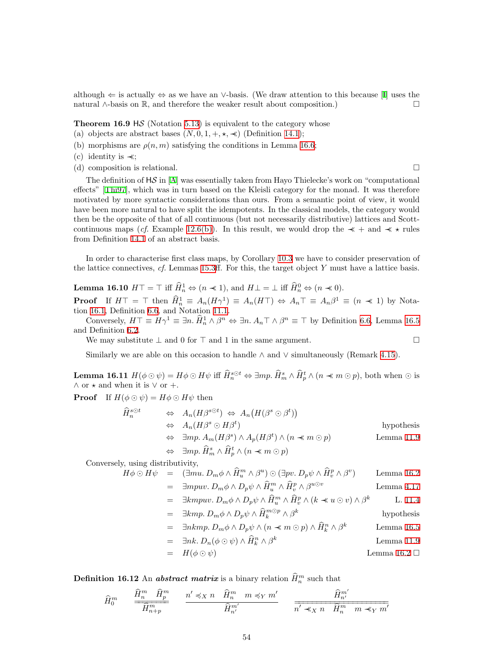although  $\Leftarrow$  is actually  $\Leftrightarrow$  as we have an ∨-basis. (We draw attention to this because [\[I\]](#page-60-5) uses the natural ∧-basis on  $\mathbb{R}$ , and therefore the weaker result about composition.)  $\Box$ 

**Theorem 16.9 HS** (Notation [5.13](#page-18-2)) is equivalent to the category whose

- (a) objects are abstract bases  $(N, 0, 1, +, \star, \star)$  (Definition [14.1](#page-46-2));
- (b) morphisms are  $\rho(n,m)$  satisfying the conditions in Lemma [16.6;](#page-52-1)
- (c) identity is ≺≺;
- (d) composition is relational.

The definition of  $\text{H}\mathcal{S}$  in [\[A\]](#page-60-1) was essentially taken from Hayo Thielecke's work on "computational" effects" [\[Thi97\]](#page-59-17), which was in turn based on the Kleisli category for the monad. It was therefore motivated by more syntactic considerations than ours. From a semantic point of view, it would have been more natural to have split the idempotents. In the classical models, the category would then be the opposite of that of all continuous (but not necessarily distributive) lattices and Scott-continuous maps (cf. Example [12.6\(b\)](#page-41-1)). In this result, we would drop the  $\prec +$  and  $\prec \prec$  rules from Definition [14.1](#page-46-2) of an abstract basis.

In order to characterise first class maps, by Corollary [10.3](#page-35-1) we have to consider preservation of the lattice connectives,  $cf.$  Lemmas [15.3](#page-49-2)ff. For this, the target object Y must have a lattice basis.

**Lemma 16.10**  $H\top = \top$  iff  $\widehat{H}_n^1 \Leftrightarrow (n \ll 1)$ , and  $H\bot = \bot$  iff  $\widehat{H}_n^0 \Leftrightarrow (n \ll 0)$ .

**Proof** If  $H\top = \top$  then  $\widehat{H}_n^1 \equiv A_n(H\gamma^1) \equiv A_n(H\top) \Leftrightarrow A_n \top \equiv A_n\beta^1 \equiv (n \ll 1)$  by Notation [16.1](#page-51-3), Definition [6.6](#page-21-3), and Notation [11.1](#page-37-3).

Conversely,  $H\top \equiv H\gamma^1 \equiv \exists n. \hat{H}_n^1 \wedge \beta^n \Leftrightarrow \exists n. A_n \top \wedge \beta^n \equiv \top$  by Definition [6.6,](#page-21-3) Lemma [16.5](#page-52-0) and Definition [6.2](#page-20-3).

We may substitute  $\perp$  and 0 for  $\top$  and 1 in the same argument.

Similarly we are able on this occasion to handle  $\land$  and  $\lor$  simultaneously (Remark [4.15\)](#page-14-3).

<span id="page-53-0"></span>**Lemma 16.11**  $H(\phi \odot \psi) = H\phi \odot H\psi$  iff  $\widehat{H}_n^{s \odot t} \Leftrightarrow \exists mp \ldotp \widehat{H}_m^s \land \widehat{H}_p^t \land (n \prec m \odot p)$ , both when  $\odot$  is  $\wedge$  or  $\star$  and when it is  $\vee$  or  $+$ .

**Proof** If  $H(\phi \odot \psi) = H\phi \odot H\psi$  then

$$
\hat{H}_n^{s \odot t} \qquad \Leftrightarrow \quad A_n(H\beta^{s \odot t}) \Leftrightarrow A_n(H(\beta^s \odot \beta^t))
$$
\n
$$
\Leftrightarrow \quad A_n(H\beta^s \odot H\beta^t) \qquad \text{hypothesis}
$$
\n
$$
\Leftrightarrow \quad \exists mp. \ A_m(H\beta^s) \land A_p(H\beta^t) \land (n \ll m \odot p) \qquad \text{Lemma 11.9}
$$
\n
$$
\Leftrightarrow \quad \exists mp. \ \hat{H}_m^s \land \hat{H}_p^t \land (n \ll m \odot p)
$$

Conversely, using distributivity,

$$
H\phi \odot H\psi = (\exists mu. D_m\phi \land \hat{H}_u^m \land \beta^u) \odot (\exists pv. D_p\psi \land \hat{H}_v^p \land \beta^v) \qquad \text{Lemma 16.2}
$$

= 
$$
\exists mpuv. D_m \phi \wedge D_p \psi \wedge \hat{H}_u^m \wedge \hat{H}_v^p \wedge \beta^{u\odot v}
$$
 Lemma 4.17

$$
= \exists kmpuv. \ D_m \phi \wedge D_p \psi \wedge \widehat{H}_u^m \wedge \widehat{H}_v^p \wedge (k \prec u \odot v) \wedge \beta^k \qquad \text{L. 11.4}
$$

$$
= \quad \exists km p. \ D_m \phi \wedge D_p \psi \wedge \widehat{H}_k^{m \odot p} \wedge \beta^k \qquad \text{hypothesis}
$$

$$
= \quad \exists nkmp. \ D_m \phi \wedge D_p \psi \wedge (n \prec m \odot p) \wedge \widehat{H}_k^n \wedge \beta^k \qquad \text{Lemma 16.5}
$$

$$
= \quad \exists nk. \ D_n(\phi \odot \psi) \land \widehat{H}_k^n \land \beta^k \qquad \text{Lemma 11.9}
$$

$$
= H(\phi \odot \psi) \qquad \qquad \text{Lemma 16.2 } \Box
$$

<span id="page-53-1"></span>**Definition 16.12** An **abstract matrix** is a binary relation  $\hat{H}_n^m$  such that

$$
\widehat{H}^m_0 \qquad \frac{\widehat{H}^m_n \quad \widehat{H}^m_p}{\widehat{H}^m_{n+p}} \qquad \frac{n' \preccurlyeq_X n \quad \widehat{H}^m_n \quad m \preccurlyeq_Y m'}{\widehat{H}^{m'}_{n'}} \qquad \frac{\widehat{H}^{m'}_{n'}}{n' \preccurlyeq_X n \quad \widehat{H}^m_n \quad m \preccurlyeq_Y m'}
$$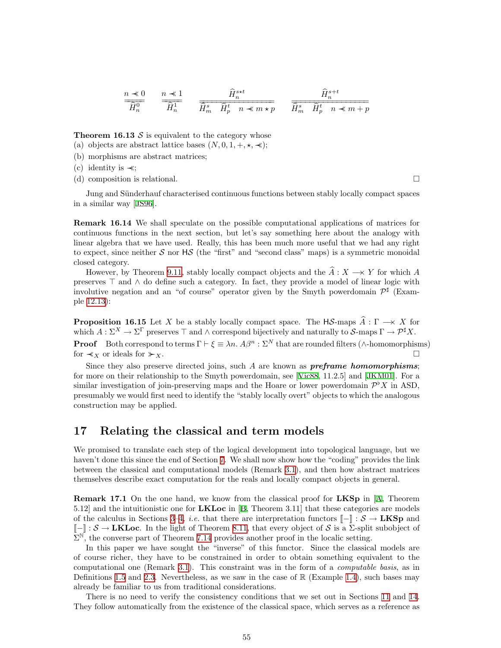<span id="page-54-0"></span>
$$
\frac{n \prec 0}{\widehat{H}_n^0} \qquad \frac{n \prec 1}{\widehat{H}_n^1} \qquad \frac{\widehat{H}_n^{s \star t}}{\widehat{H}_m^s \qquad \widehat{H}_p^t \qquad n \prec m \prec p} \qquad \frac{\widehat{H}_n^{s+t}}{\widehat{H}_m^s \qquad \widehat{H}_p^t \qquad n \prec m + p}
$$

**Theorem 16.13**  $S$  is equivalent to the category whose

- (a) objects are abstract lattice bases  $(N, 0, 1, +, \star, \prec);$
- (b) morphisms are abstract matrices;
- (c) identity is  $\prec$ ;
- (d) composition is relational.

Jung and Sünderhauf characterised continuous functions between stably locally compact spaces in a similar way[[JS96](#page-59-1)].

Remark 16.14 We shall speculate on the possible computational applications of matrices for continuous functions in the next section, but let's say something here about the analogy with linear algebra that we have used. Really, this has been much more useful that we had any right to expect, since neither  $S$  nor H $S$  (the "first" and "second class" maps) is a symmetric monoidal closed category.

However, by Theorem [9.11](#page-34-2), stably locally compact objects and the  $\hat{A}: X \longrightarrow Y$  for which A preserves  $\top$  and  $\land$  do define such a category. In fact, they provide a model of linear logic with involutive negation and an "of course" operator given by the Smyth powerdomain  $\mathcal{P}^{\sharp}$  (Example [12.13\)](#page-43-0):

<span id="page-54-2"></span>**Proposition 16.15** Let X be a stably locally compact space. The HS-maps  $\hat{A}$  :  $\Gamma \rightarrow X$  for which  $A: \Sigma^X \to \Sigma^{\Gamma}$  preserves  $\top$  and  $\wedge$  correspond bijectively and naturally to S-maps  $\Gamma \to \mathcal{P}^{\sharp} X$ .

**Proof** Both correspond to terms  $\Gamma \vdash \xi \equiv \lambda n$ .  $A\beta^n : \Sigma^N$  that are rounded filters (∧-homomorphisms) for  $\prec_X$  or ideals for  $\succcurlyeq_X$ .

Since they also preserve directed joins, such  $A$  are known as **preframe homomorphisms**; for more on their relationship to the Smyth powerdomain, see [\[Vic88](#page-59-18), 11.2.5] and [\[JKM01](#page-59-5)]. For a similar investigation of join-preserving maps and the Hoare or lower powerdomain  $\mathcal{P}^{\flat}X$  in ASD, presumably we would first need to identify the "stably locally overt" objects to which the analogous construction may be applied.

### <span id="page-54-1"></span>17 Relating the classical and term models

We promised to translate each step of the logical development into topological language, but we haven't done this since the end of Section [7](#page-23-1). We shall now show how the "coding" provides the link between the classical and computational models (Remark [3.1](#page-7-1)), and then how abstract matrices themselves describe exact computation for the reals and locally compact objects in general.

**Remark 17.1** On the one hand, we know from the classical proof for **LKSp** in [\[A,](#page-60-1) Theorem 5.12]and the intuitionistic one for  $LKLoc$  in [[B](#page-60-0), Theorem 3.11] that these categories are models of the calculus in Sections [3–](#page-7-0)[4,](#page-10-1) *i.e.* that there are interpretation functors  $[-] : \mathcal{S} \to \mathbf{L}$ KSp and  $\llbracket - \rrbracket : \mathcal{S} \to \mathbf{LKLoc}$ . In the light of Theorem [8.11](#page-31-2), that every object of S is a  $\Sigma$ -split subobject of  $\Sigma^{\mathbb{N}}$ , the converse part of Theorem [7.14](#page-27-0) provides another proof in the localic setting.

In this paper we have sought the "inverse" of this functor. Since the classical models are of course richer, they have to be constrained in order to obtain something equivalent to the computational one (Remark [3.1\)](#page-7-1). This constraint was in the form of a computable basis, as in Definitions [1.5](#page-2-1) and [2.3](#page-5-2). Nevertheless, as we saw in the case of  $\mathbb{R}$  (Example [1.4](#page-2-0)), such bases may already be familiar to us from traditional considerations.

There is no need to verify the consistency conditions that we set out in Sections [11](#page-37-1) and [14](#page-46-1). They follow automatically from the existence of the classical space, which serves as a reference as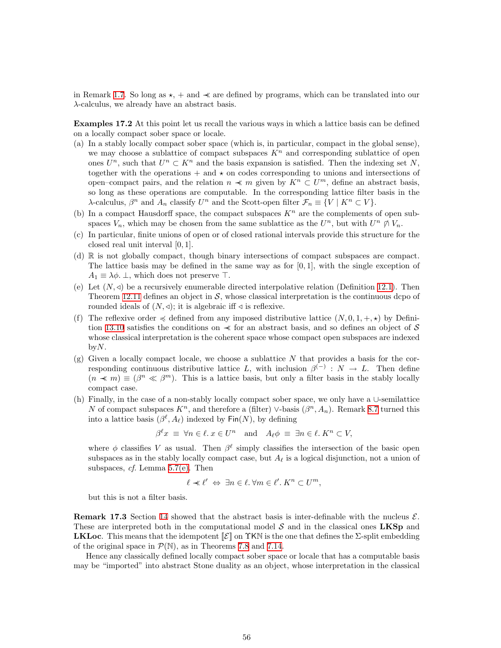in Remark [1.7.](#page-3-1) So long as  $\star$ , + and  $\prec$  are defined by programs, which can be translated into our  $\lambda$ -calculus, we already have an abstract basis.

Examples 17.2 At this point let us recall the various ways in which a lattice basis can be defined on a locally compact sober space or locale.

- (a) In a stably locally compact sober space (which is, in particular, compact in the global sense), we may choose a sublattice of compact subspaces  $K<sup>n</sup>$  and corresponding sublattice of open ones  $U^n$ , such that  $U^n \subset K^n$  and the basis expansion is satisfied. Then the indexing set N, together with the operations  $+$  and  $\star$  on codes corresponding to unions and intersections of open–compact pairs, and the relation  $n \ll m$  given by  $K^n \subset U^m$ , define an abstract basis, so long as these operations are computable. In the corresponding lattice filter basis in the λ-calculus,  $\beta^n$  and  $A_n$  classify  $U^n$  and the Scott-open filter  $\mathcal{F}_n \equiv \{V \mid K^n \subset V\}.$
- (b) In a compact Hausdorff space, the compact subspaces  $K<sup>n</sup>$  are the complements of open subspaces  $V_n$ , which may be chosen from the same sublattice as the  $U^n$ , but with  $U^n \not\cap V_n$ .
- (c) In particular, finite unions of open or of closed rational intervals provide this structure for the closed real unit interval [0, 1].
- (d) R is not globally compact, though binary intersections of compact subspaces are compact. The lattice basis may be defined in the same way as for  $[0, 1]$ , with the single exception of  $A_1 \equiv \lambda \phi$ .  $\perp$ , which does not preserve  $\top$ .
- (e) Let  $(N, 4)$  be a recursively enumerable directed interpolative relation (Definition [12.1](#page-40-3)). Then Theorem [12.11](#page-42-1) defines an object in  $S$ , whose classical interpretation is the continuous dcpo of rounded ideals of  $(N, \triangleleft)$ ; it is algebraic iff  $\triangleleft$  is reflexive.
- (f) The reflexive order  $\preccurlyeq$  defined from any imposed distributive lattice  $(N, 0, 1, +, \star)$  by Defini-tion [13.10](#page-45-0) satisfies the conditions on  $\prec$  for an abstract basis, and so defines an object of S whose classical interpretation is the coherent space whose compact open subspaces are indexed  $by N$ .
- $(g)$  Given a locally compact locale, we choose a sublattice N that provides a basis for the corresponding continuous distributive lattice L, with inclusion  $\beta^{(-)}$  :  $N \to L$ . Then define  $(n \prec m) \equiv (\beta^n \ll \beta^m)$ . This is a lattice basis, but only a filter basis in the stably locally compact case.
- (h) Finally, in the case of a non-stably locally compact sober space, we only have a ∪-semilattice N of compact subspaces  $K<sup>n</sup>$ , and therefore a (filter) ∨-basis  $(\beta<sup>n</sup>, A<sub>n</sub>)$ . Remark [8.7](#page-30-1) turned this into a lattice basis  $(\beta^{\ell}, A_{\ell})$  indexed by  $\textsf{Fin}(N)$ , by defining

$$
\beta^{\ell} x \equiv \forall n \in \ell \, x \in U^{n} \quad \text{and} \quad A_{\ell} \phi \equiv \exists n \in \ell \, K^{n} \subset V,
$$

where  $\phi$  classifies V as usual. Then  $\beta^{\ell}$  simply classifies the intersection of the basic open subspaces as in the stably locally compact case, but  $A_\ell$  is a logical disjunction, not a union of subspaces, cf. Lemma [5.7\(e\).](#page-16-6) Then

$$
\ell \prec \ell' \Leftrightarrow \exists n \in \ell. \ \forall m \in \ell'. K^n \subset U^m,
$$

but this is not a filter basis.

**Remark 17.3** Section [14](#page-46-1) showed that the abstract basis is inter-definable with the nucleus  $\mathcal{E}$ . These are interpreted both in the computational model  $S$  and in the classical ones **LKSp** and **LKLoc.** This means that the idempotent  $\llbracket \mathcal{E} \rrbracket$  on  $\Upsilon$ KN is the one that defines the  $\Sigma$ -split embedding of the original space in  $\mathcal{P}(\mathbb{N})$ , as in Theorems [7.8](#page-25-0) and [7.14.](#page-27-0)

Hence any classically defined locally compact sober space or locale that has a computable basis may be "imported" into abstract Stone duality as an object, whose interpretation in the classical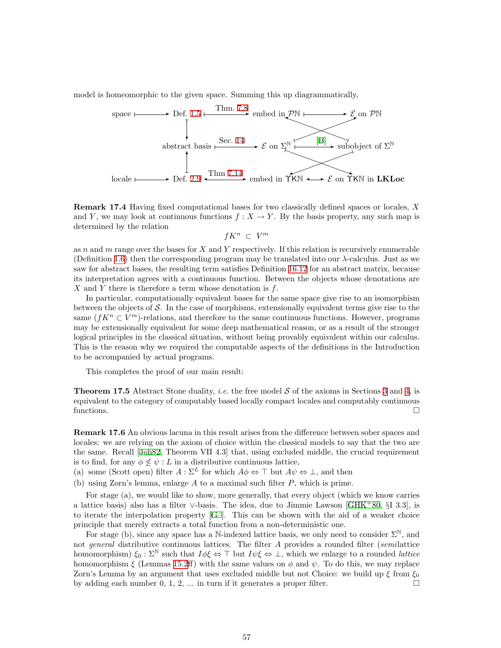model is homeomorphic to the given space. Summing this up diagrammatically,



Remark 17.4 Having fixed computational bases for two classically defined spaces or locales, X and Y, we may look at continuous functions  $f : X \to Y$ . By the basis property, any such map is determined by the relation

$$
fK^n \, \subset \, V^m
$$

as n and m range over the bases for X and Y respectively. If this relation is recursively enumerable (Definition [1.6](#page-2-2)) then the corresponding program may be translated into our  $\lambda$ -calculus. Just as we saw for abstract bases, the resulting term satisfies Definition [16.12](#page-53-1) for an abstract matrix, because its interpretation agrees with a continuous function. Between the objects whose denotations are X and Y there is therefore a term whose denotation is  $f$ .

In particular, computationally equivalent bases for the same space give rise to an isomorphism between the objects of  $\mathcal{S}$ . In the case of morphisms, extensionally equivalent terms give rise to the same  $(fK^n \subset V^m)$ -relations, and therefore to the same continuous functions. However, programs may be extensionally equivalent for some deep mathematical reason, or as a result of the stronger logical principles in the classical situation, without being provably equivalent within our calculus. This is the reason why we required the computable aspects of the definitions in the Introduction to be accompanied by actual programs.

This completes the proof of our main result:

**Theorem 17.5** Abstract Stone duality, *i.e.* the free model  $S$  of the axioms in Sections [3](#page-7-0) and [4](#page-10-1), is equivalent to the category of computably based locally compact locales and computably continuous functions.  $\Box$ 

<span id="page-56-0"></span>Remark 17.6 An obvious lacuna in this result arises from the difference between sober spaces and locales: we are relying on the axiom of choice within the classical models to say that the two are the same. Recall [\[Joh82,](#page-59-9) Theorem VII 4.3] that, using excluded middle, the crucial requirement is to find, for any  $\phi \not\leq \psi : L$  in a distributive continuous lattice,

(a) some (Scott open) filter  $A : \Sigma^L$  for which  $A\phi \Leftrightarrow \top$  but  $A\psi \Leftrightarrow \bot$ , and then

(b) using Zorn's lemma, enlarge  $A$  to a maximal such filter  $P$ , which is prime.

For stage (a), we would like to show, more generally, that every object (which we know carries a lattice basis) also has a filter ∨-basis. The idea, due to Jimmie Lawson [\[GHK](#page-58-2)<sup>+</sup>80, §I 3.3], is to iterate the interpolation property  $[G]$ . This can be shown with the aid of a weaker choice principle that merely extracts a total function from a non-deterministic one.

For stage (b), since any space has a N-indexed lattice basis, we only need to consider  $\Sigma^{\mathbb{N}}$ , and not *general* distributive continuous lattices. The filter A provides a rounded filter (semilattice homomorphism)  $\xi_0 : \Sigma^{\mathbb{N}}$  such that  $I\phi\xi \Leftrightarrow \top$  but  $I\psi\xi \Leftrightarrow \bot$ , which we enlarge to a rounded *lattice* homomorphism  $\xi$  (Lemmas [15.2ff](#page-49-3)) with the same values on  $\phi$  and  $\psi$ . To do this, we may replace Zorn's Lemma by an argument that uses excluded middle but not Choice: we build up  $\xi$  from  $\xi_0$ by adding each number  $0, 1, 2, \ldots$  in turn if it generates a proper filter.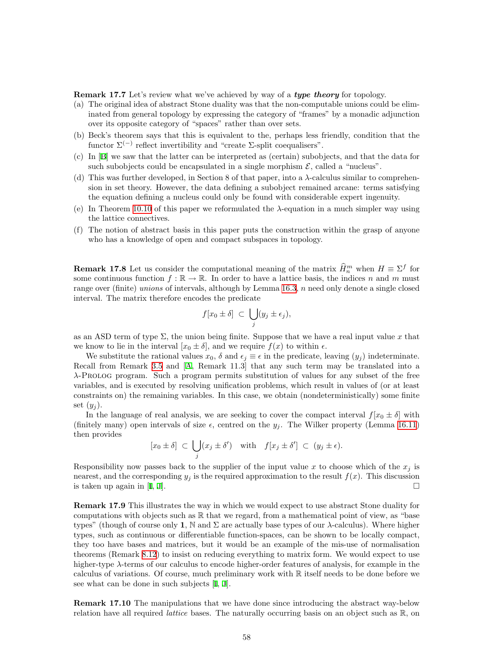**Remark 17.7** Let's review what we've achieved by way of a *type theory* for topology.

- (a) The original idea of abstract Stone duality was that the non-computable unions could be eliminated from general topology by expressing the category of "frames" by a monadic adjunction over its opposite category of "spaces" rather than over sets.
- (b) Beck's theorem says that this is equivalent to the, perhaps less friendly, condition that the functor  $\Sigma^{(-)}$  reflect invertibility and "create Σ-split coequalisers".
- (c) In[[B\]](#page-60-0) we saw that the latter can be interpreted as (certain) subobjects, and that the data for such subobjects could be encapsulated in a single morphism  $\mathcal{E}$ , called a "nucleus".
- (d) This was further developed, in Section 8 of that paper, into a  $\lambda$ -calculus similar to comprehension in set theory. However, the data defining a subobject remained arcane: terms satisfying the equation defining a nucleus could only be found with considerable expert ingenuity.
- (e) In Theorem [10.10](#page-36-3) of this paper we reformulated the λ-equation in a much simpler way using the lattice connectives.
- (f) The notion of abstract basis in this paper puts the construction within the grasp of anyone who has a knowledge of open and compact subspaces in topology.

<span id="page-57-0"></span>**Remark 17.8** Let us consider the computational meaning of the matrix  $\widehat{H}_n^m$  when  $H \equiv \Sigma^f$  for some continuous function  $f : \mathbb{R} \to \mathbb{R}$ . In order to have a lattice basis, the indices n and m must range over (finite) unions of intervals, although by Lemma [16.3](#page-51-4), n need only denote a single closed interval. The matrix therefore encodes the predicate

$$
f[x_0 \pm \delta] \subset \bigcup_j (y_j \pm \epsilon_j),
$$

as an ASD term of type  $\Sigma$ , the union being finite. Suppose that we have a real input value x that we know to lie in the interval  $[x_0 \pm \delta]$ , and we require  $f(x)$  to within  $\epsilon$ .

We substitute the rational values  $x_0$ ,  $\delta$  and  $\epsilon_j \equiv \epsilon$  in the predicate, leaving  $(y_j)$  indeterminate. Recall from Remark [3.5](#page-8-5) and[[A](#page-60-1), Remark 11.3] that any such term may be translated into a λ-Prolog program. Such a program permits substitution of values for any subset of the free variables, and is executed by resolving unification problems, which result in values of (or at least constraints on) the remaining variables. In this case, we obtain (nondeterministically) some finite set  $(y_i)$ .

In the language of real analysis, we are seeking to cover the compact interval  $f[x_0 \pm \delta]$  with (finitely many) open intervals of size  $\epsilon$ , centred on the  $y_i$ . The Wilker property (Lemma [16.11](#page-53-0)) then provides

$$
[x_0 \pm \delta] \subset \bigcup_j (x_j \pm \delta')
$$
 with  $f[x_j \pm \delta'] \subset (y_j \pm \epsilon).$ 

Responsibility now passes back to the supplier of the input value x to choose which of the  $x_j$  is nearest, and the corresponding  $y_j$  is the required approximation to the result  $f(x)$ . This discussion is taken up again in [\[I](#page-60-5), [J](#page-60-8)].

Remark 17.9 This illustrates the way in which we would expect to use abstract Stone duality for computations with objects such as  $\mathbb R$  that we regard, from a mathematical point of view, as "base" types" (though of course only 1, N and  $\Sigma$  are actually base types of our  $\lambda$ -calculus). Where higher types, such as continuous or differentiable function-spaces, can be shown to be locally compact, they too have bases and matrices, but it would be an example of the mis-use of normalisation theorems (Remark [8.12](#page-31-3)) to insist on reducing everything to matrix form. We would expect to use higher-type λ-terms of our calculus to encode higher-order features of analysis, for example in the calculus of variations. Of course, much preliminary work with R itself needs to be done before we see what can be done in such subjects [\[I,](#page-60-5) [J\]](#page-60-8).

Remark 17.10 The manipulations that we have done since introducing the abstract way-below relation have all required *lattice* bases. The naturally occurring basis on an object such as  $\mathbb{R}$ , on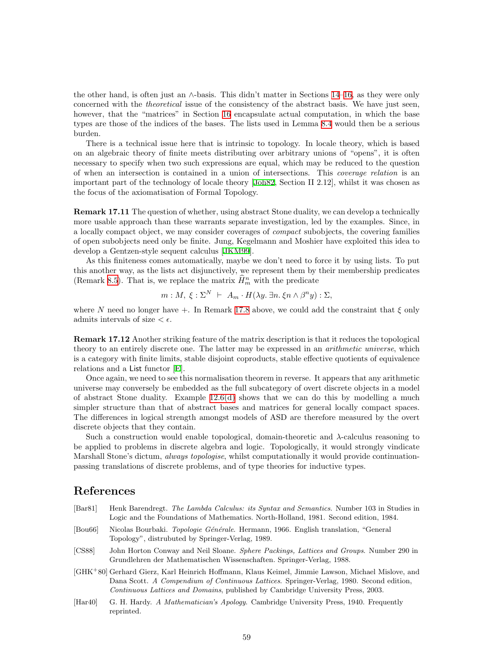the other hand, is often just an ∧-basis. This didn't matter in Sections [14](#page-46-1)[–16](#page-51-1), as they were only concerned with the theoretical issue of the consistency of the abstract basis. We have just seen, however, that the "matrices" in Section [16](#page-51-1) encapsulate actual computation, in which the base types are those of the indices of the bases. The lists used in Lemma [8.4](#page-29-1) would then be a serious burden.

There is a technical issue here that is intrinsic to topology. In locale theory, which is based on an algebraic theory of finite meets distributing over arbitrary unions of "opens", it is often necessary to specify when two such expressions are equal, which may be reduced to the question of when an intersection is contained in a union of intersections. This coverage relation is an important part of the technology of locale theory [\[Joh82,](#page-59-9) Section II 2.12], whilst it was chosen as the focus of the axiomatisation of Formal Topology.

Remark 17.11 The question of whether, using abstract Stone duality, we can develop a technically more usable approach than these warrants separate investigation, led by the examples. Since, in a locally compact object, we may consider coverages of compact subobjects, the covering families of open subobjects need only be finite. Jung, Kegelmann and Moshier have exploited this idea to develop a Gentzen-style sequent calculus [\[JKM99](#page-59-13)].

As this finiteness comes automatically, maybe we don't need to force it by using lists. To put this another way, as the lists act disjunctively, we represent them by their membership predicates (Remark [8.5](#page-30-3)). That is, we replace the matrix  $\hat{H}_m^n$  with the predicate

$$
m: M, \ \xi: \Sigma^N \ \vdash \ A_m \cdot H(\lambda y. \ \exists n. \ \xi n \wedge \beta^n y) : \Sigma,
$$

where N need no longer have +. In Remark [17.8](#page-57-0) above, we could add the constraint that  $\xi$  only admits intervals of size  $\epsilon$ .

Remark 17.12 Another striking feature of the matrix description is that it reduces the topological theory to an entirely discrete one. The latter may be expressed in an arithmetic universe, which is a category with finite limits, stable disjoint coproducts, stable effective quotients of equivalence relations and a List functor [\[E\]](#page-60-3).

Once again, we need to see this normalisation theorem in reverse. It appears that any arithmetic universe may conversely be embedded as the full subcategory of overt discrete objects in a model of abstract Stone duality. Example [12.6\(d\)](#page-41-2) shows that we can do this by modelling a much simpler structure than that of abstract bases and matrices for general locally compact spaces. The differences in logical strength amongst models of ASD are therefore measured by the overt discrete objects that they contain.

Such a construction would enable topological, domain-theoretic and  $\lambda$ -calculus reasoning to be applied to problems in discrete algebra and logic. Topologically, it would strongly vindicate Marshall Stone's dictum, *always topologise*, whilst computationally it would provide continuationpassing translations of discrete problems, and of type theories for inductive types.

### References

- <span id="page-58-1"></span>[Bar81] Henk Barendregt. The Lambda Calculus: its Syntax and Semantics. Number 103 in Studies in Logic and the Foundations of Mathematics. North-Holland, 1981. Second edition, 1984.
- <span id="page-58-4"></span>[Bou66] Nicolas Bourbaki. *Topologie Générale*. Hermann, 1966. English translation, "General" Topology", distrubuted by Springer-Verlag, 1989.
- <span id="page-58-0"></span>[CS88] John Horton Conway and Neil Sloane. Sphere Packings, Lattices and Groups. Number 290 in Grundlehren der Mathematischen Wissenschaften. Springer-Verlag, 1988.
- <span id="page-58-2"></span>[GHK<sup>+</sup>80] Gerhard Gierz, Karl Heinrich Hoffmann, Klaus Keimel, Jimmie Lawson, Michael Mislove, and Dana Scott. A Compendium of Continuous Lattices. Springer-Verlag, 1980. Second edition, Continuous Lattices and Domains, published by Cambridge University Press, 2003.
- <span id="page-58-3"></span>[Har40] G. H. Hardy. A Mathematician's Apology. Cambridge University Press, 1940. Frequently reprinted.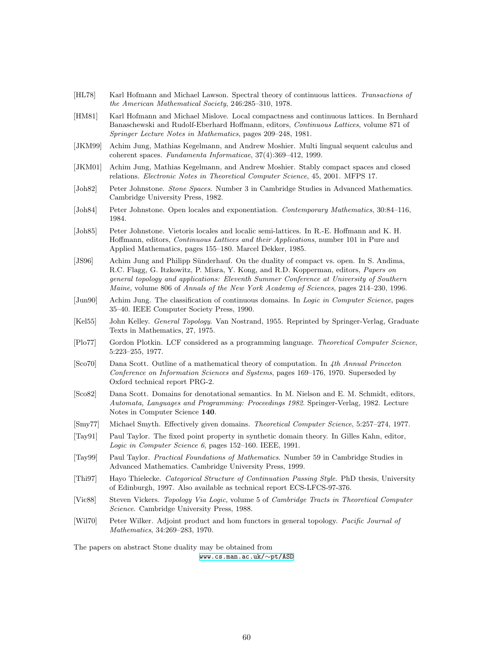- <span id="page-59-4"></span>[HL78] Karl Hofmann and Michael Lawson. Spectral theory of continuous lattices. Transactions of the American Mathematical Society, 246:285–310, 1978.
- <span id="page-59-0"></span>[HM81] Karl Hofmann and Michael Mislove. Local compactness and continuous lattices. In Bernhard Banaschewski and Rudolf-Eberhard Hoffmann, editors, Continuous Lattices, volume 871 of Springer Lecture Notes in Mathematics, pages 209–248, 1981.
- <span id="page-59-13"></span>[JKM99] Achim Jung, Mathias Kegelmann, and Andrew Moshier. Multi lingual sequent calculus and coherent spaces. Fundamenta Informaticae, 37(4):369–412, 1999.
- <span id="page-59-5"></span>[JKM01] Achim Jung, Mathias Kegelmann, and Andrew Moshier. Stably compact spaces and closed relations. Electronic Notes in Theoretical Computer Science, 45, 2001. MFPS 17.
- <span id="page-59-9"></span>[Joh82] Peter Johnstone. Stone Spaces. Number 3 in Cambridge Studies in Advanced Mathematics. Cambridge University Press, 1982.
- <span id="page-59-14"></span>[Joh84] Peter Johnstone. Open locales and exponentiation. Contemporary Mathematics, 30:84–116, 1984.
- <span id="page-59-10"></span>[Joh85] Peter Johnstone. Vietoris locales and localic semi-lattices. In R.-E. Hoffmann and K. H. Hoffmann, editors, Continuous Lattices and their Applications, number 101 in Pure and Applied Mathematics, pages 155–180. Marcel Dekker, 1985.
- <span id="page-59-1"></span>[JS96] Achim Jung and Philipp Sünderhauf. On the duality of compact vs. open. In S. Andima, R.C. Flagg, G. Itzkowitz, P. Misra, Y. Kong, and R.D. Kopperman, editors, Papers on general topology and applications: Eleventh Summer Conference at University of Southern Maine, volume 806 of Annals of the New York Academy of Sciences, pages 214–230, 1996.
- <span id="page-59-16"></span>[Jun90] Achim Jung. The classification of continuous domains. In Logic in Computer Science, pages 35–40. IEEE Computer Society Press, 1990.
- <span id="page-59-3"></span>[Kel55] John Kelley. General Topology. Van Nostrand, 1955. Reprinted by Springer-Verlag, Graduate Texts in Mathematics, 27, 1975.
- <span id="page-59-7"></span>[Plo77] Gordon Plotkin. LCF considered as a programming language. Theoretical Computer Science, 5:223–255, 1977.
- <span id="page-59-11"></span>[Sco70] Dana Scott. Outline of a mathematical theory of computation. In 4th Annual Princeton Conference on Information Sciences and Systems, pages 169–176, 1970. Superseded by Oxford technical report PRG-2.
- <span id="page-59-12"></span>[Sco82] Dana Scott. Domains for denotational semantics. In M. Nielson and E. M. Schmidt, editors, Automata, Languages and Programming: Proceedings 1982. Springer-Verlag, 1982. Lecture Notes in Computer Science 140.
- <span id="page-59-15"></span>[Smy77] Michael Smyth. Effectively given domains. Theoretical Computer Science, 5:257–274, 1977.
- <span id="page-59-8"></span>[Tay91] Paul Taylor. The fixed point property in synthetic domain theory. In Gilles Kahn, editor, Logic in Computer Science 6, pages 152–160. IEEE, 1991.
- <span id="page-59-6"></span>[Tay99] Paul Taylor. Practical Foundations of Mathematics. Number 59 in Cambridge Studies in Advanced Mathematics. Cambridge University Press, 1999.
- <span id="page-59-17"></span>[Thi97] Hayo Thielecke. Categorical Structure of Continuation Passing Style. PhD thesis, University of Edinburgh, 1997. Also available as technical report ECS-LFCS-97-376.
- <span id="page-59-18"></span>[Vic88] Steven Vickers. Topology Via Logic, volume 5 of Cambridge Tracts in Theoretical Computer Science. Cambridge University Press, 1988.
- <span id="page-59-2"></span>[Wil70] Peter Wilker. Adjoint product and hom functors in general topology. Pacific Journal of Mathematics, 34:269–283, 1970.

The papers on abstract Stone duality may be obtained from [www.cs.man.ac.uk/](http://www.cs.man.ac.uk/~pt/ASD/index.pdf)∼pt/ASD